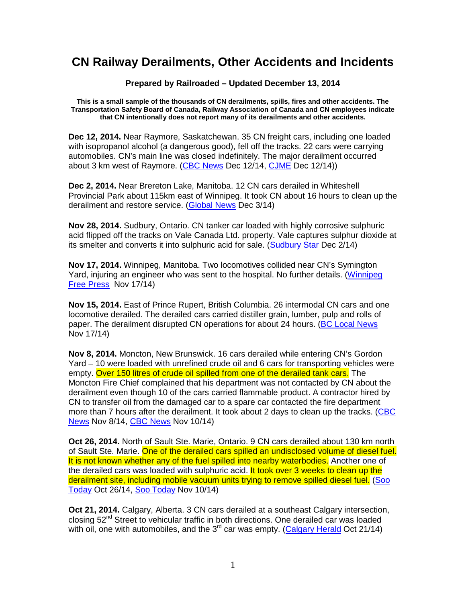## **CN Railway Derailments, Other Accidents and Incidents**

**Prepared by Railroaded – Updated December 13, 2014** 

**This is a small sample of the thousands of CN derailments, spills, fires and other accidents. The Transportation Safety Board of Canada, Railway Association of Canada and CN employees indicate that CN intentionally does not report many of its derailments and other accidents.** 

**Dec 12, 2014.** Near Raymore, Saskatchewan. 35 CN freight cars, including one loaded with isopropanol alcohol (a dangerous good), fell off the tracks. 22 cars were carrying automobiles. CN's main line was closed indefinitely. The major derailment occurred about 3 km west of Raymore. (CBC News Dec 12/14, CJME Dec 12/14))

**Dec 2, 2014.** Near Brereton Lake, Manitoba. 12 CN cars derailed in Whiteshell Provincial Park about 115km east of Winnipeg. It took CN about 16 hours to clean up the derailment and restore service. (Global News Dec 3/14)

**Nov 28, 2014.** Sudbury, Ontario. CN tanker car loaded with highly corrosive sulphuric acid flipped off the tracks on Vale Canada Ltd. property. Vale captures sulphur dioxide at its smelter and converts it into sulphuric acid for sale. (Sudbury Star Dec 2/14)

**Nov 17, 2014.** Winnipeg, Manitoba. Two locomotives collided near CN's Symington Yard, injuring an engineer who was sent to the hospital. No further details. (Winnipeg Free Press Nov 17/14)

**Nov 15, 2014.** East of Prince Rupert, British Columbia. 26 intermodal CN cars and one locomotive derailed. The derailed cars carried distiller grain, lumber, pulp and rolls of paper. The derailment disrupted CN operations for about 24 hours. (BC Local News Nov 17/14)

**Nov 8, 2014.** Moncton, New Brunswick. 16 cars derailed while entering CN's Gordon Yard – 10 were loaded with unrefined crude oil and 6 cars for transporting vehicles were empty. Over 150 litres of crude oil spilled from one of the derailed tank cars. The Moncton Fire Chief complained that his department was not contacted by CN about the derailment even though 10 of the cars carried flammable product. A contractor hired by CN to transfer oil from the damaged car to a spare car contacted the fire department more than 7 hours after the derailment. It took about 2 days to clean up the tracks. (CBC News Nov 8/14, CBC News Nov 10/14)

**Oct 26, 2014.** North of Sault Ste. Marie, Ontario. 9 CN cars derailed about 130 km north of Sault Ste. Marie. One of the derailed cars spilled an undisclosed volume of diesel fuel. It is not known whether any of the fuel spilled into nearby waterbodies. Another one of the derailed cars was loaded with sulphuric acid. It took over 3 weeks to clean up the derailment site, including mobile vacuum units trying to remove spilled diesel fuel. (Soo Today Oct 26/14, Soo Today Nov 10/14)

**Oct 21, 2014.** Calgary, Alberta. 3 CN cars derailed at a southeast Calgary intersection, closing 52<sup>nd</sup> Street to vehicular traffic in both directions. One derailed car was loaded with oil, one with automobiles, and the  $3<sup>rd</sup>$  car was empty. (Calgary Herald Oct 21/14)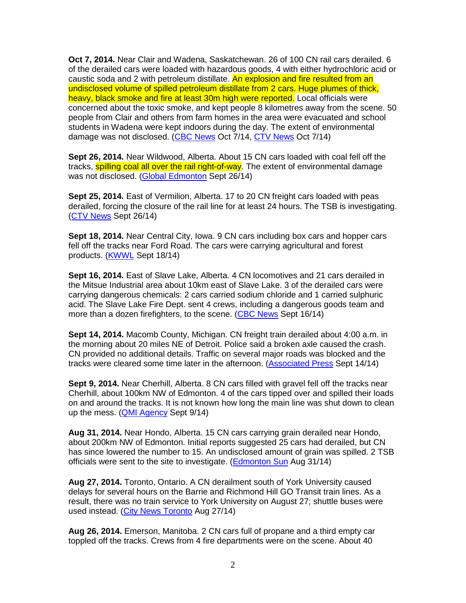**Oct 7, 2014.** Near Clair and Wadena, Saskatchewan. 26 of 100 CN rail cars derailed. 6 of the derailed cars were loaded with hazardous goods, 4 with either hydrochloric acid or caustic soda and 2 with petroleum distillate. An explosion and fire resulted from an undisclosed volume of spilled petroleum distillate from 2 cars. Huge plumes of thick, heavy, black smoke and fire at least 30m high were reported. Local officials were concerned about the toxic smoke, and kept people 8 kilometres away from the scene. 50 people from Clair and others from farm homes in the area were evacuated and school students in Wadena were kept indoors during the day. The extent of environmental damage was not disclosed. (CBC News Oct 7/14, CTV News Oct 7/14)

**Sept 26, 2014.** Near Wildwood, Alberta. About 15 CN cars loaded with coal fell off the tracks, **spilling coal all over the rail right-of-way**. The extent of environmental damage was not disclosed. (Global Edmonton Sept 26/14)

**Sept 25, 2014.** East of Vermilion, Alberta. 17 to 20 CN freight cars loaded with peas derailed, forcing the closure of the rail line for at least 24 hours. The TSB is investigating. (CTV News Sept 26/14)

**Sept 18, 2014.** Near Central City, Iowa. 9 CN cars including box cars and hopper cars fell off the tracks near Ford Road. The cars were carrying agricultural and forest products. (KWWL Sept 18/14)

**Sept 16, 2014.** East of Slave Lake, Alberta. 4 CN locomotives and 21 cars derailed in the Mitsue Industrial area about 10km east of Slave Lake. 3 of the derailed cars were carrying dangerous chemicals: 2 cars carried sodium chloride and 1 carried sulphuric acid. The Slave Lake Fire Dept. sent 4 crews, including a dangerous goods team and more than a dozen firefighters, to the scene. (CBC News Sept 16/14)

**Sept 14, 2014.** Macomb County, Michigan. CN freight train derailed about 4:00 a.m. in the morning about 20 miles NE of Detroit. Police said a broken axle caused the crash. CN provided no additional details. Traffic on several major roads was blocked and the tracks were cleared some time later in the afternoon. (Associated Press Sept 14/14)

**Sept 9, 2014.** Near Cherhill, Alberta. 8 CN cars filled with gravel fell off the tracks near Cherhill, about 100km NW of Edmonton. 4 of the cars tipped over and spilled their loads on and around the tracks. It is not known how long the main line was shut down to clean up the mess. (QMI Agency Sept 9/14)

**Aug 31, 2014.** Near Hondo, Alberta. 15 CN cars carrying grain derailed near Hondo, about 200km NW of Edmonton. Initial reports suggested 25 cars had derailed, but CN has since lowered the number to 15. An undisclosed amount of grain was spilled. 2 TSB officials were sent to the site to investigate. (Edmonton Sun Aug 31/14)

**Aug 27, 2014.** Toronto, Ontario. A CN derailment south of York University caused delays for several hours on the Barrie and Richmond Hill GO Transit train lines. As a result, there was no train service to York University on August 27; shuttle buses were used instead. (City News Toronto Aug 27/14)

**Aug 26, 2014.** Emerson, Manitoba. 2 CN cars full of propane and a third empty car toppled off the tracks. Crews from 4 fire departments were on the scene. About 40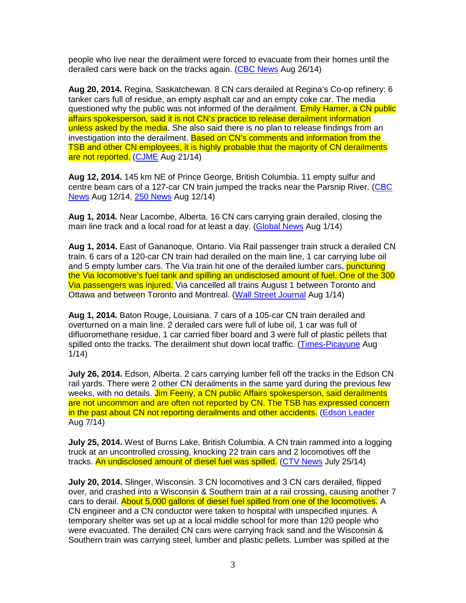people who live near the derailment were forced to evacuate from their homes until the derailed cars were back on the tracks again. (CBC News Aug 26/14)

**Aug 20, 2014.** Regina, Saskatchewan. 8 CN cars derailed at Regina's Co-op refinery: 6 tanker cars full of residue, an empty asphalt car and an empty coke car. The media questioned why the public was not informed of the derailment. Emily Hamer, a CN public affairs spokesperson, said it is not CN's practice to release derailment information unless asked by the media. She also said there is no plan to release findings from an investigation into the derailment. Based on CN's comments and information from the TSB and other CN employees, it is highly probable that the majority of CN derailments are not reported. (CJME Aug 21/14)

**Aug 12, 2014.** 145 km NE of Prince George, British Columbia. 11 empty sulfur and centre beam cars of a 127-car CN train jumped the tracks near the Parsnip River. (CBC News Aug 12/14, 250 News Aug 12/14)

**Aug 1, 2014.** Near Lacombe, Alberta. 16 CN cars carrying grain derailed, closing the main line track and a local road for at least a day. (Global News Aug 1/14)

**Aug 1, 2014.** East of Gananoque, Ontario. Via Rail passenger train struck a derailed CN train. 6 cars of a 120-car CN train had derailed on the main line, 1 car carrying lube oil and 5 empty lumber cars. The Via train hit one of the derailed lumber cars, puncturing the Via locomotive's fuel tank and spilling an undisclosed amount of fuel. One of the 300 Via passengers was injured. Via cancelled all trains August 1 between Toronto and Ottawa and between Toronto and Montreal. (Wall Street Journal Aug 1/14)

**Aug 1, 2014.** Baton Rouge, Louisiana. 7 cars of a 105-car CN train derailed and overturned on a main line. 2 derailed cars were full of lube oil, 1 car was full of difluoromethane residue, 1 car carried fiber board and 3 were full of plastic pellets that spilled onto the tracks. The derailment shut down local traffic. (Times-Picayune Aug 1/14)

**July 26, 2014.** Edson, Alberta. 2 cars carrying lumber fell off the tracks in the Edson CN rail yards. There were 2 other CN derailments in the same yard during the previous few weeks, with no details. Jim Feeny, a CN public Affairs spokesperson, said derailments are not uncommon and are often not reported by CN. The TSB has expressed concern in the past about CN not reporting derailments and other accidents. (Edson Leader Aug 7/14)

**July 25, 2014.** West of Burns Lake, British Columbia. A CN train rammed into a logging truck at an uncontrolled crossing, knocking 22 train cars and 2 locomotives off the tracks. An undisclosed amount of diesel fuel was spilled. (CTV News July 25/14)

**July 20, 2014.** Slinger, Wisconsin. 3 CN locomotives and 3 CN cars derailed, flipped over, and crashed into a Wisconsin & Southern train at a rail crossing, causing another 7 cars to derail. About 5,000 gallons of diesel fuel spilled from one of the locomotives. A CN engineer and a CN conductor were taken to hospital with unspecified injuries. A temporary shelter was set up at a local middle school for more than 120 people who were evacuated. The derailed CN cars were carrying frack sand and the Wisconsin & Southern train was carrying steel, lumber and plastic pellets. Lumber was spilled at the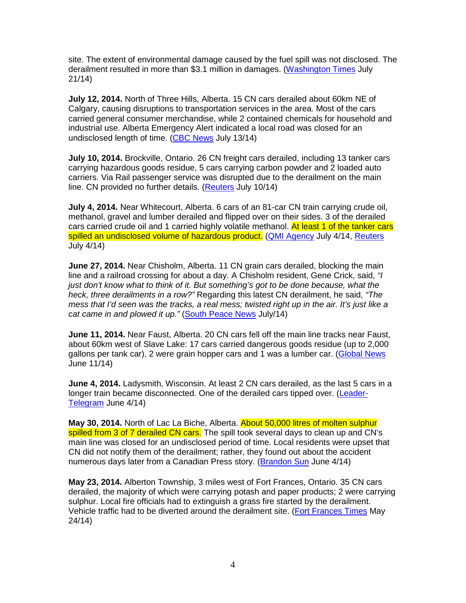site. The extent of environmental damage caused by the fuel spill was not disclosed. The derailment resulted in more than \$3.1 million in damages. (Washington Times July 21/14)

**July 12, 2014.** North of Three Hills, Alberta. 15 CN cars derailed about 60km NE of Calgary, causing disruptions to transportation services in the area. Most of the cars carried general consumer merchandise, while 2 contained chemicals for household and industrial use. Alberta Emergency Alert indicated a local road was closed for an undisclosed length of time. (CBC News July 13/14)

**July 10, 2014.** Brockville, Ontario. 26 CN freight cars derailed, including 13 tanker cars carrying hazardous goods residue, 5 cars carrying carbon powder and 2 loaded auto carriers. Via Rail passenger service was disrupted due to the derailment on the main line. CN provided no further details. (Reuters July 10/14)

**July 4, 2014.** Near Whitecourt, Alberta. 6 cars of an 81-car CN train carrying crude oil, methanol, gravel and lumber derailed and flipped over on their sides. 3 of the derailed cars carried crude oil and 1 carried highly volatile methanol. At least 1 of the tanker cars spilled an undisclosed volume of hazardous product. (QMI Agency July 4/14, Reuters July 4/14)

**June 27, 2014.** Near Chisholm, Alberta. 11 CN grain cars derailed, blocking the main line and a railroad crossing for about a day. A Chisholm resident, Gene Crick, said, "I just don't know what to think of it. But something's got to be done because, what the heck, three derailments in a row?" Regarding this latest CN derailment, he said, "The mess that I'd seen was the tracks, a real mess; twisted right up in the air. It's just like a cat came in and plowed it up." (South Peace News July/14)

**June 11, 2014.** Near Faust, Alberta. 20 CN cars fell off the main line tracks near Faust, about 60km west of Slave Lake: 17 cars carried dangerous goods residue (up to 2,000 gallons per tank car), 2 were grain hopper cars and 1 was a lumber car. (Global News June 11/14)

**June 4, 2014.** Ladysmith, Wisconsin. At least 2 CN cars derailed, as the last 5 cars in a longer train became disconnected. One of the derailed cars tipped over. (Leader-Telegram June 4/14)

**May 30, 2014.** North of Lac La Biche, Alberta. About 50,000 litres of molten sulphur spilled from 3 of 7 derailed CN cars. The spill took several days to clean up and CN's main line was closed for an undisclosed period of time. Local residents were upset that CN did not notify them of the derailment; rather, they found out about the accident numerous days later from a Canadian Press story. (Brandon Sun June 4/14)

**May 23, 2014.** Alberton Township, 3 miles west of Fort Frances, Ontario. 35 CN cars derailed, the majority of which were carrying potash and paper products; 2 were carrying sulphur. Local fire officials had to extinguish a grass fire started by the derailment. Vehicle traffic had to be diverted around the derailment site. (Fort Frances Times May 24/14)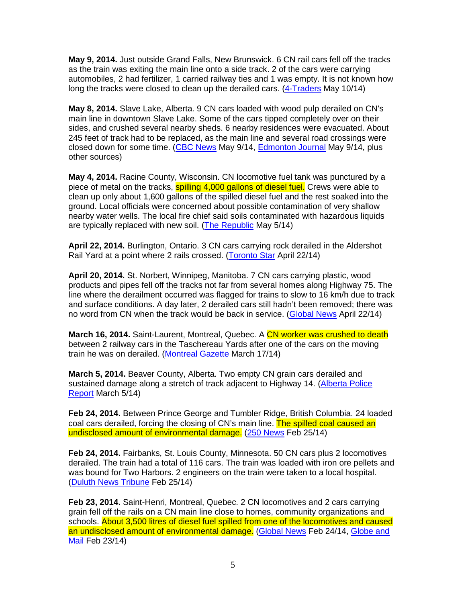**May 9, 2014.** Just outside Grand Falls, New Brunswick. 6 CN rail cars fell off the tracks as the train was exiting the main line onto a side track. 2 of the cars were carrying automobiles, 2 had fertilizer, 1 carried railway ties and 1 was empty. It is not known how long the tracks were closed to clean up the derailed cars. (4-Traders May 10/14)

**May 8, 2014.** Slave Lake, Alberta. 9 CN cars loaded with wood pulp derailed on CN's main line in downtown Slave Lake. Some of the cars tipped completely over on their sides, and crushed several nearby sheds. 6 nearby residences were evacuated. About 245 feet of track had to be replaced, as the main line and several road crossings were closed down for some time. (CBC News May 9/14, Edmonton Journal May 9/14, plus other sources)

**May 4, 2014.** Racine County, Wisconsin. CN locomotive fuel tank was punctured by a piece of metal on the tracks, spilling 4,000 gallons of diesel fuel. Crews were able to clean up only about 1,600 gallons of the spilled diesel fuel and the rest soaked into the ground. Local officials were concerned about possible contamination of very shallow nearby water wells. The local fire chief said soils contaminated with hazardous liquids are typically replaced with new soil. (The Republic May 5/14)

**April 22, 2014.** Burlington, Ontario. 3 CN cars carrying rock derailed in the Aldershot Rail Yard at a point where 2 rails crossed. (Toronto Star April 22/14)

**April 20, 2014.** St. Norbert, Winnipeg, Manitoba. 7 CN cars carrying plastic, wood products and pipes fell off the tracks not far from several homes along Highway 75. The line where the derailment occurred was flagged for trains to slow to 16 km/h due to track and surface conditions. A day later, 2 derailed cars still hadn't been removed; there was no word from CN when the track would be back in service. (Global News April 22/14)

March 16, 2014. Saint-Laurent, Montreal, Quebec. A CN worker was crushed to death between 2 railway cars in the Taschereau Yards after one of the cars on the moving train he was on derailed. (Montreal Gazette March 17/14)

**March 5, 2014.** Beaver County, Alberta. Two empty CN grain cars derailed and sustained damage along a stretch of track adjacent to Highway 14. (Alberta Police Report March 5/14)

**Feb 24, 2014.** Between Prince George and Tumbler Ridge, British Columbia. 24 loaded coal cars derailed, forcing the closing of CN's main line. The spilled coal caused an undisclosed amount of environmental damage. (250 News Feb 25/14)

**Feb 24, 2014.** Fairbanks, St. Louis County, Minnesota. 50 CN cars plus 2 locomotives derailed. The train had a total of 116 cars. The train was loaded with iron ore pellets and was bound for Two Harbors. 2 engineers on the train were taken to a local hospital. (Duluth News Tribune Feb 25/14)

**Feb 23, 2014.** Saint-Henri, Montreal, Quebec. 2 CN locomotives and 2 cars carrying grain fell off the rails on a CN main line close to homes, community organizations and schools. About 3,500 litres of diesel fuel spilled from one of the locomotives and caused an undisclosed amount of environmental damage. (Global News Feb 24/14, Globe and Mail Feb 23/14)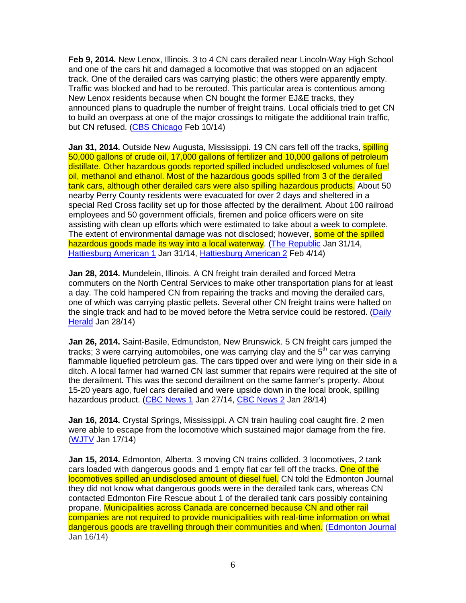**Feb 9, 2014.** New Lenox, Illinois. 3 to 4 CN cars derailed near Lincoln-Way High School and one of the cars hit and damaged a locomotive that was stopped on an adjacent track. One of the derailed cars was carrying plastic; the others were apparently empty. Traffic was blocked and had to be rerouted. This particular area is contentious among New Lenox residents because when CN bought the former EJ&E tracks, they announced plans to quadruple the number of freight trains. Local officials tried to get CN to build an overpass at one of the major crossings to mitigate the additional train traffic, but CN refused. (CBS Chicago Feb 10/14)

**Jan 31, 2014.** Outside New Augusta, Mississippi. 19 CN cars fell off the tracks, **spilling** 50,000 gallons of crude oil, 17,000 gallons of fertilizer and 10,000 gallons of petroleum distillate. Other hazardous goods reported spilled included undisclosed volumes of fuel oil, methanol and ethanol. Most of the hazardous goods spilled from 3 of the derailed tank cars, although other derailed cars were also spilling hazardous products. About 50 nearby Perry County residents were evacuated for over 2 days and sheltered in a special Red Cross facility set up for those affected by the derailment. About 100 railroad employees and 50 government officials, firemen and police officers were on site assisting with clean up efforts which were estimated to take about a week to complete. The extent of environmental damage was not disclosed; however, some of the spilled hazardous goods made its way into a local waterway. (The Republic Jan 31/14, Hattiesburg American 1 Jan 31/14, Hattiesburg American 2 Feb 4/14)

**Jan 28, 2014.** Mundelein, Illinois. A CN freight train derailed and forced Metra commuters on the North Central Services to make other transportation plans for at least a day. The cold hampered CN from repairing the tracks and moving the derailed cars, one of which was carrying plastic pellets. Several other CN freight trains were halted on the single track and had to be moved before the Metra service could be restored. (Daily Herald Jan 28/14)

**Jan 26, 2014.** Saint-Basile, Edmundston, New Brunswick. 5 CN freight cars jumped the tracks; 3 were carrying automobiles, one was carrying clay and the  $5<sup>th</sup>$  car was carrying flammable liquefied petroleum gas. The cars tipped over and were lying on their side in a ditch. A local farmer had warned CN last summer that repairs were required at the site of the derailment. This was the second derailment on the same farmer's property. About 15-20 years ago, fuel cars derailed and were upside down in the local brook, spilling hazardous product. (CBC News 1 Jan 27/14, CBC News 2 Jan 28/14)

**Jan 16, 2014.** Crystal Springs, Mississippi. A CN train hauling coal caught fire. 2 men were able to escape from the locomotive which sustained major damage from the fire. (WJTV Jan 17/14)

**Jan 15, 2014.** Edmonton, Alberta. 3 moving CN trains collided. 3 locomotives, 2 tank cars loaded with dangerous goods and 1 empty flat car fell off the tracks. One of the locomotives spilled an undisclosed amount of diesel fuel. CN told the Edmonton Journal they did not know what dangerous goods were in the derailed tank cars, whereas CN contacted Edmonton Fire Rescue about 1 of the derailed tank cars possibly containing propane. Municipalities across Canada are concerned because CN and other rail companies are not required to provide municipalities with real-time information on what dangerous goods are travelling through their communities and when. (Edmonton Journal Jan 16/14)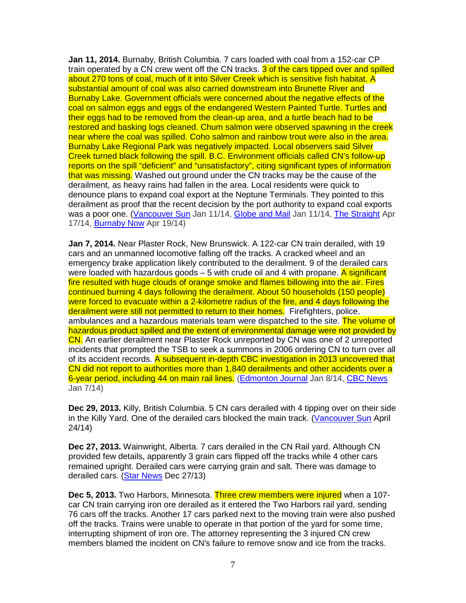**Jan 11, 2014.** Burnaby, British Columbia. 7 cars loaded with coal from a 152-car CP train operated by a CN crew went off the CN tracks. 3 of the cars tipped over and spilled about 270 tons of coal, much of it into Silver Creek which is sensitive fish habitat. A substantial amount of coal was also carried downstream into Brunette River and Burnaby Lake. Government officials were concerned about the negative effects of the coal on salmon eggs and eggs of the endangered Western Painted Turtle. Turtles and their eggs had to be removed from the clean-up area, and a turtle beach had to be restored and basking logs cleaned. Chum salmon were observed spawning in the creek near where the coal was spilled. Coho salmon and rainbow trout were also in the area. Burnaby Lake Regional Park was negatively impacted. Local observers said Silver Creek turned black following the spill. B.C. Environment officials called CN's follow-up reports on the spill "deficient" and "unsatisfactory", citing significant types of information that was missing. Washed out ground under the CN tracks may be the cause of the derailment, as heavy rains had fallen in the area. Local residents were quick to denounce plans to expand coal export at the Neptune Terminals. They pointed to this derailment as proof that the recent decision by the port authority to expand coal exports was a poor one. (Vancouver Sun Jan 11/14, Globe and Mail Jan 11/14, The Straight Apr 17/14, Burnaby Now Apr 19/14)

**Jan 7, 2014.** Near Plaster Rock, New Brunswick. A 122-car CN train derailed, with 19 cars and an unmanned locomotive falling off the tracks. A cracked wheel and an emergency brake application likely contributed to the derailment. 9 of the derailed cars were loaded with hazardous goods – 5 with crude oil and 4 with propane. A significant fire resulted with huge clouds of orange smoke and flames billowing into the air. Fires continued burning 4 days following the derailment. About 50 households (150 people) were forced to evacuate within a 2-kilometre radius of the fire, and 4 days following the derailment were still not permitted to return to their homes. Firefighters, police, ambulances and a hazardous materials team were dispatched to the site. The volume of hazardous product spilled and the extent of environmental damage were not provided by CN. An earlier derailment near Plaster Rock unreported by CN was one of 2 unreported incidents that prompted the TSB to seek a summons in 2006 ordering CN to turn over all of its accident records. A subsequent in-depth CBC investigation in 2013 uncovered that CN did not report to authorities more than 1,840 derailments and other accidents over a 6-year period, including 44 on main rail lines. (Edmonton Journal Jan 8/14, CBC News Jan 7/14)

**Dec 29, 2013.** Killy, British Columbia. 5 CN cars derailed with 4 tipping over on their side in the Killy Yard. One of the derailed cars blocked the main track. (Vancouver Sun April 24/14)

**Dec 27, 2013.** Wainwright, Alberta. 7 cars derailed in the CN Rail yard. Although CN provided few details, apparently 3 grain cars flipped off the tracks while 4 other cars remained upright. Derailed cars were carrying grain and salt. There was damage to derailed cars. (Star News Dec 27/13)

**Dec 5, 2013.** Two Harbors, Minnesota. Three crew members were injured when a 107 car CN train carrying iron ore derailed as it entered the Two Harbors rail yard, sending 76 cars off the tracks. Another 17 cars parked next to the moving train were also pushed off the tracks. Trains were unable to operate in that portion of the yard for some time, interrupting shipment of iron ore. The attorney representing the 3 injured CN crew members blamed the incident on CN's failure to remove snow and ice from the tracks.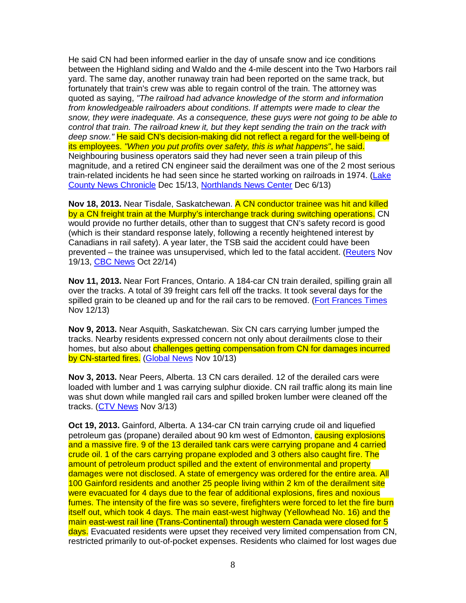He said CN had been informed earlier in the day of unsafe snow and ice conditions between the Highland siding and Waldo and the 4-mile descent into the Two Harbors rail yard. The same day, another runaway train had been reported on the same track, but fortunately that train's crew was able to regain control of the train. The attorney was quoted as saying, "The railroad had advance knowledge of the storm and information from knowledgeable railroaders about conditions. If attempts were made to clear the snow, they were inadequate. As a consequence, these guys were not going to be able to control that train. The railroad knew it, but they kept sending the train on the track with deep snow." He said CN's decision-making did not reflect a regard for the well-being of its employees. "When you put profits over safety, this is what happens", he said. Neighbouring business operators said they had never seen a train pileup of this magnitude, and a retired CN engineer said the derailment was one of the 2 most serious train-related incidents he had seen since he started working on railroads in 1974. (Lake County News Chronicle Dec 15/13, Northlands News Center Dec 6/13)

**Nov 18, 2013.** Near Tisdale, Saskatchewan. A CN conductor trainee was hit and killed by a CN freight train at the Murphy's interchange track during switching operations. CN would provide no further details, other than to suggest that CN's safety record is good (which is their standard response lately, following a recently heightened interest by Canadians in rail safety). A year later, the TSB said the accident could have been prevented – the trainee was unsupervised, which led to the fatal accident. (Reuters Nov 19/13, CBC News Oct 22/14)

**Nov 11, 2013.** Near Fort Frances, Ontario. A 184-car CN train derailed, spilling grain all over the tracks. A total of 39 freight cars fell off the tracks. It took several days for the spilled grain to be cleaned up and for the rail cars to be removed. (Fort Frances Times Nov 12/13)

**Nov 9, 2013.** Near Asquith, Saskatchewan. Six CN cars carrying lumber jumped the tracks. Nearby residents expressed concern not only about derailments close to their homes, but also about challenges getting compensation from CN for damages incurred by CN-started fires. (Global News Nov 10/13)

**Nov 3, 2013.** Near Peers, Alberta. 13 CN cars derailed. 12 of the derailed cars were loaded with lumber and 1 was carrying sulphur dioxide. CN rail traffic along its main line was shut down while mangled rail cars and spilled broken lumber were cleaned off the tracks. (CTV News Nov 3/13)

**Oct 19, 2013.** Gainford, Alberta. A 134-car CN train carrying crude oil and liquefied petroleum gas (propane) derailed about 90 km west of Edmonton, **causing explosions** and a massive fire. 9 of the 13 derailed tank cars were carrying propane and 4 carried crude oil. 1 of the cars carrying propane exploded and 3 others also caught fire. The amount of petroleum product spilled and the extent of environmental and property damages were not disclosed. A state of emergency was ordered for the entire area. All 100 Gainford residents and another 25 people living within 2 km of the derailment site were evacuated for 4 days due to the fear of additional explosions, fires and noxious fumes. The intensity of the fire was so severe, firefighters were forced to let the fire burn itself out, which took 4 days. The main east-west highway (Yellowhead No. 16) and the main east-west rail line (Trans-Continental) through western Canada were closed for 5 days. Evacuated residents were upset they received very limited compensation from CN, restricted primarily to out-of-pocket expenses. Residents who claimed for lost wages due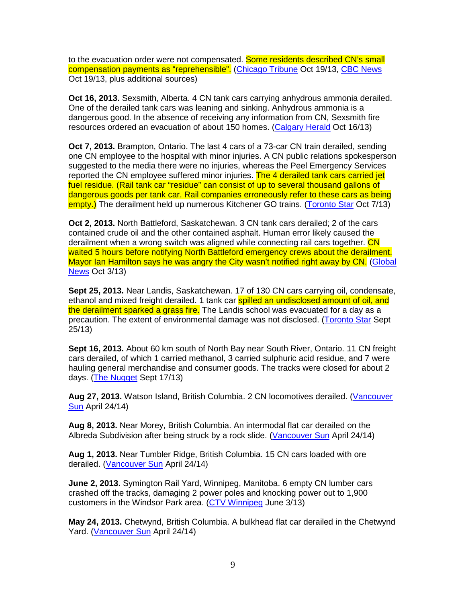to the evacuation order were not compensated. Some residents described CN's small compensation payments as "reprehensible". (Chicago Tribune Oct 19/13, CBC News Oct 19/13, plus additional sources)

**Oct 16, 2013.** Sexsmith, Alberta. 4 CN tank cars carrying anhydrous ammonia derailed. One of the derailed tank cars was leaning and sinking. Anhydrous ammonia is a dangerous good. In the absence of receiving any information from CN, Sexsmith fire resources ordered an evacuation of about 150 homes. (Calgary Herald Oct 16/13)

**Oct 7, 2013.** Brampton, Ontario. The last 4 cars of a 73-car CN train derailed, sending one CN employee to the hospital with minor injuries. A CN public relations spokesperson suggested to the media there were no injuries, whereas the Peel Emergency Services reported the CN employee suffered minor injuries. The 4 derailed tank cars carried jet fuel residue. (Rail tank car "residue" can consist of up to several thousand gallons of dangerous goods per tank car. Rail companies erroneously refer to these cars as being empty.) The derailment held up numerous Kitchener GO trains. (Toronto Star Oct 7/13)

**Oct 2, 2013.** North Battleford, Saskatchewan. 3 CN tank cars derailed; 2 of the cars contained crude oil and the other contained asphalt. Human error likely caused the derailment when a wrong switch was aligned while connecting rail cars together. CN waited 5 hours before notifying North Battleford emergency crews about the derailment. Mayor Ian Hamilton says he was angry the City wasn't notified right away by CN. (Global **News** Oct 3/13)

**Sept 25, 2013.** Near Landis, Saskatchewan. 17 of 130 CN cars carrying oil, condensate, ethanol and mixed freight derailed. 1 tank car spilled an undisclosed amount of oil, and the derailment sparked a grass fire. The Landis school was evacuated for a dav as a precaution. The extent of environmental damage was not disclosed. (Toronto Star Sept 25/13)

**Sept 16, 2013.** About 60 km south of North Bay near South River, Ontario. 11 CN freight cars derailed, of which 1 carried methanol, 3 carried sulphuric acid residue, and 7 were hauling general merchandise and consumer goods. The tracks were closed for about 2 days. (The Nugget Sept 17/13)

Aug 27, 2013. Watson Island, British Columbia. 2 CN locomotives derailed. (Vancouver Sun April 24/14)

**Aug 8, 2013.** Near Morey, British Columbia. An intermodal flat car derailed on the Albreda Subdivision after being struck by a rock slide. (Vancouver Sun April 24/14)

**Aug 1, 2013.** Near Tumbler Ridge, British Columbia. 15 CN cars loaded with ore derailed. (Vancouver Sun April 24/14)

**June 2, 2013.** Symington Rail Yard, Winnipeg, Manitoba. 6 empty CN lumber cars crashed off the tracks, damaging 2 power poles and knocking power out to 1,900 customers in the Windsor Park area. (CTV Winnipeg June 3/13)

**May 24, 2013.** Chetwynd, British Columbia. A bulkhead flat car derailed in the Chetwynd Yard. (Vancouver Sun April 24/14)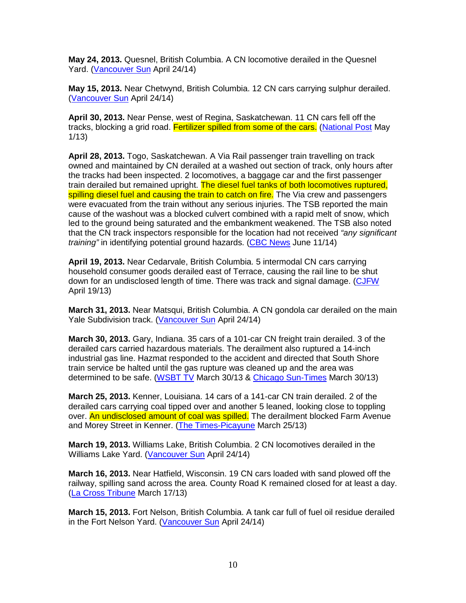**May 24, 2013.** Quesnel, British Columbia. A CN locomotive derailed in the Quesnel Yard. (Vancouver Sun April 24/14)

**May 15, 2013.** Near Chetwynd, British Columbia. 12 CN cars carrying sulphur derailed. (Vancouver Sun April 24/14)

**April 30, 2013.** Near Pense, west of Regina, Saskatchewan. 11 CN cars fell off the tracks, blocking a grid road. Fertilizer spilled from some of the cars. (National Post May 1/13)

**April 28, 2013.** Togo, Saskatchewan. A Via Rail passenger train travelling on track owned and maintained by CN derailed at a washed out section of track, only hours after the tracks had been inspected. 2 locomotives, a baggage car and the first passenger train derailed but remained upright. The diesel fuel tanks of both locomotives ruptured, spilling diesel fuel and causing the train to catch on fire. The Via crew and passengers were evacuated from the train without any serious injuries. The TSB reported the main cause of the washout was a blocked culvert combined with a rapid melt of snow, which led to the ground being saturated and the embankment weakened. The TSB also noted that the CN track inspectors responsible for the location had not received "any significant" training" in identifying potential ground hazards. (CBC News June 11/14)

**April 19, 2013.** Near Cedarvale, British Columbia. 5 intermodal CN cars carrying household consumer goods derailed east of Terrace, causing the rail line to be shut down for an undisclosed length of time. There was track and signal damage. (CJFW April 19/13)

**March 31, 2013.** Near Matsqui, British Columbia. A CN gondola car derailed on the main Yale Subdivision track. (Vancouver Sun April 24/14)

**March 30, 2013.** Gary, Indiana. 35 cars of a 101-car CN freight train derailed. 3 of the derailed cars carried hazardous materials. The derailment also ruptured a 14-inch industrial gas line. Hazmat responded to the accident and directed that South Shore train service be halted until the gas rupture was cleaned up and the area was determined to be safe. (WSBT TV March 30/13 & Chicago Sun-Times March 30/13)

**March 25, 2013.** Kenner, Louisiana. 14 cars of a 141-car CN train derailed. 2 of the derailed cars carrying coal tipped over and another 5 leaned, looking close to toppling over. An undisclosed amount of coal was spilled. The derailment blocked Farm Avenue and Morey Street in Kenner. (The Times-Picayune March 25/13)

**March 19, 2013.** Williams Lake, British Columbia. 2 CN locomotives derailed in the Williams Lake Yard. (Vancouver Sun April 24/14)

**March 16, 2013.** Near Hatfield, Wisconsin. 19 CN cars loaded with sand plowed off the railway, spilling sand across the area. County Road K remained closed for at least a day. (La Cross Tribune March 17/13)

**March 15, 2013.** Fort Nelson, British Columbia. A tank car full of fuel oil residue derailed in the Fort Nelson Yard. (Vancouver Sun April 24/14)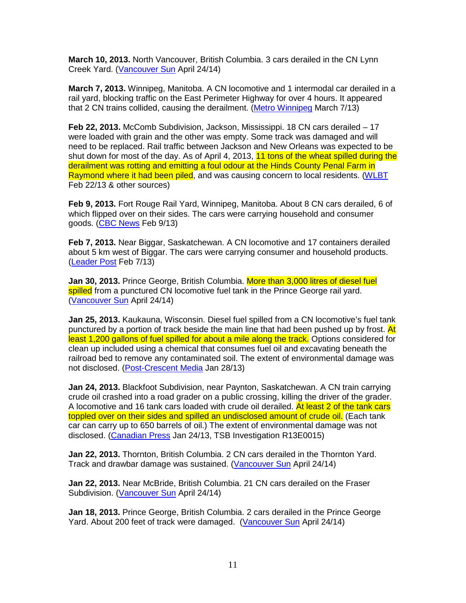**March 10, 2013.** North Vancouver, British Columbia. 3 cars derailed in the CN Lynn Creek Yard. (Vancouver Sun April 24/14)

**March 7, 2013.** Winnipeg, Manitoba. A CN locomotive and 1 intermodal car derailed in a rail yard, blocking traffic on the East Perimeter Highway for over 4 hours. It appeared that 2 CN trains collided, causing the derailment. (Metro Winnipeg March 7/13)

**Feb 22, 2013.** McComb Subdivision, Jackson, Mississippi. 18 CN cars derailed – 17 were loaded with grain and the other was empty. Some track was damaged and will need to be replaced. Rail traffic between Jackson and New Orleans was expected to be shut down for most of the day. As of April 4, 2013, 11 tons of the wheat spilled during the derailment was rotting and emitting a foul odour at the Hinds County Penal Farm in Raymond where it had been piled, and was causing concern to local residents. (WLBT Feb 22/13 & other sources)

**Feb 9, 2013.** Fort Rouge Rail Yard, Winnipeg, Manitoba. About 8 CN cars derailed, 6 of which flipped over on their sides. The cars were carrying household and consumer goods. (CBC News Feb 9/13)

**Feb 7, 2013.** Near Biggar, Saskatchewan. A CN locomotive and 17 containers derailed about 5 km west of Biggar. The cars were carrying consumer and household products. (Leader Post Feb 7/13)

**Jan 30, 2013.** Prince George, British Columbia. More than 3,000 litres of diesel fuel spilled from a punctured CN locomotive fuel tank in the Prince George rail yard. (Vancouver Sun April 24/14)

**Jan 25, 2013.** Kaukauna, Wisconsin. Diesel fuel spilled from a CN locomotive's fuel tank punctured by a portion of track beside the main line that had been pushed up by frost. At least 1,200 gallons of fuel spilled for about a mile along the track. Options considered for clean up included using a chemical that consumes fuel oil and excavating beneath the railroad bed to remove any contaminated soil. The extent of environmental damage was not disclosed. (Post-Crescent Media Jan 28/13)

**Jan 24, 2013.** Blackfoot Subdivision, near Paynton, Saskatchewan. A CN train carrying crude oil crashed into a road grader on a public crossing, killing the driver of the grader. A locomotive and 16 tank cars loaded with crude oil derailed. At least 2 of the tank cars toppled over on their sides and spilled an undisclosed amount of crude oil. (Each tank car can carry up to 650 barrels of oil.) The extent of environmental damage was not disclosed. (Canadian Press Jan 24/13, TSB Investigation R13E0015)

**Jan 22, 2013.** Thornton, British Columbia. 2 CN cars derailed in the Thornton Yard. Track and drawbar damage was sustained. (Vancouver Sun April 24/14)

**Jan 22, 2013.** Near McBride, British Columbia. 21 CN cars derailed on the Fraser Subdivision. (Vancouver Sun April 24/14)

**Jan 18, 2013.** Prince George, British Columbia. 2 cars derailed in the Prince George Yard. About 200 feet of track were damaged. (Vancouver Sun April 24/14)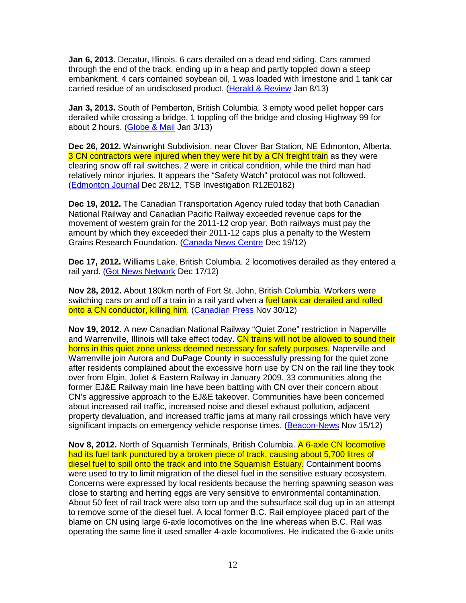**Jan 6, 2013.** Decatur, Illinois. 6 cars derailed on a dead end siding. Cars rammed through the end of the track, ending up in a heap and partly toppled down a steep embankment. 4 cars contained soybean oil, 1 was loaded with limestone and 1 tank car carried residue of an undisclosed product. (Herald & Review Jan 8/13)

**Jan 3, 2013.** South of Pemberton, British Columbia. 3 empty wood pellet hopper cars derailed while crossing a bridge, 1 toppling off the bridge and closing Highway 99 for about 2 hours. (Globe & Mail Jan 3/13)

**Dec 26, 2012.** Wainwright Subdivision, near Clover Bar Station, NE Edmonton, Alberta. 3 CN contractors were injured when they were hit by a CN freight train as they were clearing snow off rail switches. 2 were in critical condition, while the third man had relatively minor injuries. It appears the "Safety Watch" protocol was not followed. (Edmonton Journal Dec 28/12, TSB Investigation R12E0182)

**Dec 19, 2012.** The Canadian Transportation Agency ruled today that both Canadian National Railway and Canadian Pacific Railway exceeded revenue caps for the movement of western grain for the 2011-12 crop year. Both railways must pay the amount by which they exceeded their 2011-12 caps plus a penalty to the Western Grains Research Foundation. (Canada News Centre Dec 19/12)

**Dec 17, 2012.** Williams Lake, British Columbia. 2 locomotives derailed as they entered a rail yard. (Got News Network Dec 17/12)

**Nov 28, 2012.** About 180km north of Fort St. John, British Columbia. Workers were switching cars on and off a train in a rail yard when a fuel tank car derailed and rolled onto a CN conductor, killing him. (Canadian Press Nov 30/12)

**Nov 19, 2012.** A new Canadian National Railway "Quiet Zone" restriction in Naperville and Warrenville, Illinois will take effect today. CN trains will not be allowed to sound their horns in this quiet zone unless deemed necessary for safety purposes. Naperville and Warrenville join Aurora and DuPage County in successfully pressing for the quiet zone after residents complained about the excessive horn use by CN on the rail line they took over from Elgin, Joliet & Eastern Railway in January 2009. 33 communities along the former EJ&E Railway main line have been battling with CN over their concern about CN's aggressive approach to the EJ&E takeover. Communities have been concerned about increased rail traffic, increased noise and diesel exhaust pollution, adjacent property devaluation, and increased traffic jams at many rail crossings which have very significant impacts on emergency vehicle response times. (Beacon-News Nov 15/12)

**Nov 8, 2012.** North of Squamish Terminals, British Columbia. A 6-axle CN locomotive had its fuel tank punctured by a broken piece of track, causing about 5,700 litres of diesel fuel to spill onto the track and into the Squamish Estuary. Containment booms were used to try to limit migration of the diesel fuel in the sensitive estuary ecosystem. Concerns were expressed by local residents because the herring spawning season was close to starting and herring eggs are very sensitive to environmental contamination. About 50 feet of rail track were also torn up and the subsurface soil dug up in an attempt to remove some of the diesel fuel. A local former B.C. Rail employee placed part of the blame on CN using large 6-axle locomotives on the line whereas when B.C. Rail was operating the same line it used smaller 4-axle locomotives. He indicated the 6-axle units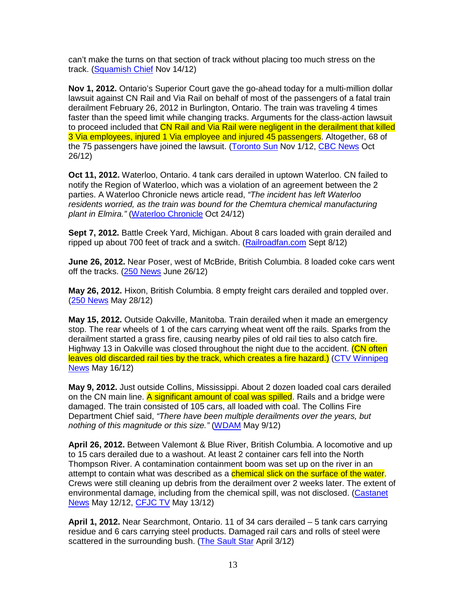can't make the turns on that section of track without placing too much stress on the track. (Squamish Chief Nov 14/12)

**Nov 1, 2012.** Ontario's Superior Court gave the go-ahead today for a multi-million dollar lawsuit against CN Rail and Via Rail on behalf of most of the passengers of a fatal train derailment February 26, 2012 in Burlington, Ontario. The train was traveling 4 times faster than the speed limit while changing tracks. Arguments for the class-action lawsuit to proceed included that CN Rail and Via Rail were negligent in the derailment that killed 3 Via employees, injured 1 Via employee and injured 45 passengers. Altogether, 68 of the 75 passengers have joined the lawsuit. (Toronto Sun Nov 1/12, CBC News Oct 26/12)

**Oct 11, 2012.** Waterloo, Ontario. 4 tank cars derailed in uptown Waterloo. CN failed to notify the Region of Waterloo, which was a violation of an agreement between the 2 parties. A Waterloo Chronicle news article read, "The incident has left Waterloo residents worried, as the train was bound for the Chemtura chemical manufacturing plant in Elmira." (Waterloo Chronicle Oct 24/12)

**Sept 7, 2012.** Battle Creek Yard, Michigan. About 8 cars loaded with grain derailed and ripped up about 700 feet of track and a switch. (Railroadfan.com Sept 8/12)

**June 26, 2012.** Near Poser, west of McBride, British Columbia. 8 loaded coke cars went off the tracks.  $(250$  News June 26/12)

**May 26, 2012.** Hixon, British Columbia. 8 empty freight cars derailed and toppled over. (250 News May 28/12)

**May 15, 2012.** Outside Oakville, Manitoba. Train derailed when it made an emergency stop. The rear wheels of 1 of the cars carrying wheat went off the rails. Sparks from the derailment started a grass fire, causing nearby piles of old rail ties to also catch fire. Highway 13 in Oakville was closed throughout the night due to the accident. (CN often leaves old discarded rail ties by the track, which creates a fire hazard.) (CTV Winnipeg News May 16/12)

**May 9, 2012.** Just outside Collins, Mississippi. About 2 dozen loaded coal cars derailed on the CN main line. A significant amount of coal was spilled. Rails and a bridge were damaged. The train consisted of 105 cars, all loaded with coal. The Collins Fire Department Chief said, "There have been multiple derailments over the years, but nothing of this magnitude or this size." (WDAM May 9/12)

**April 26, 2012.** Between Valemont & Blue River, British Columbia. A locomotive and up to 15 cars derailed due to a washout. At least 2 container cars fell into the North Thompson River. A contamination containment boom was set up on the river in an attempt to contain what was described as a **chemical slick on the surface of the water**. Crews were still cleaning up debris from the derailment over 2 weeks later. The extent of environmental damage, including from the chemical spill, was not disclosed. (Castanet News May 12/12, CFJC TV May 13/12)

**April 1, 2012.** Near Searchmont, Ontario. 11 of 34 cars derailed – 5 tank cars carrying residue and 6 cars carrying steel products. Damaged rail cars and rolls of steel were scattered in the surrounding bush. (The Sault Star April 3/12)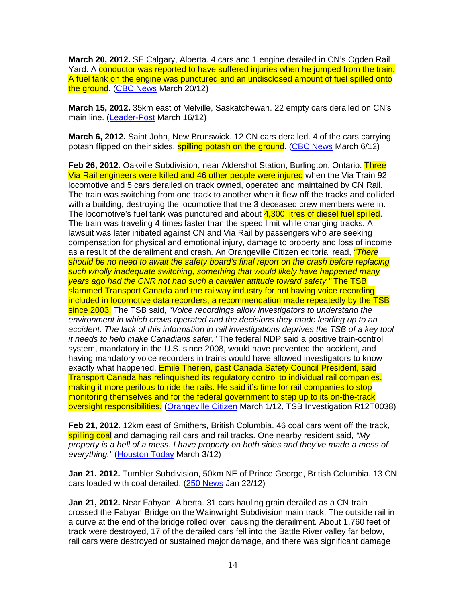**March 20, 2012.** SE Calgary, Alberta. 4 cars and 1 engine derailed in CN's Ogden Rail Yard. A conductor was reported to have suffered injuries when he jumped from the train. A fuel tank on the engine was punctured and an undisclosed amount of fuel spilled onto the ground. (CBC News March 20/12)

**March 15, 2012.** 35km east of Melville, Saskatchewan. 22 empty cars derailed on CN's main line. (Leader-Post March 16/12)

**March 6, 2012.** Saint John, New Brunswick. 12 CN cars derailed. 4 of the cars carrying potash flipped on their sides, **spilling potash on the ground.** (CBC News March 6/12)

**Feb 26, 2012.** Oakville Subdivision, near Aldershot Station, Burlington, Ontario. Three Via Rail engineers were killed and 46 other people were injured when the Via Train 92 locomotive and 5 cars derailed on track owned, operated and maintained by CN Rail. The train was switching from one track to another when it flew off the tracks and collided with a building, destroying the locomotive that the 3 deceased crew members were in. The locomotive's fuel tank was punctured and about 4,300 litres of diesel fuel spilled. The train was traveling 4 times faster than the speed limit while changing tracks. A lawsuit was later initiated against CN and Via Rail by passengers who are seeking compensation for physical and emotional injury, damage to property and loss of income as a result of the derailment and crash. An Orangeville Citizen editorial read, "There should be no need to await the safety board's final report on the crash before replacing such wholly inadequate switching, something that would likely have happened many years ago had the CNR not had such a cavalier attitude toward safety." The TSB slammed Transport Canada and the railway industry for not having voice recording included in locomotive data recorders, a recommendation made repeatedly by the TSB since 2003. The TSB said, "Voice recordings allow investigators to understand the environment in which crews operated and the decisions they made leading up to an accident. The lack of this information in rail investigations deprives the TSB of a key tool it needs to help make Canadians safer." The federal NDP said a positive train-control system, mandatory in the U.S. since 2008, would have prevented the accident, and having mandatory voice recorders in trains would have allowed investigators to know exactly what happened. Emile Therien, past Canada Safety Council President, said Transport Canada has relinquished its regulatory control to individual rail companies, making it more perilous to ride the rails. He said it's time for rail companies to stop monitoring themselves and for the federal government to step up to its on-the-track oversight responsibilities. (Orangeville Citizen March 1/12, TSB Investigation R12T0038)

**Feb 21, 2012.** 12km east of Smithers, British Columbia. 46 coal cars went off the track, spilling coal and damaging rail cars and rail tracks. One nearby resident said, "My property is a hell of a mess. I have property on both sides and they've made a mess of everything." (Houston Today March 3/12)

**Jan 21. 2012.** Tumbler Subdivision, 50km NE of Prince George, British Columbia. 13 CN cars loaded with coal derailed. (250 News Jan 22/12)

**Jan 21, 2012.** Near Fabyan, Alberta. 31 cars hauling grain derailed as a CN train crossed the Fabyan Bridge on the Wainwright Subdivision main track. The outside rail in a curve at the end of the bridge rolled over, causing the derailment. About 1,760 feet of track were destroyed, 17 of the derailed cars fell into the Battle River valley far below, rail cars were destroyed or sustained major damage, and there was significant damage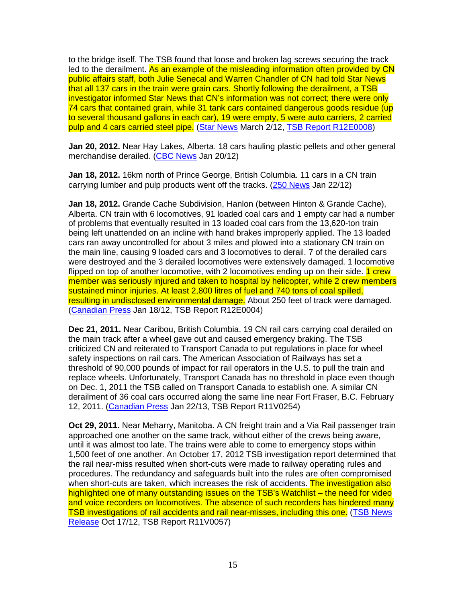to the bridge itself. The TSB found that loose and broken lag screws securing the track led to the derailment. As an example of the misleading information often provided by CN public affairs staff, both Julie Senecal and Warren Chandler of CN had told Star News that all 137 cars in the train were grain cars. Shortly following the derailment, a TSB investigator informed Star News that CN's information was not correct; there were only 74 cars that contained grain, while 31 tank cars contained dangerous goods residue (up to several thousand gallons in each car), 19 were empty, 5 were auto carriers, 2 carried pulp and 4 cars carried steel pipe. (Star News March 2/12, TSB Report R12E0008)

**Jan 20, 2012.** Near Hay Lakes, Alberta. 18 cars hauling plastic pellets and other general merchandise derailed. (CBC News Jan 20/12)

**Jan 18, 2012.** 16km north of Prince George, British Columbia. 11 cars in a CN train carrying lumber and pulp products went off the tracks. (250 News Jan 22/12)

**Jan 18, 2012.** Grande Cache Subdivision, Hanlon (between Hinton & Grande Cache), Alberta. CN train with 6 locomotives, 91 loaded coal cars and 1 empty car had a number of problems that eventually resulted in 13 loaded coal cars from the 13,620-ton train being left unattended on an incline with hand brakes improperly applied. The 13 loaded cars ran away uncontrolled for about 3 miles and plowed into a stationary CN train on the main line, causing 9 loaded cars and 3 locomotives to derail. 7 of the derailed cars were destroyed and the 3 derailed locomotives were extensively damaged. 1 locomotive flipped on top of another locomotive, with 2 locomotives ending up on their side. 1 crew member was seriously injured and taken to hospital by helicopter, while 2 crew members sustained minor injuries. At least 2,800 litres of fuel and 740 tons of coal spilled, resulting in undisclosed environmental damage. About 250 feet of track were damaged. (Canadian Press Jan 18/12, TSB Report R12E0004)

**Dec 21, 2011.** Near Caribou, British Columbia. 19 CN rail cars carrying coal derailed on the main track after a wheel gave out and caused emergency braking. The TSB criticized CN and reiterated to Transport Canada to put regulations in place for wheel safety inspections on rail cars. The American Association of Railways has set a threshold of 90,000 pounds of impact for rail operators in the U.S. to pull the train and replace wheels. Unfortunately, Transport Canada has no threshold in place even though on Dec. 1, 2011 the TSB called on Transport Canada to establish one. A similar CN derailment of 36 coal cars occurred along the same line near Fort Fraser, B.C. February 12, 2011. (Canadian Press Jan 22/13, TSB Report R11V0254)

**Oct 29, 2011.** Near Meharry, Manitoba. A CN freight train and a Via Rail passenger train approached one another on the same track, without either of the crews being aware, until it was almost too late. The trains were able to come to emergency stops within 1,500 feet of one another. An October 17, 2012 TSB investigation report determined that the rail near-miss resulted when short-cuts were made to railway operating rules and procedures. The redundancy and safeguards built into the rules are often compromised when short-cuts are taken, which increases the risk of accidents. The investigation also highlighted one of many outstanding issues on the TSB's Watchlist – the need for video and voice recorders on locomotives. The absence of such recorders has hindered many TSB investigations of rail accidents and rail near-misses, including this one. (TSB News Release Oct 17/12, TSB Report R11V0057)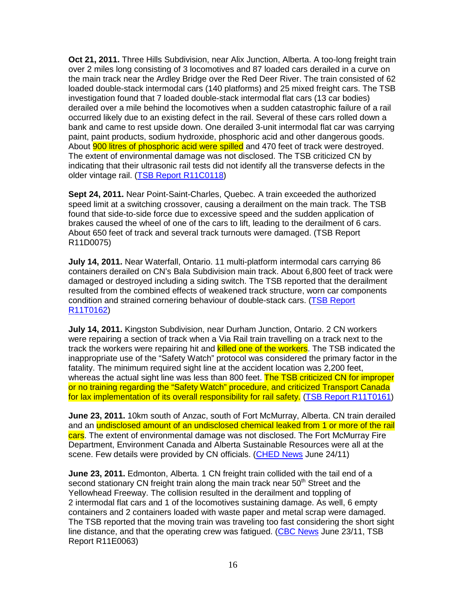**Oct 21, 2011.** Three Hills Subdivision, near Alix Junction, Alberta. A too-long freight train over 2 miles long consisting of 3 locomotives and 87 loaded cars derailed in a curve on the main track near the Ardley Bridge over the Red Deer River. The train consisted of 62 loaded double-stack intermodal cars (140 platforms) and 25 mixed freight cars. The TSB investigation found that 7 loaded double-stack intermodal flat cars (13 car bodies) derailed over a mile behind the locomotives when a sudden catastrophic failure of a rail occurred likely due to an existing defect in the rail. Several of these cars rolled down a bank and came to rest upside down. One derailed 3-unit intermodal flat car was carrying paint, paint products, sodium hydroxide, phosphoric acid and other dangerous goods. About **900 litres of phosphoric acid were spilled** and 470 feet of track were destroyed. The extent of environmental damage was not disclosed. The TSB criticized CN by indicating that their ultrasonic rail tests did not identify all the transverse defects in the older vintage rail. (TSB Report R11C0118)

**Sept 24, 2011.** Near Point-Saint-Charles, Quebec. A train exceeded the authorized speed limit at a switching crossover, causing a derailment on the main track. The TSB found that side-to-side force due to excessive speed and the sudden application of brakes caused the wheel of one of the cars to lift, leading to the derailment of 6 cars. About 650 feet of track and several track turnouts were damaged. (TSB Report R11D0075)

**July 14, 2011.** Near Waterfall, Ontario. 11 multi-platform intermodal cars carrying 86 containers derailed on CN's Bala Subdivision main track. About 6,800 feet of track were damaged or destroyed including a siding switch. The TSB reported that the derailment resulted from the combined effects of weakened track structure, worn car components condition and strained cornering behaviour of double-stack cars. (TSB Report R11T0162)

**July 14, 2011.** Kingston Subdivision, near Durham Junction, Ontario. 2 CN workers were repairing a section of track when a Via Rail train travelling on a track next to the track the workers were repairing hit and killed one of the workers. The TSB indicated the inappropriate use of the "Safety Watch" protocol was considered the primary factor in the fatality. The minimum required sight line at the accident location was 2,200 feet, whereas the actual sight line was less than 800 feet. The TSB criticized CN for improper or no training regarding the "Safety Watch" procedure, and criticized Transport Canada for lax implementation of its overall responsibility for rail safety. (TSB Report R11T0161)

**June 23, 2011.** 10km south of Anzac, south of Fort McMurray, Alberta. CN train derailed and an undisclosed amount of an undisclosed chemical leaked from 1 or more of the rail cars. The extent of environmental damage was not disclosed. The Fort McMurray Fire Department, Environment Canada and Alberta Sustainable Resources were all at the scene. Few details were provided by CN officials. (CHED News June 24/11)

**June 23, 2011.** Edmonton, Alberta. 1 CN freight train collided with the tail end of a second stationary CN freight train along the main track near 50<sup>th</sup> Street and the Yellowhead Freeway. The collision resulted in the derailment and toppling of 2 intermodal flat cars and 1 of the locomotives sustaining damage. As well, 6 empty containers and 2 containers loaded with waste paper and metal scrap were damaged. The TSB reported that the moving train was traveling too fast considering the short sight line distance, and that the operating crew was fatigued. (CBC News June 23/11, TSB Report R11E0063)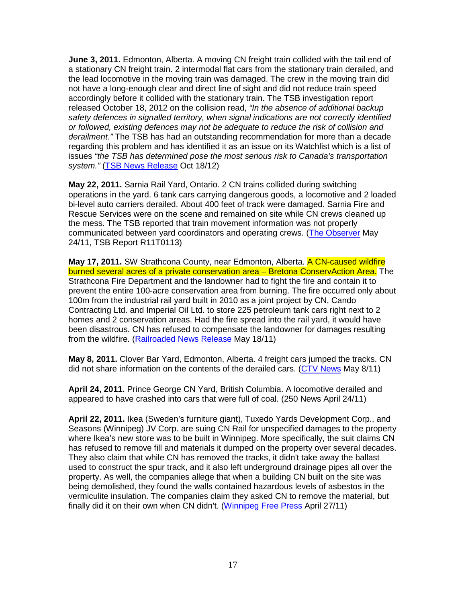**June 3, 2011.** Edmonton, Alberta. A moving CN freight train collided with the tail end of a stationary CN freight train. 2 intermodal flat cars from the stationary train derailed, and the lead locomotive in the moving train was damaged. The crew in the moving train did not have a long-enough clear and direct line of sight and did not reduce train speed accordingly before it collided with the stationary train. The TSB investigation report released October 18, 2012 on the collision read, "In the absence of additional backup safety defences in signalled territory, when signal indications are not correctly identified or followed, existing defences may not be adequate to reduce the risk of collision and derailment." The TSB has had an outstanding recommendation for more than a decade regarding this problem and has identified it as an issue on its Watchlist which is a list of issues "the TSB has determined pose the most serious risk to Canada's transportation system." (TSB News Release Oct 18/12)

**May 22, 2011.** Sarnia Rail Yard, Ontario. 2 CN trains collided during switching operations in the yard. 6 tank cars carrying dangerous goods, a locomotive and 2 loaded bi-level auto carriers derailed. About 400 feet of track were damaged. Sarnia Fire and Rescue Services were on the scene and remained on site while CN crews cleaned up the mess. The TSB reported that train movement information was not properly communicated between yard coordinators and operating crews. (The Observer May 24/11, TSB Report R11T0113)

**May 17, 2011.** SW Strathcona County, near Edmonton, Alberta. A CN-caused wildfire burned several acres of a private conservation area – Bretona ConservAction Area. The Strathcona Fire Department and the landowner had to fight the fire and contain it to prevent the entire 100-acre conservation area from burning. The fire occurred only about 100m from the industrial rail yard built in 2010 as a joint project by CN, Cando Contracting Ltd. and Imperial Oil Ltd. to store 225 petroleum tank cars right next to 2 homes and 2 conservation areas. Had the fire spread into the rail yard, it would have been disastrous. CN has refused to compensate the landowner for damages resulting from the wildfire. (Railroaded News Release May 18/11)

**May 8, 2011.** Clover Bar Yard, Edmonton, Alberta. 4 freight cars jumped the tracks. CN did not share information on the contents of the derailed cars. (CTV News May 8/11)

**April 24, 2011.** Prince George CN Yard, British Columbia. A locomotive derailed and appeared to have crashed into cars that were full of coal. (250 News April 24/11)

**April 22, 2011.** Ikea (Sweden's furniture giant), Tuxedo Yards Development Corp., and Seasons (Winnipeg) JV Corp. are suing CN Rail for unspecified damages to the property where Ikea's new store was to be built in Winnipeg. More specifically, the suit claims CN has refused to remove fill and materials it dumped on the property over several decades. They also claim that while CN has removed the tracks, it didn't take away the ballast used to construct the spur track, and it also left underground drainage pipes all over the property. As well, the companies allege that when a building CN built on the site was being demolished, they found the walls contained hazardous levels of asbestos in the vermiculite insulation. The companies claim they asked CN to remove the material, but finally did it on their own when CN didn't. (Winnipeg Free Press April 27/11)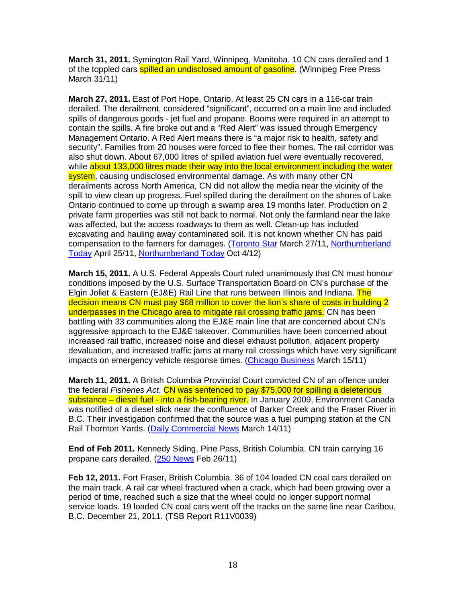**March 31, 2011.** Symington Rail Yard, Winnipeg, Manitoba. 10 CN cars derailed and 1 of the toppled cars **spilled an undisclosed amount of gasoline**. (Winnipeg Free Press March 31/11)

**March 27, 2011.** East of Port Hope, Ontario. At least 25 CN cars in a 116-car train derailed. The derailment, considered "significant", occurred on a main line and included spills of dangerous goods - jet fuel and propane. Booms were required in an attempt to contain the spills. A fire broke out and a "Red Alert" was issued through Emergency Management Ontario. A Red Alert means there is "a major risk to health, safety and security". Families from 20 houses were forced to flee their homes. The rail corridor was also shut down. About 67,000 litres of spilled aviation fuel were eventually recovered, while about 133,000 litres made their way into the local environment including the water system, causing undisclosed environmental damage. As with many other CN derailments across North America, CN did not allow the media near the vicinity of the spill to view clean up progress. Fuel spilled during the derailment on the shores of Lake Ontario continued to come up through a swamp area 19 months later. Production on 2 private farm properties was still not back to normal. Not only the farmland near the lake was affected, but the access roadways to them as well. Clean-up has included excavating and hauling away contaminated soil. It is not known whether CN has paid compensation to the farmers for damages. (Toronto Star March 27/11, Northumberland Today April 25/11, Northumberland Today Oct 4/12)

**March 15, 2011.** A U.S. Federal Appeals Court ruled unanimously that CN must honour conditions imposed by the U.S. Surface Transportation Board on CN's purchase of the Elgin Joliet & Eastern (EJ&E) Rail Line that runs between Illinois and Indiana. The decision means CN must pay \$68 million to cover the lion's share of costs in building 2 underpasses in the Chicago area to mitigate rail crossing traffic jams. CN has been battling with 33 communities along the EJ&E main line that are concerned about CN's aggressive approach to the EJ&E takeover. Communities have been concerned about increased rail traffic, increased noise and diesel exhaust pollution, adjacent property devaluation, and increased traffic jams at many rail crossings which have very significant impacts on emergency vehicle response times. (Chicago Business March 15/11)

**March 11, 2011.** A British Columbia Provincial Court convicted CN of an offence under the federal Fisheries Act. CN was sentenced to pay \$75,000 for spilling a deleterious substance – diesel fuel - into a fish-bearing river. In January 2009, Environment Canada was notified of a diesel slick near the confluence of Barker Creek and the Fraser River in B.C. Their investigation confirmed that the source was a fuel pumping station at the CN Rail Thornton Yards. (Daily Commercial News March 14/11)

**End of Feb 2011.** Kennedy Siding, Pine Pass, British Columbia. CN train carrying 16 propane cars derailed. (250 News Feb 26/11)

**Feb 12, 2011.** Fort Fraser, British Columbia. 36 of 104 loaded CN coal cars derailed on the main track. A rail car wheel fractured when a crack, which had been growing over a period of time, reached such a size that the wheel could no longer support normal service loads. 19 loaded CN coal cars went off the tracks on the same line near Caribou, B.C. December 21, 2011. (TSB Report R11V0039)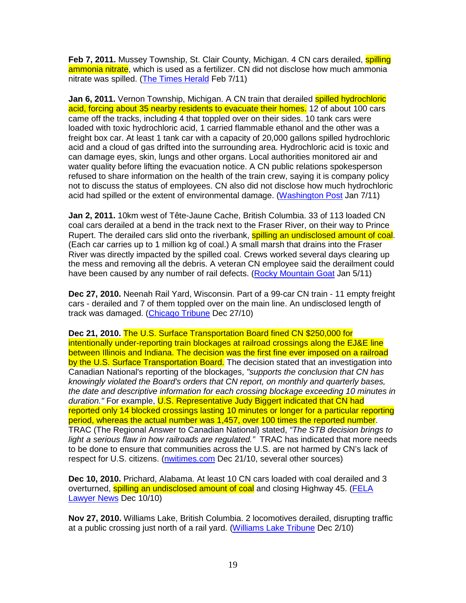**Feb 7, 2011.** Mussey Township, St. Clair County, Michigan. 4 CN cars derailed, **spilling** ammonia nitrate, which is used as a fertilizer. CN did not disclose how much ammonia nitrate was spilled. (The Times Herald Feb 7/11)

**Jan 6, 2011.** Vernon Township, Michigan. A CN train that derailed spilled hydrochloric acid, forcing about 35 nearby residents to evacuate their homes. 12 of about 100 cars came off the tracks, including 4 that toppled over on their sides. 10 tank cars were loaded with toxic hydrochloric acid, 1 carried flammable ethanol and the other was a freight box car. At least 1 tank car with a capacity of 20,000 gallons spilled hydrochloric acid and a cloud of gas drifted into the surrounding area. Hydrochloric acid is toxic and can damage eyes, skin, lungs and other organs. Local authorities monitored air and water quality before lifting the evacuation notice. A CN public relations spokesperson refused to share information on the health of the train crew, saying it is company policy not to discuss the status of employees. CN also did not disclose how much hydrochloric acid had spilled or the extent of environmental damage. (Washington Post Jan 7/11)

**Jan 2, 2011.** 10km west of Tête-Jaune Cache, British Columbia. 33 of 113 loaded CN coal cars derailed at a bend in the track next to the Fraser River, on their way to Prince Rupert. The derailed cars slid onto the riverbank, **spilling an undisclosed amount of coal**. (Each car carries up to 1 million kg of coal.) A small marsh that drains into the Fraser River was directly impacted by the spilled coal. Crews worked several days clearing up the mess and removing all the debris. A veteran CN employee said the derailment could have been caused by any number of rail defects. (Rocky Mountain Goat Jan 5/11)

**Dec 27, 2010.** Neenah Rail Yard, Wisconsin. Part of a 99-car CN train - 11 empty freight cars - derailed and 7 of them toppled over on the main line. An undisclosed length of track was damaged. (Chicago Tribune Dec 27/10)

**Dec 21, 2010.** The U.S. Surface Transportation Board fined CN \$250,000 for intentionally under-reporting train blockages at railroad crossings along the EJ&E line between Illinois and Indiana. The decision was the first fine ever imposed on a railroad by the U.S. Surface Transportation Board. The decision stated that an investigation into Canadian National's reporting of the blockages, "supports the conclusion that CN has knowingly violated the Board's orders that CN report, on monthly and quarterly bases, the date and descriptive information for each crossing blockage exceeding 10 minutes in duration." For example, U.S. Representative Judy Biggert indicated that CN had reported only 14 blocked crossings lasting 10 minutes or longer for a particular reporting period, whereas the actual number was 1,457, over 100 times the reported number. TRAC (The Regional Answer to Canadian National) stated, "The STB decision brings to light a serious flaw in how railroads are regulated." TRAC has indicated that more needs to be done to ensure that communities across the U.S. are not harmed by CN's lack of respect for U.S. citizens. (nwitimes.com Dec 21/10, several other sources)

**Dec 10, 2010.** Prichard, Alabama. At least 10 CN cars loaded with coal derailed and 3 overturned, spilling an undisclosed amount of coal and closing Highway 45. (FELA Lawyer News Dec 10/10)

**Nov 27, 2010.** Williams Lake, British Columbia. 2 locomotives derailed, disrupting traffic at a public crossing just north of a rail yard. (Williams Lake Tribune Dec 2/10)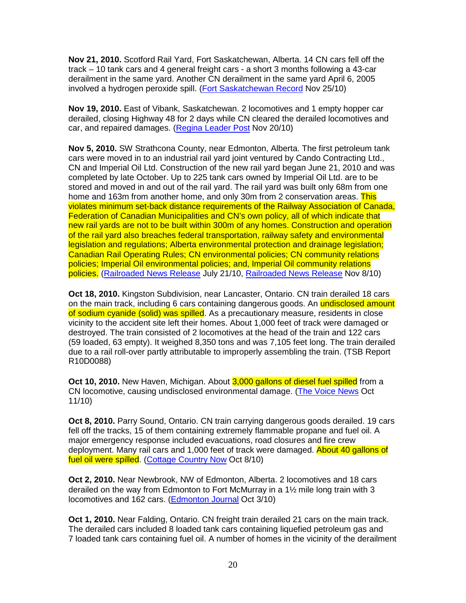**Nov 21, 2010.** Scotford Rail Yard, Fort Saskatchewan, Alberta. 14 CN cars fell off the track – 10 tank cars and 4 general freight cars - a short 3 months following a 43-car derailment in the same yard. Another CN derailment in the same yard April 6, 2005 involved a hydrogen peroxide spill. (Fort Saskatchewan Record Nov 25/10)

**Nov 19, 2010.** East of Vibank, Saskatchewan. 2 locomotives and 1 empty hopper car derailed, closing Highway 48 for 2 days while CN cleared the derailed locomotives and car, and repaired damages. (Regina Leader Post Nov 20/10)

**Nov 5, 2010.** SW Strathcona County, near Edmonton, Alberta. The first petroleum tank cars were moved in to an industrial rail yard joint ventured by Cando Contracting Ltd., CN and Imperial Oil Ltd. Construction of the new rail yard began June 21, 2010 and was completed by late October. Up to 225 tank cars owned by Imperial Oil Ltd. are to be stored and moved in and out of the rail yard. The rail yard was built only 68m from one home and 163m from another home, and only 30m from 2 conservation areas. This violates minimum set-back distance requirements of the Railway Association of Canada, Federation of Canadian Municipalities and CN's own policy, all of which indicate that new rail yards are not to be built within 300m of any homes. Construction and operation of the rail yard also breaches federal transportation, railway safety and environmental legislation and regulations; Alberta environmental protection and drainage legislation; Canadian Rail Operating Rules; CN environmental policies; CN community relations policies; Imperial Oil environmental policies; and, Imperial Oil community relations policies. (Railroaded News Release July 21/10, Railroaded News Release Nov 8/10)

**Oct 18, 2010.** Kingston Subdivision, near Lancaster, Ontario. CN train derailed 18 cars on the main track, including 6 cars containing dangerous goods. An **undisclosed amount** of sodium cyanide (solid) was spilled. As a precautionary measure, residents in close vicinity to the accident site left their homes. About 1,000 feet of track were damaged or destroyed. The train consisted of 2 locomotives at the head of the train and 122 cars (59 loaded, 63 empty). It weighed 8,350 tons and was 7,105 feet long. The train derailed due to a rail roll-over partly attributable to improperly assembling the train. (TSB Report R10D0088)

**Oct 10, 2010.** New Haven, Michigan. About 3,000 gallons of diesel fuel spilled from a CN locomotive, causing undisclosed environmental damage. (The Voice News Oct 11/10)

**Oct 8, 2010.** Parry Sound, Ontario. CN train carrying dangerous goods derailed. 19 cars fell off the tracks, 15 of them containing extremely flammable propane and fuel oil. A major emergency response included evacuations, road closures and fire crew deployment. Many rail cars and 1,000 feet of track were damaged. About 40 gallons of fuel oil were spilled. (Cottage Country Now Oct 8/10)

**Oct 2, 2010.** Near Newbrook, NW of Edmonton, Alberta. 2 locomotives and 18 cars derailed on the way from Edmonton to Fort McMurray in a 1½ mile long train with 3 locomotives and 162 cars. (Edmonton Journal Oct 3/10)

**Oct 1, 2010.** Near Falding, Ontario. CN freight train derailed 21 cars on the main track. The derailed cars included 8 loaded tank cars containing liquefied petroleum gas and 7 loaded tank cars containing fuel oil. A number of homes in the vicinity of the derailment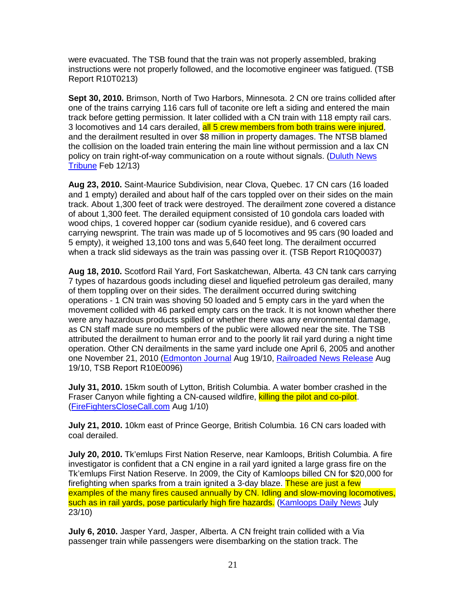were evacuated. The TSB found that the train was not properly assembled, braking instructions were not properly followed, and the locomotive engineer was fatigued. (TSB Report R10T0213)

**Sept 30, 2010.** Brimson, North of Two Harbors, Minnesota. 2 CN ore trains collided after one of the trains carrying 116 cars full of taconite ore left a siding and entered the main track before getting permission. It later collided with a CN train with 118 empty rail cars. 3 locomotives and 14 cars derailed, all 5 crew members from both trains were injured, and the derailment resulted in over \$8 million in property damages. The NTSB blamed the collision on the loaded train entering the main line without permission and a lax CN policy on train right-of-way communication on a route without signals. (Duluth News Tribune Feb 12/13)

**Aug 23, 2010.** Saint-Maurice Subdivision, near Clova, Quebec. 17 CN cars (16 loaded and 1 empty) derailed and about half of the cars toppled over on their sides on the main track. About 1,300 feet of track were destroyed. The derailment zone covered a distance of about 1,300 feet. The derailed equipment consisted of 10 gondola cars loaded with wood chips, 1 covered hopper car (sodium cyanide residue), and 6 covered cars carrying newsprint. The train was made up of 5 locomotives and 95 cars (90 loaded and 5 empty), it weighed 13,100 tons and was 5,640 feet long. The derailment occurred when a track slid sideways as the train was passing over it. (TSB Report R10Q0037)

**Aug 18, 2010.** Scotford Rail Yard, Fort Saskatchewan, Alberta. 43 CN tank cars carrying 7 types of hazardous goods including diesel and liquefied petroleum gas derailed, many of them toppling over on their sides. The derailment occurred during switching operations - 1 CN train was shoving 50 loaded and 5 empty cars in the yard when the movement collided with 46 parked empty cars on the track. It is not known whether there were any hazardous products spilled or whether there was any environmental damage, as CN staff made sure no members of the public were allowed near the site. The TSB attributed the derailment to human error and to the poorly lit rail yard during a night time operation. Other CN derailments in the same yard include one April 6, 2005 and another one November 21, 2010 (Edmonton Journal Aug 19/10, Railroaded News Release Aug 19/10, TSB Report R10E0096)

**July 31, 2010.** 15km south of Lytton, British Columbia. A water bomber crashed in the Fraser Canyon while fighting a CN-caused wildfire, killing the pilot and co-pilot. (FireFightersCloseCall.com Aug 1/10)

**July 21, 2010.** 10km east of Prince George, British Columbia. 16 CN cars loaded with coal derailed.

**July 20, 2010.** Tk'emlups First Nation Reserve, near Kamloops, British Columbia. A fire investigator is confident that a CN engine in a rail yard ignited a large grass fire on the Tk'emlups First Nation Reserve. In 2009, the City of Kamloops billed CN for \$20,000 for firefighting when sparks from a train ignited a 3-day blaze. These are just a few examples of the many fires caused annually by CN. Idling and slow-moving locomotives, such as in rail yards, pose particularly high fire hazards. (Kamloops Daily News July 23/10)

**July 6, 2010.** Jasper Yard, Jasper, Alberta. A CN freight train collided with a Via passenger train while passengers were disembarking on the station track. The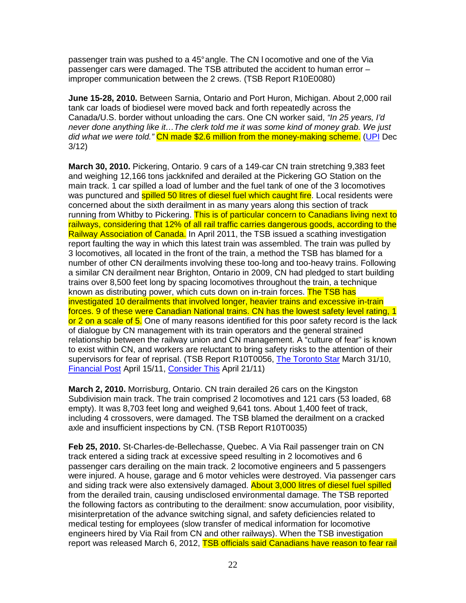passenger train was pushed to a 45° angle. The CN l ocomotive and one of the Via passenger cars were damaged. The TSB attributed the accident to human error – improper communication between the 2 crews. (TSB Report R10E0080)

**June 15-28, 2010.** Between Sarnia, Ontario and Port Huron, Michigan. About 2,000 rail tank car loads of biodiesel were moved back and forth repeatedly across the Canada/U.S. border without unloading the cars. One CN worker said, "In 25 years, I'd never done anything like it…The clerk told me it was some kind of money grab. We just did what we were told." CN made \$2.6 million from the money-making scheme. (UPI Dec 3/12)

**March 30, 2010.** Pickering, Ontario. 9 cars of a 149-car CN train stretching 9,383 feet and weighing 12,166 tons jackknifed and derailed at the Pickering GO Station on the main track. 1 car spilled a load of lumber and the fuel tank of one of the 3 locomotives was punctured and **spilled 50 litres of diesel fuel which caught fire**. Local residents were concerned about the sixth derailment in as many years along this section of track running from Whitby to Pickering. This is of particular concern to Canadians living next to railways, considering that 12% of all rail traffic carries dangerous goods, according to the Railway Association of Canada. In April 2011, the TSB issued a scathing investigation report faulting the way in which this latest train was assembled. The train was pulled by 3 locomotives, all located in the front of the train, a method the TSB has blamed for a number of other CN derailments involving these too-long and too-heavy trains. Following a similar CN derailment near Brighton, Ontario in 2009, CN had pledged to start building trains over 8,500 feet long by spacing locomotives throughout the train, a technique known as distributing power, which cuts down on in-train forces. The TSB has investigated 10 derailments that involved longer, heavier trains and excessive in-train forces. 9 of these were Canadian National trains. CN has the lowest safety level rating, 1 or 2 on a scale of 5. One of many reasons identified for this poor safety record is the lack of dialogue by CN management with its train operators and the general strained relationship between the railway union and CN management. A "culture of fear" is known to exist within CN, and workers are reluctant to bring safety risks to the attention of their supervisors for fear of reprisal. (TSB Report R10T0056, The Toronto Star March 31/10, Financial Post April 15/11, Consider This April 21/11)

**March 2, 2010.** Morrisburg, Ontario. CN train derailed 26 cars on the Kingston Subdivision main track. The train comprised 2 locomotives and 121 cars (53 loaded, 68 empty). It was 8,703 feet long and weighed 9,641 tons. About 1,400 feet of track, including 4 crossovers, were damaged. The TSB blamed the derailment on a cracked axle and insufficient inspections by CN. (TSB Report R10T0035)

**Feb 25, 2010.** St-Charles-de-Bellechasse, Quebec. A Via Rail passenger train on CN track entered a siding track at excessive speed resulting in 2 locomotives and 6 passenger cars derailing on the main track. 2 locomotive engineers and 5 passengers were injured. A house, garage and 6 motor vehicles were destroyed. Via passenger cars and siding track were also extensively damaged. About 3,000 litres of diesel fuel spilled from the derailed train, causing undisclosed environmental damage. The TSB reported the following factors as contributing to the derailment: snow accumulation, poor visibility, misinterpretation of the advance switching signal, and safety deficiencies related to medical testing for employees (slow transfer of medical information for locomotive engineers hired by Via Rail from CN and other railways). When the TSB investigation report was released March 6, 2012, TSB officials said Canadians have reason to fear rail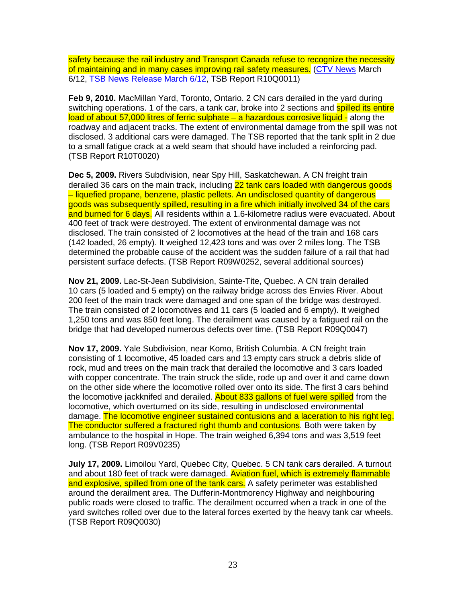safety because the rail industry and Transport Canada refuse to recognize the necessity of maintaining and in many cases improving rail safety measures. (CTV News March 6/12, TSB News Release March 6/12, TSB Report R10Q0011)

**Feb 9, 2010.** MacMillan Yard, Toronto, Ontario. 2 CN cars derailed in the yard during switching operations. 1 of the cars, a tank car, broke into 2 sections and spilled its entire load of about 57,000 litres of ferric sulphate – a hazardous corrosive liquid - along the roadway and adjacent tracks. The extent of environmental damage from the spill was not disclosed. 3 additional cars were damaged. The TSB reported that the tank split in 2 due to a small fatigue crack at a weld seam that should have included a reinforcing pad. (TSB Report R10T0020)

**Dec 5, 2009.** Rivers Subdivision, near Spy Hill, Saskatchewan. A CN freight train derailed 36 cars on the main track, including 22 tank cars loaded with dangerous goods – liquefied propane, benzene, plastic pellets. An undisclosed quantity of dangerous goods was subsequently spilled, resulting in a fire which initially involved 34 of the cars and burned for 6 days. All residents within a 1.6-kilometre radius were evacuated. About 400 feet of track were destroyed. The extent of environmental damage was not disclosed. The train consisted of 2 locomotives at the head of the train and 168 cars (142 loaded, 26 empty). It weighed 12,423 tons and was over 2 miles long. The TSB determined the probable cause of the accident was the sudden failure of a rail that had persistent surface defects. (TSB Report R09W0252, several additional sources)

**Nov 21, 2009.** Lac-St-Jean Subdivision, Sainte-Tite, Quebec. A CN train derailed 10 cars (5 loaded and 5 empty) on the railway bridge across des Envies River. About 200 feet of the main track were damaged and one span of the bridge was destroyed. The train consisted of 2 locomotives and 11 cars (5 loaded and 6 empty). It weighed 1,250 tons and was 850 feet long. The derailment was caused by a fatigued rail on the bridge that had developed numerous defects over time. (TSB Report R09Q0047)

**Nov 17, 2009.** Yale Subdivision, near Komo, British Columbia. A CN freight train consisting of 1 locomotive, 45 loaded cars and 13 empty cars struck a debris slide of rock, mud and trees on the main track that derailed the locomotive and 3 cars loaded with copper concentrate. The train struck the slide, rode up and over it and came down on the other side where the locomotive rolled over onto its side. The first 3 cars behind the locomotive jackknifed and derailed. About 833 gallons of fuel were spilled from the locomotive, which overturned on its side, resulting in undisclosed environmental damage. The locomotive engineer sustained contusions and a laceration to his right leg. The conductor suffered a fractured right thumb and contusions. Both were taken by ambulance to the hospital in Hope. The train weighed 6,394 tons and was 3,519 feet long. (TSB Report R09V0235)

**July 17, 2009.** Limoilou Yard, Quebec City, Quebec. 5 CN tank cars derailed. A turnout and about 180 feet of track were damaged. Aviation fuel, which is extremely flammable and explosive, spilled from one of the tank cars. A safety perimeter was established around the derailment area. The Dufferin-Montmorency Highway and neighbouring public roads were closed to traffic. The derailment occurred when a track in one of the yard switches rolled over due to the lateral forces exerted by the heavy tank car wheels. (TSB Report R09Q0030)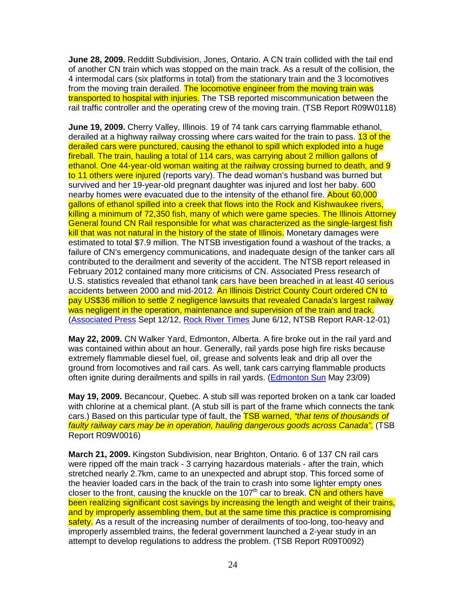**June 28, 2009.** Redditt Subdivision, Jones, Ontario. A CN train collided with the tail end of another CN train which was stopped on the main track. As a result of the collision, the 4 intermodal cars (six platforms in total) from the stationary train and the 3 locomotives from the moving train derailed. The locomotive engineer from the moving train was transported to hospital with injuries. The TSB reported miscommunication between the rail traffic controller and the operating crew of the moving train. (TSB Report R09W0118)

**June 19, 2009.** Cherry Valley, Illinois. 19 of 74 tank cars carrying flammable ethanol, derailed at a highway railway crossing where cars waited for the train to pass. 13 of the derailed cars were punctured, causing the ethanol to spill which exploded into a huge fireball. The train, hauling a total of 114 cars, was carrying about 2 million gallons of ethanol. One 44-year-old woman waiting at the railway crossing burned to death, and 9 to 11 others were injured (reports vary). The dead woman's husband was burned but survived and her 19-year-old pregnant daughter was injured and lost her baby. 600 nearby homes were evacuated due to the intensity of the ethanol fire. About 60,000 gallons of ethanol spilled into a creek that flows into the Rock and Kishwaukee rivers, killing a minimum of 72,350 fish, many of which were game species. The Illinois Attorney General found CN Rail responsible for what was characterized as the single-largest fish kill that was not natural in the history of the state of Illinois. Monetary damages were estimated to total \$7.9 million. The NTSB investigation found a washout of the tracks, a failure of CN's emergency communications, and inadequate design of the tanker cars all contributed to the derailment and severity of the accident. The NTSB report released in February 2012 contained many more criticisms of CN. Associated Press research of U.S. statistics revealed that ethanol tank cars have been breached in at least 40 serious accidents between 2000 and mid-2012. An Illinois District County Court ordered CN to pay US\$36 million to settle 2 negligence lawsuits that revealed Canada's largest railway was negligent in the operation, maintenance and supervision of the train and track. (Associated Press Sept 12/12, Rock River Times June 6/12, NTSB Report RAR-12-01)

**May 22, 2009.** CN Walker Yard, Edmonton, Alberta. A fire broke out in the rail yard and was contained within about an hour. Generally, rail yards pose high fire risks because extremely flammable diesel fuel, oil, grease and solvents leak and drip all over the ground from locomotives and rail cars. As well, tank cars carrying flammable products often ignite during derailments and spills in rail yards. (Edmonton Sun May 23/09)

**May 19, 2009.** Becancour, Quebec. A stub sill was reported broken on a tank car loaded with chlorine at a chemical plant. (A stub sill is part of the frame which connects the tank cars.) Based on this particular type of fault, the **TSB warned, "that tens of thousands of** faulty railway cars may be in operation, hauling dangerous goods across Canada". (TSB Report R09W0016)

**March 21, 2009.** Kingston Subdivision, near Brighton, Ontario. 6 of 137 CN rail cars were ripped off the main track - 3 carrying hazardous materials - after the train, which stretched nearly 2.7km, came to an unexpected and abrupt stop. This forced some of the heavier loaded cars in the back of the train to crash into some lighter empty ones closer to the front, causing the knuckle on the 107<sup>th</sup> car to break. CN and others have been realizing significant cost savings by increasing the length and weight of their trains, and by improperly assembling them, but at the same time this practice is compromising safety. As a result of the increasing number of derailments of too-long, too-heavy and improperly assembled trains, the federal government launched a 2-year study in an attempt to develop regulations to address the problem. (TSB Report R09T0092)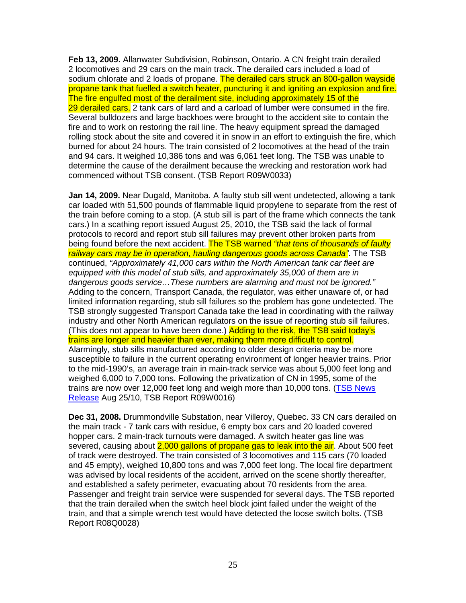**Feb 13, 2009.** Allanwater Subdivision, Robinson, Ontario. A CN freight train derailed 2 locomotives and 29 cars on the main track. The derailed cars included a load of sodium chlorate and 2 loads of propane. The derailed cars struck an 800-gallon wayside propane tank that fuelled a switch heater, puncturing it and igniting an explosion and fire. The fire engulfed most of the derailment site, including approximately 15 of the 29 derailed cars. 2 tank cars of lard and a carload of lumber were consumed in the fire. Several bulldozers and large backhoes were brought to the accident site to contain the fire and to work on restoring the rail line. The heavy equipment spread the damaged rolling stock about the site and covered it in snow in an effort to extinguish the fire, which burned for about 24 hours. The train consisted of 2 locomotives at the head of the train and 94 cars. It weighed 10,386 tons and was 6,061 feet long. The TSB was unable to determine the cause of the derailment because the wrecking and restoration work had commenced without TSB consent. (TSB Report R09W0033)

**Jan 14, 2009.** Near Dugald, Manitoba. A faulty stub sill went undetected, allowing a tank car loaded with 51,500 pounds of flammable liquid propylene to separate from the rest of the train before coming to a stop. (A stub sill is part of the frame which connects the tank cars.) In a scathing report issued August 25, 2010, the TSB said the lack of formal protocols to record and report stub sill failures may prevent other broken parts from being found before the next accident. The TSB warned "that tens of thousands of faulty railway cars may be in operation, hauling dangerous goods across Canada". The TSB continued, "Approximately 41,000 cars within the North American tank car fleet are equipped with this model of stub sills, and approximately 35,000 of them are in dangerous goods service…These numbers are alarming and must not be ignored." Adding to the concern, Transport Canada, the regulator, was either unaware of, or had limited information regarding, stub sill failures so the problem has gone undetected. The TSB strongly suggested Transport Canada take the lead in coordinating with the railway industry and other North American regulators on the issue of reporting stub sill failures. (This does not appear to have been done.) Adding to the risk, the TSB said today's trains are longer and heavier than ever, making them more difficult to control. Alarmingly, stub sills manufactured according to older design criteria may be more susceptible to failure in the current operating environment of longer heavier trains. Prior to the mid-1990's, an average train in main-track service was about 5,000 feet long and weighed 6,000 to 7,000 tons. Following the privatization of CN in 1995, some of the trains are now over 12,000 feet long and weigh more than 10,000 tons. (TSB News Release Aug 25/10, TSB Report R09W0016)

**Dec 31, 2008.** Drummondville Substation, near Villeroy, Quebec. 33 CN cars derailed on the main track - 7 tank cars with residue, 6 empty box cars and 20 loaded covered hopper cars. 2 main-track turnouts were damaged. A switch heater gas line was severed, causing about 2,000 gallons of propane gas to leak into the air. About 500 feet of track were destroyed. The train consisted of 3 locomotives and 115 cars (70 loaded and 45 empty), weighed 10,800 tons and was 7,000 feet long. The local fire department was advised by local residents of the accident, arrived on the scene shortly thereafter, and established a safety perimeter, evacuating about 70 residents from the area. Passenger and freight train service were suspended for several days. The TSB reported that the train derailed when the switch heel block joint failed under the weight of the train, and that a simple wrench test would have detected the loose switch bolts. (TSB Report R08Q0028)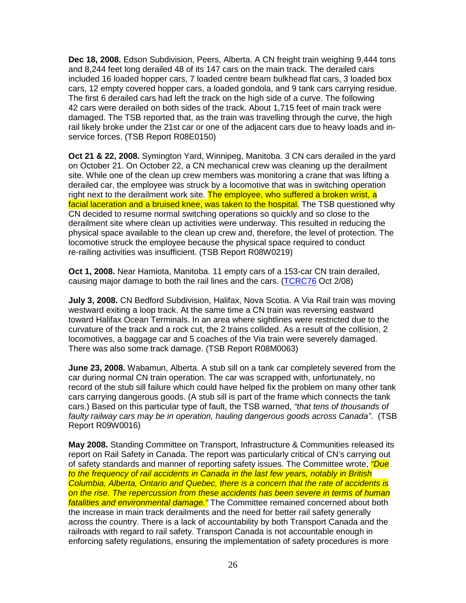**Dec 18, 2008.** Edson Subdivision, Peers, Alberta. A CN freight train weighing 9,444 tons and 8,244 feet long derailed 48 of its 147 cars on the main track. The derailed cars included 16 loaded hopper cars, 7 loaded centre beam bulkhead flat cars, 3 loaded box cars, 12 empty covered hopper cars, a loaded gondola, and 9 tank cars carrying residue. The first 6 derailed cars had left the track on the high side of a curve. The following 42 cars were derailed on both sides of the track. About 1,715 feet of main track were damaged. The TSB reported that, as the train was travelling through the curve, the high rail likely broke under the 21st car or one of the adjacent cars due to heavy loads and inservice forces. (TSB Report R08E0150)

**Oct 21 & 22, 2008.** Symington Yard, Winnipeg, Manitoba. 3 CN cars derailed in the yard on October 21. On October 22, a CN mechanical crew was cleaning up the derailment site. While one of the clean up crew members was monitoring a crane that was lifting a derailed car, the employee was struck by a locomotive that was in switching operation right next to the derailment work site. The employee, who suffered a broken wrist, a facial laceration and a bruised knee, was taken to the hospital. The TSB questioned why CN decided to resume normal switching operations so quickly and so close to the derailment site where clean up activities were underway. This resulted in reducing the physical space available to the clean up crew and, therefore, the level of protection. The locomotive struck the employee because the physical space required to conduct re-railing activities was insufficient. (TSB Report R08W0219)

**Oct 1, 2008.** Near Hamiota, Manitoba. 11 empty cars of a 153-car CN train derailed, causing major damage to both the rail lines and the cars. (TCRC76 Oct 2/08)

**July 3, 2008.** CN Bedford Subdivision, Halifax, Nova Scotia. A Via Rail train was moving westward exiting a loop track. At the same time a CN train was reversing eastward toward Halifax Ocean Terminals. In an area where sightlines were restricted due to the curvature of the track and a rock cut, the 2 trains collided. As a result of the collision, 2 locomotives, a baggage car and 5 coaches of the Via train were severely damaged. There was also some track damage. (TSB Report R08M0063)

**June 23, 2008.** Wabamun, Alberta. A stub sill on a tank car completely severed from the car during normal CN train operation. The car was scrapped with, unfortunately, no record of the stub sill failure which could have helped fix the problem on many other tank cars carrying dangerous goods. (A stub sill is part of the frame which connects the tank cars.) Based on this particular type of fault, the TSB warned, "that tens of thousands of faulty railway cars may be in operation, hauling dangerous goods across Canada". (TSB Report R09W0016)

**May 2008.** Standing Committee on Transport, Infrastructure & Communities released its report on Rail Safety in Canada. The report was particularly critical of CN's carrying out of safety standards and manner of reporting safety issues. The Committee wrote, *"Due* to the frequency of rail accidents in Canada in the last few years, notably in British Columbia, Alberta, Ontario and Quebec, there is a concern that the rate of accidents is on the rise. The repercussion from these accidents has been severe in terms of human fatalities and environmental damage." The Committee remained concerned about both the increase in main track derailments and the need for better rail safety generally across the country. There is a lack of accountability by both Transport Canada and the railroads with regard to rail safety. Transport Canada is not accountable enough in enforcing safety regulations, ensuring the implementation of safety procedures is more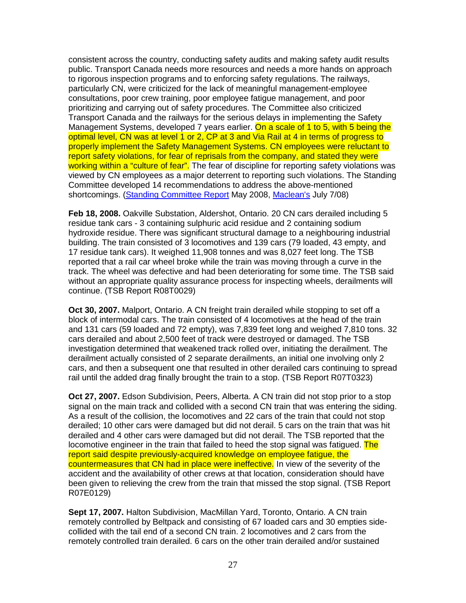consistent across the country, conducting safety audits and making safety audit results public. Transport Canada needs more resources and needs a more hands on approach to rigorous inspection programs and to enforcing safety regulations. The railways, particularly CN, were criticized for the lack of meaningful management-employee consultations, poor crew training, poor employee fatigue management, and poor prioritizing and carrying out of safety procedures. The Committee also criticized Transport Canada and the railways for the serious delays in implementing the Safety Management Systems, developed 7 years earlier. On a scale of 1 to 5, with 5 being the optimal level, CN was at level 1 or 2, CP at 3 and Via Rail at 4 in terms of progress to properly implement the Safety Management Systems. CN employees were reluctant to report safety violations, for fear of reprisals from the company, and stated they were working within a "culture of fear". The fear of discipline for reporting safety violations was viewed by CN employees as a major deterrent to reporting such violations. The Standing Committee developed 14 recommendations to address the above-mentioned shortcomings. (Standing Committee Report May 2008, Maclean's July 7/08)

**Feb 18, 2008.** Oakville Substation, Aldershot, Ontario. 20 CN cars derailed including 5 residue tank cars - 3 containing sulphuric acid residue and 2 containing sodium hydroxide residue. There was significant structural damage to a neighbouring industrial building. The train consisted of 3 locomotives and 139 cars (79 loaded, 43 empty, and 17 residue tank cars). It weighed 11,908 tonnes and was 8,027 feet long. The TSB reported that a rail car wheel broke while the train was moving through a curve in the track. The wheel was defective and had been deteriorating for some time. The TSB said without an appropriate quality assurance process for inspecting wheels, derailments will continue. (TSB Report R08T0029)

**Oct 30, 2007.** Malport, Ontario. A CN freight train derailed while stopping to set off a block of intermodal cars. The train consisted of 4 locomotives at the head of the train and 131 cars (59 loaded and 72 empty), was 7,839 feet long and weighed 7,810 tons. 32 cars derailed and about 2,500 feet of track were destroyed or damaged. The TSB investigation determined that weakened track rolled over, initiating the derailment. The derailment actually consisted of 2 separate derailments, an initial one involving only 2 cars, and then a subsequent one that resulted in other derailed cars continuing to spread rail until the added drag finally brought the train to a stop. (TSB Report R07T0323)

**Oct 27, 2007.** Edson Subdivision, Peers, Alberta. A CN train did not stop prior to a stop signal on the main track and collided with a second CN train that was entering the siding. As a result of the collision, the locomotives and 22 cars of the train that could not stop derailed; 10 other cars were damaged but did not derail. 5 cars on the train that was hit derailed and 4 other cars were damaged but did not derail. The TSB reported that the locomotive engineer in the train that failed to heed the stop signal was fatigued. The report said despite previously-acquired knowledge on employee fatigue, the countermeasures that CN had in place were ineffective. In view of the severity of the accident and the availability of other crews at that location, consideration should have been given to relieving the crew from the train that missed the stop signal. (TSB Report R07E0129)

**Sept 17, 2007.** Halton Subdivision, MacMillan Yard, Toronto, Ontario. A CN train remotely controlled by Beltpack and consisting of 67 loaded cars and 30 empties sidecollided with the tail end of a second CN train. 2 locomotives and 2 cars from the remotely controlled train derailed. 6 cars on the other train derailed and/or sustained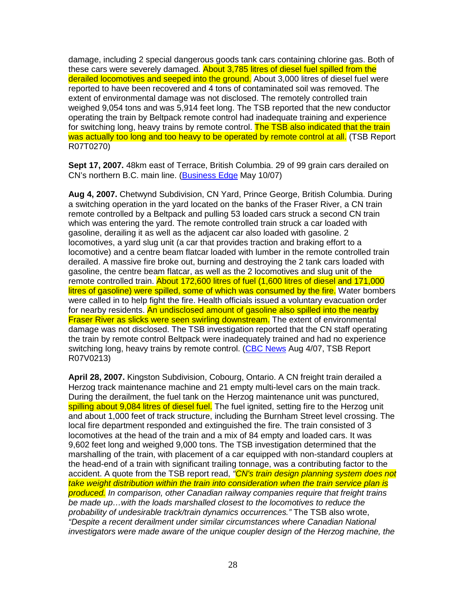damage, including 2 special dangerous goods tank cars containing chlorine gas. Both of these cars were severely damaged. About 3,785 litres of diesel fuel spilled from the derailed locomotives and seeped into the ground. About 3,000 litres of diesel fuel were reported to have been recovered and 4 tons of contaminated soil was removed. The extent of environmental damage was not disclosed. The remotely controlled train weighed 9,054 tons and was 5,914 feet long. The TSB reported that the new conductor operating the train by Beltpack remote control had inadequate training and experience for switching long, heavy trains by remote control. The TSB also indicated that the train was actually too long and too heavy to be operated by remote control at all. (TSB Report R07T0270)

**Sept 17, 2007.** 48km east of Terrace, British Columbia. 29 of 99 grain cars derailed on CN's northern B.C. main line. (Business Edge May 10/07)

**Aug 4, 2007.** Chetwynd Subdivision, CN Yard, Prince George, British Columbia. During a switching operation in the yard located on the banks of the Fraser River, a CN train remote controlled by a Beltpack and pulling 53 loaded cars struck a second CN train which was entering the yard. The remote controlled train struck a car loaded with gasoline, derailing it as well as the adjacent car also loaded with gasoline. 2 locomotives, a yard slug unit (a car that provides traction and braking effort to a locomotive) and a centre beam flatcar loaded with lumber in the remote controlled train derailed. A massive fire broke out, burning and destroying the 2 tank cars loaded with gasoline, the centre beam flatcar, as well as the 2 locomotives and slug unit of the remote controlled train. About 172,600 litres of fuel (1,600 litres of diesel and 171,000 litres of gasoline) were spilled, some of which was consumed by the fire. Water bombers were called in to help fight the fire. Health officials issued a voluntary evacuation order for nearby residents. An undisclosed amount of gasoline also spilled into the nearby **Fraser River as slicks were seen swirling downstream.** The extent of environmental damage was not disclosed. The TSB investigation reported that the CN staff operating the train by remote control Beltpack were inadequately trained and had no experience switching long, heavy trains by remote control. (CBC News Aug 4/07, TSB Report R07V0213)

**April 28, 2007.** Kingston Subdivision, Cobourg, Ontario. A CN freight train derailed a Herzog track maintenance machine and 21 empty multi-level cars on the main track. During the derailment, the fuel tank on the Herzog maintenance unit was punctured, spilling about 9,084 litres of diesel fuel. The fuel ignited, setting fire to the Herzog unit and about 1,000 feet of track structure, including the Burnham Street level crossing. The local fire department responded and extinguished the fire. The train consisted of 3 locomotives at the head of the train and a mix of 84 empty and loaded cars. It was 9,602 feet long and weighed 9,000 tons. The TSB investigation determined that the marshalling of the train, with placement of a car equipped with non-standard couplers at the head-end of a train with significant trailing tonnage, was a contributing factor to the accident. A quote from the TSB report read, "CN's train design planning system does not take weight distribution within the train into consideration when the train service plan is produced. In comparison, other Canadian railway companies require that freight trains be made up…with the loads marshalled closest to the locomotives to reduce the probability of undesirable track/train dynamics occurrences." The TSB also wrote, "Despite a recent derailment under similar circumstances where Canadian National investigators were made aware of the unique coupler design of the Herzog machine, the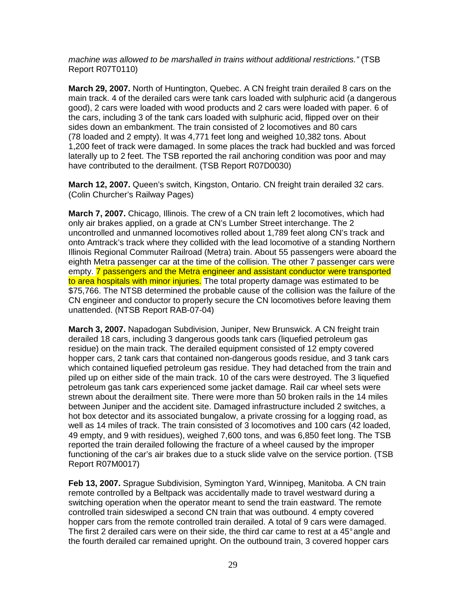machine was allowed to be marshalled in trains without additional restrictions." (TSB Report R07T0110)

**March 29, 2007.** North of Huntington, Quebec. A CN freight train derailed 8 cars on the main track. 4 of the derailed cars were tank cars loaded with sulphuric acid (a dangerous good), 2 cars were loaded with wood products and 2 cars were loaded with paper. 6 of the cars, including 3 of the tank cars loaded with sulphuric acid, flipped over on their sides down an embankment. The train consisted of 2 locomotives and 80 cars (78 loaded and 2 empty). It was 4,771 feet long and weighed 10,382 tons. About 1,200 feet of track were damaged. In some places the track had buckled and was forced laterally up to 2 feet. The TSB reported the rail anchoring condition was poor and may have contributed to the derailment. (TSB Report R07D0030)

**March 12, 2007.** Queen's switch, Kingston, Ontario. CN freight train derailed 32 cars. (Colin Churcher's Railway Pages)

**March 7, 2007.** Chicago, Illinois. The crew of a CN train left 2 locomotives, which had only air brakes applied, on a grade at CN's Lumber Street interchange. The 2 uncontrolled and unmanned locomotives rolled about 1,789 feet along CN's track and onto Amtrack's track where they collided with the lead locomotive of a standing Northern Illinois Regional Commuter Railroad (Metra) train. About 55 passengers were aboard the eighth Metra passenger car at the time of the collision. The other 7 passenger cars were empty. **7** passengers and the Metra engineer and assistant conductor were transported to area hospitals with minor injuries. The total property damage was estimated to be \$75,766. The NTSB determined the probable cause of the collision was the failure of the CN engineer and conductor to properly secure the CN locomotives before leaving them unattended. (NTSB Report RAB-07-04)

**March 3, 2007.** Napadogan Subdivision, Juniper, New Brunswick. A CN freight train derailed 18 cars, including 3 dangerous goods tank cars (liquefied petroleum gas residue) on the main track. The derailed equipment consisted of 12 empty covered hopper cars, 2 tank cars that contained non-dangerous goods residue, and 3 tank cars which contained liquefied petroleum gas residue. They had detached from the train and piled up on either side of the main track. 10 of the cars were destroyed. The 3 liquefied petroleum gas tank cars experienced some jacket damage. Rail car wheel sets were strewn about the derailment site. There were more than 50 broken rails in the 14 miles between Juniper and the accident site. Damaged infrastructure included 2 switches, a hot box detector and its associated bungalow, a private crossing for a logging road, as well as 14 miles of track. The train consisted of 3 locomotives and 100 cars (42 loaded, 49 empty, and 9 with residues), weighed 7,600 tons, and was 6,850 feet long. The TSB reported the train derailed following the fracture of a wheel caused by the improper functioning of the car's air brakes due to a stuck slide valve on the service portion. (TSB Report R07M0017)

**Feb 13, 2007.** Sprague Subdivision, Symington Yard, Winnipeg, Manitoba. A CN train remote controlled by a Beltpack was accidentally made to travel westward during a switching operation when the operator meant to send the train eastward. The remote controlled train sideswiped a second CN train that was outbound. 4 empty covered hopper cars from the remote controlled train derailed. A total of 9 cars were damaged. The first 2 derailed cars were on their side, the third car came to rest at a 45° angle and the fourth derailed car remained upright. On the outbound train, 3 covered hopper cars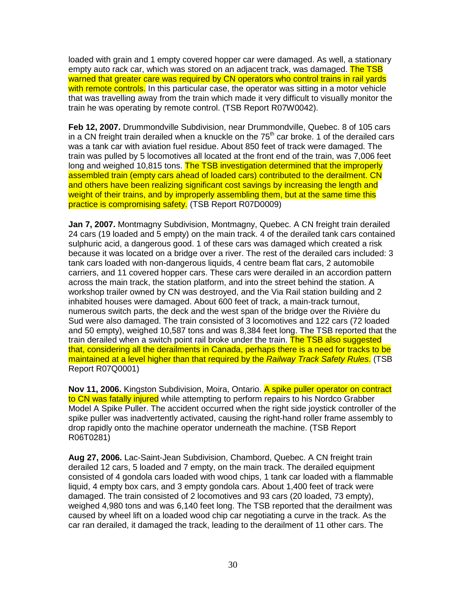loaded with grain and 1 empty covered hopper car were damaged. As well, a stationary empty auto rack car, which was stored on an adiacent track, was damaged. The TSB warned that greater care was required by CN operators who control trains in rail yards with remote controls. In this particular case, the operator was sitting in a motor vehicle that was travelling away from the train which made it very difficult to visually monitor the train he was operating by remote control. (TSB Report R07W0042).

**Feb 12, 2007.** Drummondville Subdivision, near Drummondville, Quebec. 8 of 105 cars in a CN freight train derailed when a knuckle on the  $75<sup>th</sup>$  car broke. 1 of the derailed cars was a tank car with aviation fuel residue. About 850 feet of track were damaged. The train was pulled by 5 locomotives all located at the front end of the train, was 7,006 feet long and weighed 10,815 tons. The TSB investigation determined that the improperly assembled train (empty cars ahead of loaded cars) contributed to the derailment. CN and others have been realizing significant cost savings by increasing the length and weight of their trains, and by improperly assembling them, but at the same time this practice is compromising safety. (TSB Report R07D0009)

**Jan 7, 2007.** Montmagny Subdivision, Montmagny, Quebec. A CN freight train derailed 24 cars (19 loaded and 5 empty) on the main track. 4 of the derailed tank cars contained sulphuric acid, a dangerous good. 1 of these cars was damaged which created a risk because it was located on a bridge over a river. The rest of the derailed cars included: 3 tank cars loaded with non-dangerous liquids, 4 centre beam flat cars, 2 automobile carriers, and 11 covered hopper cars. These cars were derailed in an accordion pattern across the main track, the station platform, and into the street behind the station. A workshop trailer owned by CN was destroyed, and the Via Rail station building and 2 inhabited houses were damaged. About 600 feet of track, a main-track turnout, numerous switch parts, the deck and the west span of the bridge over the Rivière du Sud were also damaged. The train consisted of 3 locomotives and 122 cars (72 loaded and 50 empty), weighed 10,587 tons and was 8,384 feet long. The TSB reported that the train derailed when a switch point rail broke under the train. The TSB also suggested that, considering all the derailments in Canada, perhaps there is a need for tracks to be maintained at a level higher than that required by the Railway Track Safety Rules. (TSB Report R07Q0001)

**Nov 11, 2006.** Kingston Subdivision, Moira, Ontario. A spike puller operator on contract to CN was fatally injured while attempting to perform repairs to his Nordco Grabber Model A Spike Puller. The accident occurred when the right side joystick controller of the spike puller was inadvertently activated, causing the right-hand roller frame assembly to drop rapidly onto the machine operator underneath the machine. (TSB Report R06T0281)

**Aug 27, 2006.** Lac-Saint-Jean Subdivision, Chambord, Quebec. A CN freight train derailed 12 cars, 5 loaded and 7 empty, on the main track. The derailed equipment consisted of 4 gondola cars loaded with wood chips, 1 tank car loaded with a flammable liquid, 4 empty box cars, and 3 empty gondola cars. About 1,400 feet of track were damaged. The train consisted of 2 locomotives and 93 cars (20 loaded, 73 empty), weighed 4,980 tons and was 6,140 feet long. The TSB reported that the derailment was caused by wheel lift on a loaded wood chip car negotiating a curve in the track. As the car ran derailed, it damaged the track, leading to the derailment of 11 other cars. The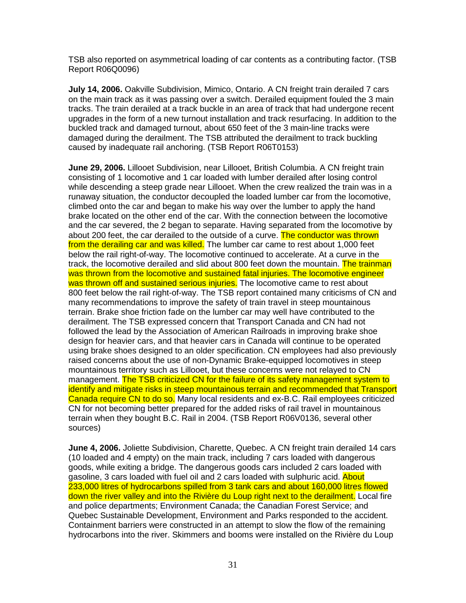TSB also reported on asymmetrical loading of car contents as a contributing factor. (TSB Report R06Q0096)

**July 14, 2006.** Oakville Subdivision, Mimico, Ontario. A CN freight train derailed 7 cars on the main track as it was passing over a switch. Derailed equipment fouled the 3 main tracks. The train derailed at a track buckle in an area of track that had undergone recent upgrades in the form of a new turnout installation and track resurfacing. In addition to the buckled track and damaged turnout, about 650 feet of the 3 main-line tracks were damaged during the derailment. The TSB attributed the derailment to track buckling caused by inadequate rail anchoring. (TSB Report R06T0153)

**June 29, 2006.** Lillooet Subdivision, near Lillooet, British Columbia. A CN freight train consisting of 1 locomotive and 1 car loaded with lumber derailed after losing control while descending a steep grade near Lillooet. When the crew realized the train was in a runaway situation, the conductor decoupled the loaded lumber car from the locomotive, climbed onto the car and began to make his way over the lumber to apply the hand brake located on the other end of the car. With the connection between the locomotive and the car severed, the 2 began to separate. Having separated from the locomotive by about 200 feet, the car derailed to the outside of a curve. The conductor was thrown from the derailing car and was killed. The lumber car came to rest about 1,000 feet below the rail right-of-way. The locomotive continued to accelerate. At a curve in the track, the locomotive derailed and slid about 800 feet down the mountain. The trainman was thrown from the locomotive and sustained fatal injuries. The locomotive engineer was thrown off and sustained serious injuries. The locomotive came to rest about 800 feet below the rail right-of-way. The TSB report contained many criticisms of CN and many recommendations to improve the safety of train travel in steep mountainous terrain. Brake shoe friction fade on the lumber car may well have contributed to the derailment. The TSB expressed concern that Transport Canada and CN had not followed the lead by the Association of American Railroads in improving brake shoe design for heavier cars, and that heavier cars in Canada will continue to be operated using brake shoes designed to an older specification. CN employees had also previously raised concerns about the use of non-Dynamic Brake-equipped locomotives in steep mountainous territory such as Lillooet, but these concerns were not relayed to CN management. The TSB criticized CN for the failure of its safety management system to identify and mitigate risks in steep mountainous terrain and recommended that Transport Canada require CN to do so. Many local residents and ex-B.C. Rail employees criticized CN for not becoming better prepared for the added risks of rail travel in mountainous terrain when they bought B.C. Rail in 2004. (TSB Report R06V0136, several other sources)

**June 4, 2006.** Joliette Subdivision, Charette, Quebec. A CN freight train derailed 14 cars (10 loaded and 4 empty) on the main track, including 7 cars loaded with dangerous goods, while exiting a bridge. The dangerous goods cars included 2 cars loaded with gasoline, 3 cars loaded with fuel oil and 2 cars loaded with sulphuric acid. About 233,000 litres of hydrocarbons spilled from 3 tank cars and about 160,000 litres flowed down the river valley and into the Rivière du Loup right next to the derailment. Local fire and police departments; Environment Canada; the Canadian Forest Service; and Quebec Sustainable Development, Environment and Parks responded to the accident. Containment barriers were constructed in an attempt to slow the flow of the remaining hydrocarbons into the river. Skimmers and booms were installed on the Rivière du Loup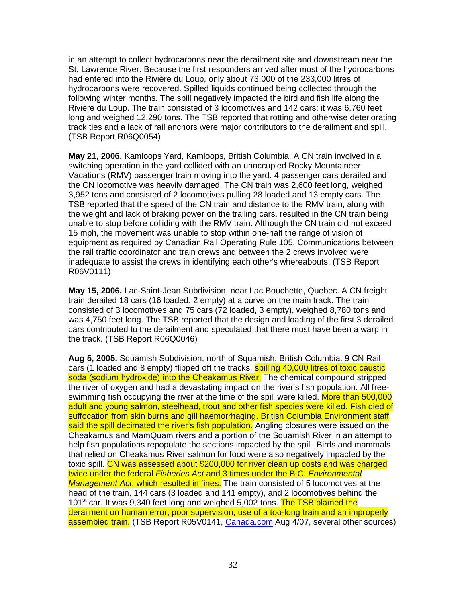in an attempt to collect hydrocarbons near the derailment site and downstream near the St. Lawrence River. Because the first responders arrived after most of the hydrocarbons had entered into the Rivière du Loup, only about 73,000 of the 233,000 litres of hydrocarbons were recovered. Spilled liquids continued being collected through the following winter months. The spill negatively impacted the bird and fish life along the Rivière du Loup. The train consisted of 3 locomotives and 142 cars; it was 6,760 feet long and weighed 12,290 tons. The TSB reported that rotting and otherwise deteriorating track ties and a lack of rail anchors were major contributors to the derailment and spill. (TSB Report R06Q0054)

**May 21, 2006.** Kamloops Yard, Kamloops, British Columbia. A CN train involved in a switching operation in the yard collided with an unoccupied Rocky Mountaineer Vacations (RMV) passenger train moving into the yard. 4 passenger cars derailed and the CN locomotive was heavily damaged. The CN train was 2,600 feet long, weighed 3,952 tons and consisted of 2 locomotives pulling 28 loaded and 13 empty cars. The TSB reported that the speed of the CN train and distance to the RMV train, along with the weight and lack of braking power on the trailing cars, resulted in the CN train being unable to stop before colliding with the RMV train. Although the CN train did not exceed 15 mph, the movement was unable to stop within one-half the range of vision of equipment as required by Canadian Rail Operating Rule 105. Communications between the rail traffic coordinator and train crews and between the 2 crews involved were inadequate to assist the crews in identifying each other's whereabouts. (TSB Report R06V0111)

**May 15, 2006.** Lac-Saint-Jean Subdivision, near Lac Bouchette, Quebec. A CN freight train derailed 18 cars (16 loaded, 2 empty) at a curve on the main track. The train consisted of 3 locomotives and 75 cars (72 loaded, 3 empty), weighed 8,780 tons and was 4,750 feet long. The TSB reported that the design and loading of the first 3 derailed cars contributed to the derailment and speculated that there must have been a warp in the track. (TSB Report R06Q0046)

**Aug 5, 2005.** Squamish Subdivision, north of Squamish, British Columbia. 9 CN Rail cars (1 loaded and 8 empty) flipped off the tracks, spilling 40,000 litres of toxic caustic soda (sodium hydroxide) into the Cheakamus River. The chemical compound stripped the river of oxygen and had a devastating impact on the river's fish population. All freeswimming fish occupying the river at the time of the spill were killed. More than 500,000 adult and young salmon, steelhead, trout and other fish species were killed. Fish died of suffocation from skin burns and gill haemorrhaging. British Columbia Environment staff said the spill decimated the river's fish population. Angling closures were issued on the Cheakamus and MamQuam rivers and a portion of the Squamish River in an attempt to help fish populations repopulate the sections impacted by the spill. Birds and mammals that relied on Cheakamus River salmon for food were also negatively impacted by the toxic spill. CN was assessed about \$200,000 for river clean up costs and was charged twice under the federal Fisheries Act and 3 times under the B.C. Environmental Management Act, which resulted in fines. The train consisted of 5 locomotives at the head of the train, 144 cars (3 loaded and 141 empty), and 2 locomotives behind the 101<sup>st</sup> car. It was 9,340 feet long and weighed 5,002 tons. The TSB blamed the derailment on human error, poor supervision, use of a too-long train and an improperly assembled train. (TSB Report R05V0141, Canada.com Aug 4/07, several other sources)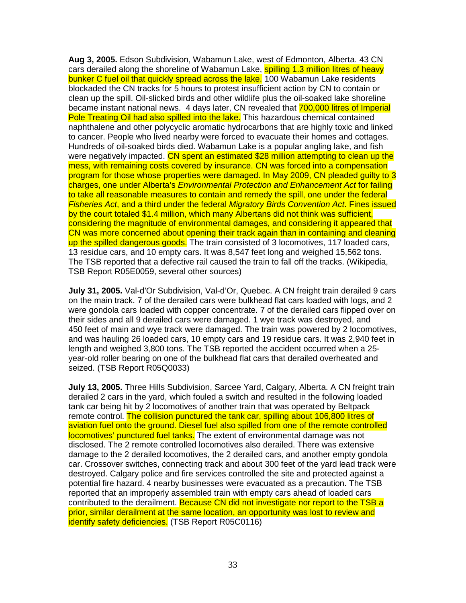**Aug 3, 2005.** Edson Subdivision, Wabamun Lake, west of Edmonton, Alberta. 43 CN cars derailed along the shoreline of Wabamun Lake, spilling 1.3 million litres of heavy bunker C fuel oil that quickly spread across the lake. 100 Wabamun Lake residents blockaded the CN tracks for 5 hours to protest insufficient action by CN to contain or clean up the spill. Oil-slicked birds and other wildlife plus the oil-soaked lake shoreline became instant national news. 4 days later, CN revealed that 700,000 litres of Imperial Pole Treating Oil had also spilled into the lake. This hazardous chemical contained naphthalene and other polycyclic aromatic hydrocarbons that are highly toxic and linked to cancer. People who lived nearby were forced to evacuate their homes and cottages. Hundreds of oil-soaked birds died. Wabamun Lake is a popular angling lake, and fish were negatively impacted. CN spent an estimated \$28 million attempting to clean up the mess, with remaining costs covered by insurance. CN was forced into a compensation program for those whose properties were damaged. In May 2009, CN pleaded guilty to 3 charges, one under Alberta's Environmental Protection and Enhancement Act for failing to take all reasonable measures to contain and remedy the spill, one under the federal Fisheries Act, and a third under the federal Migratory Birds Convention Act. Fines issued by the court totaled \$1.4 million, which many Albertans did not think was sufficient, considering the magnitude of environmental damages, and considering it appeared that CN was more concerned about opening their track again than in containing and cleaning up the spilled dangerous goods. The train consisted of 3 locomotives, 117 loaded cars, 13 residue cars, and 10 empty cars. It was 8,547 feet long and weighed 15,562 tons. The TSB reported that a defective rail caused the train to fall off the tracks. (Wikipedia, TSB Report R05E0059, several other sources)

**July 31, 2005.** Val-d'Or Subdivision, Val-d'Or, Quebec. A CN freight train derailed 9 cars on the main track. 7 of the derailed cars were bulkhead flat cars loaded with logs, and 2 were gondola cars loaded with copper concentrate. 7 of the derailed cars flipped over on their sides and all 9 derailed cars were damaged. 1 wye track was destroyed, and 450 feet of main and wye track were damaged. The train was powered by 2 locomotives, and was hauling 26 loaded cars, 10 empty cars and 19 residue cars. It was 2,940 feet in length and weighed 3,800 tons. The TSB reported the accident occurred when a 25 year-old roller bearing on one of the bulkhead flat cars that derailed overheated and seized. (TSB Report R05Q0033)

**July 13, 2005.** Three Hills Subdivision, Sarcee Yard, Calgary, Alberta. A CN freight train derailed 2 cars in the yard, which fouled a switch and resulted in the following loaded tank car being hit by 2 locomotives of another train that was operated by Beltpack remote control. The collision punctured the tank car, spilling about 106,800 litres of aviation fuel onto the ground. Diesel fuel also spilled from one of the remote controlled locomotives' punctured fuel tanks. The extent of environmental damage was not disclosed. The 2 remote controlled locomotives also derailed. There was extensive damage to the 2 derailed locomotives, the 2 derailed cars, and another empty gondola car. Crossover switches, connecting track and about 300 feet of the yard lead track were destroyed. Calgary police and fire services controlled the site and protected against a potential fire hazard. 4 nearby businesses were evacuated as a precaution. The TSB reported that an improperly assembled train with empty cars ahead of loaded cars contributed to the derailment. Because CN did not investigate nor report to the TSB a prior, similar derailment at the same location, an opportunity was lost to review and identify safety deficiencies. (TSB Report R05C0116)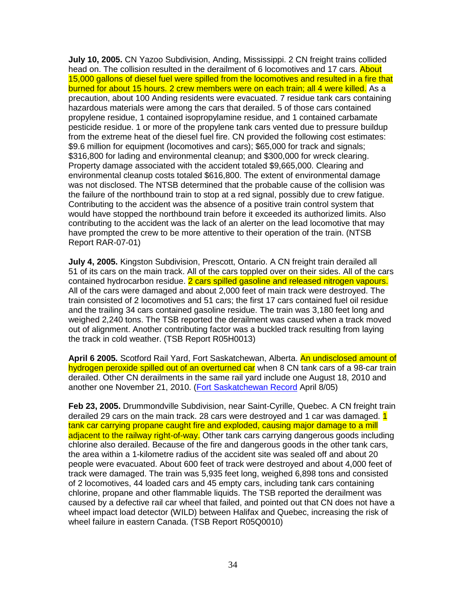**July 10, 2005.** CN Yazoo Subdivision, Anding, Mississippi. 2 CN freight trains collided head on. The collision resulted in the derailment of 6 locomotives and 17 cars. About 15,000 gallons of diesel fuel were spilled from the locomotives and resulted in a fire that burned for about 15 hours. 2 crew members were on each train; all 4 were killed. As a precaution, about 100 Anding residents were evacuated. 7 residue tank cars containing hazardous materials were among the cars that derailed. 5 of those cars contained propylene residue, 1 contained isopropylamine residue, and 1 contained carbamate pesticide residue. 1 or more of the propylene tank cars vented due to pressure buildup from the extreme heat of the diesel fuel fire. CN provided the following cost estimates: \$9.6 million for equipment (locomotives and cars); \$65,000 for track and signals; \$316,800 for lading and environmental cleanup; and \$300,000 for wreck clearing. Property damage associated with the accident totaled \$9,665,000. Clearing and environmental cleanup costs totaled \$616,800. The extent of environmental damage was not disclosed. The NTSB determined that the probable cause of the collision was the failure of the northbound train to stop at a red signal, possibly due to crew fatigue. Contributing to the accident was the absence of a positive train control system that would have stopped the northbound train before it exceeded its authorized limits. Also contributing to the accident was the lack of an alerter on the lead locomotive that may have prompted the crew to be more attentive to their operation of the train. (NTSB Report RAR-07-01)

**July 4, 2005.** Kingston Subdivision, Prescott, Ontario. A CN freight train derailed all 51 of its cars on the main track. All of the cars toppled over on their sides. All of the cars contained hydrocarbon residue. 2 cars spilled gasoline and released nitrogen vapours. All of the cars were damaged and about 2,000 feet of main track were destroyed. The train consisted of 2 locomotives and 51 cars; the first 17 cars contained fuel oil residue and the trailing 34 cars contained gasoline residue. The train was 3,180 feet long and weighed 2,240 tons. The TSB reported the derailment was caused when a track moved out of alignment. Another contributing factor was a buckled track resulting from laying the track in cold weather. (TSB Report R05H0013)

**April 6 2005.** Scotford Rail Yard, Fort Saskatchewan, Alberta. An undisclosed amount of hydrogen peroxide spilled out of an overturned car when 8 CN tank cars of a 98-car train derailed. Other CN derailments in the same rail yard include one August 18, 2010 and another one November 21, 2010. (Fort Saskatchewan Record April 8/05)

**Feb 23, 2005.** Drummondville Subdivision, near Saint-Cyrille, Quebec. A CN freight train derailed 29 cars on the main track. 28 cars were destroved and 1 car was damaged. 1 tank car carrying propane caught fire and exploded, causing major damage to a mill adjacent to the railway right-of-way. Other tank cars carrying dangerous goods including chlorine also derailed. Because of the fire and dangerous goods in the other tank cars, the area within a 1-kilometre radius of the accident site was sealed off and about 20 people were evacuated. About 600 feet of track were destroyed and about 4,000 feet of track were damaged. The train was 5,935 feet long, weighed 6,898 tons and consisted of 2 locomotives, 44 loaded cars and 45 empty cars, including tank cars containing chlorine, propane and other flammable liquids. The TSB reported the derailment was caused by a defective rail car wheel that failed, and pointed out that CN does not have a wheel impact load detector (WILD) between Halifax and Quebec, increasing the risk of wheel failure in eastern Canada. (TSB Report R05Q0010)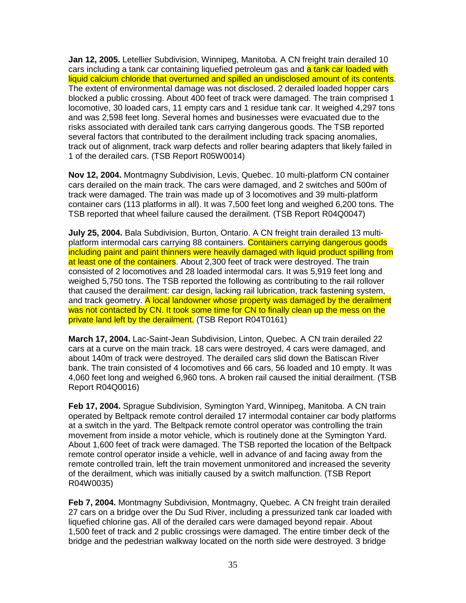**Jan 12, 2005.** Letellier Subdivision, Winnipeg, Manitoba. A CN freight train derailed 10 cars including a tank car containing liquefied petroleum gas and a tank car loaded with liquid calcium chloride that overturned and spilled an undisclosed amount of its contents. The extent of environmental damage was not disclosed. 2 derailed loaded hopper cars blocked a public crossing. About 400 feet of track were damaged. The train comprised 1 locomotive, 30 loaded cars, 11 empty cars and 1 residue tank car. It weighed 4,297 tons and was 2,598 feet long. Several homes and businesses were evacuated due to the risks associated with derailed tank cars carrying dangerous goods. The TSB reported several factors that contributed to the derailment including track spacing anomalies, track out of alignment, track warp defects and roller bearing adapters that likely failed in 1 of the derailed cars. (TSB Report R05W0014)

**Nov 12, 2004.** Montmagny Subdivision, Levis, Quebec. 10 multi-platform CN container cars derailed on the main track. The cars were damaged, and 2 switches and 500m of track were damaged. The train was made up of 3 locomotives and 39 multi-platform container cars (113 platforms in all). It was 7,500 feet long and weighed 6,200 tons. The TSB reported that wheel failure caused the derailment. (TSB Report R04Q0047)

**July 25, 2004.** Bala Subdivision, Burton, Ontario. A CN freight train derailed 13 multiplatform intermodal cars carrying 88 containers. Containers carrying dangerous goods including paint and paint thinners were heavily damaged with liquid product spilling from at least one of the containers. About 2,300 feet of track were destroyed. The train consisted of 2 locomotives and 28 loaded intermodal cars. It was 5,919 feet long and weighed 5,750 tons. The TSB reported the following as contributing to the rail rollover that caused the derailment: car design, lacking rail lubrication, track fastening system, and track geometry. A local landowner whose property was damaged by the derailment was not contacted by CN. It took some time for CN to finally clean up the mess on the private land left by the derailment. (TSB Report R04T0161)

**March 17, 2004.** Lac-Saint-Jean Subdivision, Linton, Quebec. A CN train derailed 22 cars at a curve on the main track. 18 cars were destroyed, 4 cars were damaged, and about 140m of track were destroyed. The derailed cars slid down the Batiscan River bank. The train consisted of 4 locomotives and 66 cars, 56 loaded and 10 empty. It was 4,060 feet long and weighed 6,960 tons. A broken rail caused the initial derailment. (TSB Report R04Q0016)

**Feb 17, 2004.** Sprague Subdivision, Symington Yard, Winnipeg, Manitoba. A CN train operated by Beltpack remote control derailed 17 intermodal container car body platforms at a switch in the yard. The Beltpack remote control operator was controlling the train movement from inside a motor vehicle, which is routinely done at the Symington Yard. About 1,600 feet of track were damaged. The TSB reported the location of the Beltpack remote control operator inside a vehicle, well in advance of and facing away from the remote controlled train, left the train movement unmonitored and increased the severity of the derailment, which was initially caused by a switch malfunction. (TSB Report R04W0035)

**Feb 7, 2004.** Montmagny Subdivision, Montmagny, Quebec. A CN freight train derailed 27 cars on a bridge over the Du Sud River, including a pressurized tank car loaded with liquefied chlorine gas. All of the derailed cars were damaged beyond repair. About 1,500 feet of track and 2 public crossings were damaged. The entire timber deck of the bridge and the pedestrian walkway located on the north side were destroyed. 3 bridge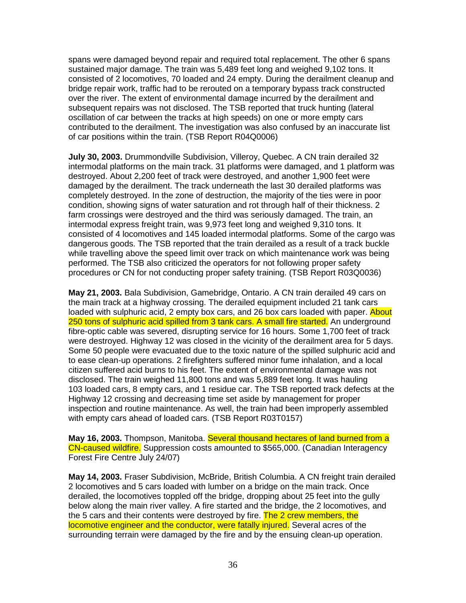spans were damaged beyond repair and required total replacement. The other 6 spans sustained major damage. The train was 5,489 feet long and weighed 9,102 tons. It consisted of 2 locomotives, 70 loaded and 24 empty. During the derailment cleanup and bridge repair work, traffic had to be rerouted on a temporary bypass track constructed over the river. The extent of environmental damage incurred by the derailment and subsequent repairs was not disclosed. The TSB reported that truck hunting (lateral oscillation of car between the tracks at high speeds) on one or more empty cars contributed to the derailment. The investigation was also confused by an inaccurate list of car positions within the train. (TSB Report R04Q0006)

**July 30, 2003.** Drummondville Subdivision, Villeroy, Quebec. A CN train derailed 32 intermodal platforms on the main track. 31 platforms were damaged, and 1 platform was destroyed. About 2,200 feet of track were destroyed, and another 1,900 feet were damaged by the derailment. The track underneath the last 30 derailed platforms was completely destroyed. In the zone of destruction, the majority of the ties were in poor condition, showing signs of water saturation and rot through half of their thickness. 2 farm crossings were destroyed and the third was seriously damaged. The train, an intermodal express freight train, was 9,973 feet long and weighed 9,310 tons. It consisted of 4 locomotives and 145 loaded intermodal platforms. Some of the cargo was dangerous goods. The TSB reported that the train derailed as a result of a track buckle while travelling above the speed limit over track on which maintenance work was being performed. The TSB also criticized the operators for not following proper safety procedures or CN for not conducting proper safety training. (TSB Report R03Q0036)

**May 21, 2003.** Bala Subdivision, Gamebridge, Ontario. A CN train derailed 49 cars on the main track at a highway crossing. The derailed equipment included 21 tank cars loaded with sulphuric acid, 2 empty box cars, and 26 box cars loaded with paper. About 250 tons of sulphuric acid spilled from 3 tank cars. A small fire started. An underground fibre-optic cable was severed, disrupting service for 16 hours. Some 1,700 feet of track were destroyed. Highway 12 was closed in the vicinity of the derailment area for 5 days. Some 50 people were evacuated due to the toxic nature of the spilled sulphuric acid and to ease clean-up operations. 2 firefighters suffered minor fume inhalation, and a local citizen suffered acid burns to his feet. The extent of environmental damage was not disclosed. The train weighed 11,800 tons and was 5,889 feet long. It was hauling 103 loaded cars, 8 empty cars, and 1 residue car. The TSB reported track defects at the Highway 12 crossing and decreasing time set aside by management for proper inspection and routine maintenance. As well, the train had been improperly assembled with empty cars ahead of loaded cars. (TSB Report R03T0157)

**May 16, 2003.** Thompson, Manitoba. Several thousand hectares of land burned from a CN-caused wildfire. Suppression costs amounted to \$565,000. (Canadian Interagency Forest Fire Centre July 24/07)

**May 14, 2003.** Fraser Subdivision, McBride, British Columbia. A CN freight train derailed 2 locomotives and 5 cars loaded with lumber on a bridge on the main track. Once derailed, the locomotives toppled off the bridge, dropping about 25 feet into the gully below along the main river valley. A fire started and the bridge, the 2 locomotives, and the 5 cars and their contents were destroyed by fire. The 2 crew members, the locomotive engineer and the conductor, were fatally injured. Several acres of the surrounding terrain were damaged by the fire and by the ensuing clean-up operation.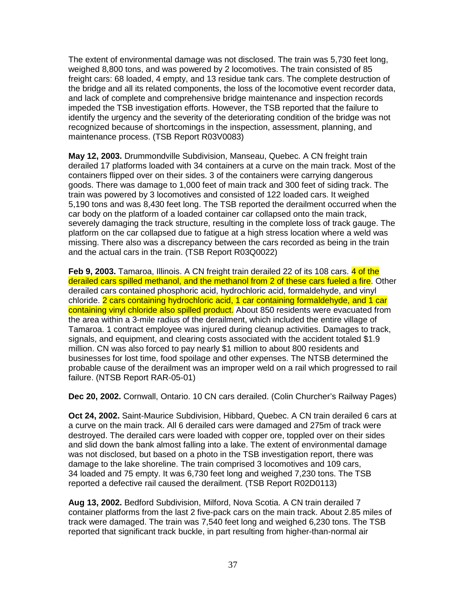The extent of environmental damage was not disclosed. The train was 5,730 feet long, weighed 8,800 tons, and was powered by 2 locomotives. The train consisted of 85 freight cars: 68 loaded, 4 empty, and 13 residue tank cars. The complete destruction of the bridge and all its related components, the loss of the locomotive event recorder data, and lack of complete and comprehensive bridge maintenance and inspection records impeded the TSB investigation efforts. However, the TSB reported that the failure to identify the urgency and the severity of the deteriorating condition of the bridge was not recognized because of shortcomings in the inspection, assessment, planning, and maintenance process. (TSB Report R03V0083)

**May 12, 2003.** Drummondville Subdivision, Manseau, Quebec. A CN freight train derailed 17 platforms loaded with 34 containers at a curve on the main track. Most of the containers flipped over on their sides. 3 of the containers were carrying dangerous goods. There was damage to 1,000 feet of main track and 300 feet of siding track. The train was powered by 3 locomotives and consisted of 122 loaded cars. It weighed 5,190 tons and was 8,430 feet long. The TSB reported the derailment occurred when the car body on the platform of a loaded container car collapsed onto the main track, severely damaging the track structure, resulting in the complete loss of track gauge. The platform on the car collapsed due to fatigue at a high stress location where a weld was missing. There also was a discrepancy between the cars recorded as being in the train and the actual cars in the train. (TSB Report R03Q0022)

**Feb 9, 2003.** Tamaroa, Illinois. A CN freight train derailed 22 of its 108 cars. 4 of the derailed cars spilled methanol, and the methanol from 2 of these cars fueled a fire. Other derailed cars contained phosphoric acid, hydrochloric acid, formaldehyde, and vinyl chloride. 2 cars containing hydrochloric acid, 1 car containing formaldehyde, and 1 car containing vinyl chloride also spilled product. About 850 residents were evacuated from the area within a 3-mile radius of the derailment, which included the entire village of Tamaroa. 1 contract employee was injured during cleanup activities. Damages to track, signals, and equipment, and clearing costs associated with the accident totaled \$1.9 million. CN was also forced to pay nearly \$1 million to about 800 residents and businesses for lost time, food spoilage and other expenses. The NTSB determined the probable cause of the derailment was an improper weld on a rail which progressed to rail failure. (NTSB Report RAR-05-01)

**Dec 20, 2002.** Cornwall, Ontario. 10 CN cars derailed. (Colin Churcher's Railway Pages)

**Oct 24, 2002.** Saint-Maurice Subdivision, Hibbard, Quebec. A CN train derailed 6 cars at a curve on the main track. All 6 derailed cars were damaged and 275m of track were destroyed. The derailed cars were loaded with copper ore, toppled over on their sides and slid down the bank almost falling into a lake. The extent of environmental damage was not disclosed, but based on a photo in the TSB investigation report, there was damage to the lake shoreline. The train comprised 3 locomotives and 109 cars, 34 loaded and 75 empty. It was 6,730 feet long and weighed 7,230 tons. The TSB reported a defective rail caused the derailment. (TSB Report R02D0113)

**Aug 13, 2002.** Bedford Subdivision, Milford, Nova Scotia. A CN train derailed 7 container platforms from the last 2 five-pack cars on the main track. About 2.85 miles of track were damaged. The train was 7,540 feet long and weighed 6,230 tons. The TSB reported that significant track buckle, in part resulting from higher-than-normal air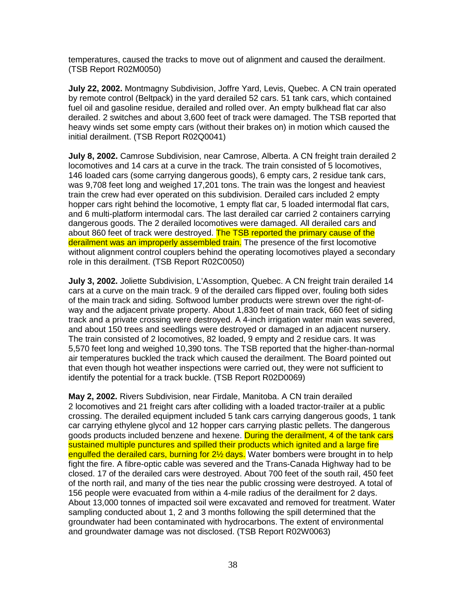temperatures, caused the tracks to move out of alignment and caused the derailment. (TSB Report R02M0050)

**July 22, 2002.** Montmagny Subdivision, Joffre Yard, Levis, Quebec. A CN train operated by remote control (Beltpack) in the yard derailed 52 cars. 51 tank cars, which contained fuel oil and gasoline residue, derailed and rolled over. An empty bulkhead flat car also derailed. 2 switches and about 3,600 feet of track were damaged. The TSB reported that heavy winds set some empty cars (without their brakes on) in motion which caused the initial derailment. (TSB Report R02Q0041)

**July 8, 2002.** Camrose Subdivision, near Camrose, Alberta. A CN freight train derailed 2 locomotives and 14 cars at a curve in the track. The train consisted of 5 locomotives, 146 loaded cars (some carrying dangerous goods), 6 empty cars, 2 residue tank cars, was 9,708 feet long and weighed 17,201 tons. The train was the longest and heaviest train the crew had ever operated on this subdivision. Derailed cars included 2 empty hopper cars right behind the locomotive, 1 empty flat car, 5 loaded intermodal flat cars, and 6 multi-platform intermodal cars. The last derailed car carried 2 containers carrying dangerous goods. The 2 derailed locomotives were damaged. All derailed cars and about 860 feet of track were destroyed. The TSB reported the primary cause of the derailment was an improperly assembled train. The presence of the first locomotive without alignment control couplers behind the operating locomotives played a secondary role in this derailment. (TSB Report R02C0050)

**July 3, 2002.** Joliette Subdivision, L'Assomption, Quebec. A CN freight train derailed 14 cars at a curve on the main track. 9 of the derailed cars flipped over, fouling both sides of the main track and siding. Softwood lumber products were strewn over the right-ofway and the adjacent private property. About 1,830 feet of main track, 660 feet of siding track and a private crossing were destroyed. A 4-inch irrigation water main was severed, and about 150 trees and seedlings were destroyed or damaged in an adjacent nursery. The train consisted of 2 locomotives, 82 loaded, 9 empty and 2 residue cars. It was 5,570 feet long and weighed 10,390 tons. The TSB reported that the higher-than-normal air temperatures buckled the track which caused the derailment. The Board pointed out that even though hot weather inspections were carried out, they were not sufficient to identify the potential for a track buckle. (TSB Report R02D0069)

**May 2, 2002.** Rivers Subdivision, near Firdale, Manitoba. A CN train derailed 2 locomotives and 21 freight cars after colliding with a loaded tractor-trailer at a public crossing. The derailed equipment included 5 tank cars carrying dangerous goods, 1 tank car carrying ethylene glycol and 12 hopper cars carrying plastic pellets. The dangerous goods products included benzene and hexene. During the derailment, 4 of the tank cars sustained multiple punctures and spilled their products which ignited and a large fire engulfed the derailed cars, burning for 2<sup>1/2</sup> days. Water bombers were brought in to help fight the fire. A fibre-optic cable was severed and the Trans-Canada Highway had to be closed. 17 of the derailed cars were destroyed. About 700 feet of the south rail, 450 feet of the north rail, and many of the ties near the public crossing were destroyed. A total of 156 people were evacuated from within a 4-mile radius of the derailment for 2 days. About 13,000 tonnes of impacted soil were excavated and removed for treatment. Water sampling conducted about 1, 2 and 3 months following the spill determined that the groundwater had been contaminated with hydrocarbons. The extent of environmental and groundwater damage was not disclosed. (TSB Report R02W0063)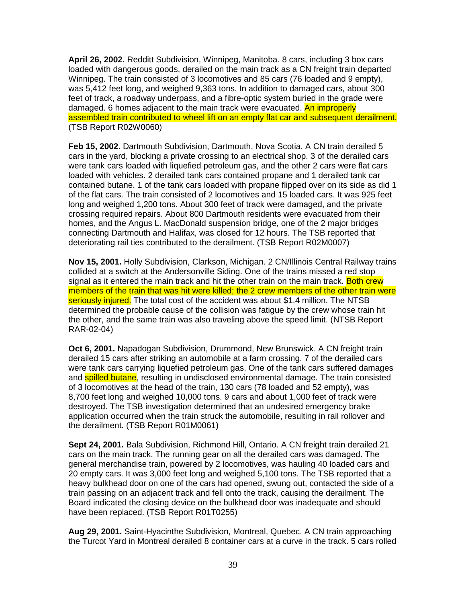**April 26, 2002.** Redditt Subdivision, Winnipeg, Manitoba. 8 cars, including 3 box cars loaded with dangerous goods, derailed on the main track as a CN freight train departed Winnipeg. The train consisted of 3 locomotives and 85 cars (76 loaded and 9 empty), was 5,412 feet long, and weighed 9,363 tons. In addition to damaged cars, about 300 feet of track, a roadway underpass, and a fibre-optic system buried in the grade were damaged. 6 homes adjacent to the main track were evacuated. An improperly assembled train contributed to wheel lift on an empty flat car and subsequent derailment. (TSB Report R02W0060)

**Feb 15, 2002.** Dartmouth Subdivision, Dartmouth, Nova Scotia. A CN train derailed 5 cars in the yard, blocking a private crossing to an electrical shop. 3 of the derailed cars were tank cars loaded with liquefied petroleum gas, and the other 2 cars were flat cars loaded with vehicles. 2 derailed tank cars contained propane and 1 derailed tank car contained butane. 1 of the tank cars loaded with propane flipped over on its side as did 1 of the flat cars. The train consisted of 2 locomotives and 15 loaded cars. It was 925 feet long and weighed 1,200 tons. About 300 feet of track were damaged, and the private crossing required repairs. About 800 Dartmouth residents were evacuated from their homes, and the Angus L. MacDonald suspension bridge, one of the 2 major bridges connecting Dartmouth and Halifax, was closed for 12 hours. The TSB reported that deteriorating rail ties contributed to the derailment. (TSB Report R02M0007)

**Nov 15, 2001.** Holly Subdivision, Clarkson, Michigan. 2 CN/Illinois Central Railway trains collided at a switch at the Andersonville Siding. One of the trains missed a red stop signal as it entered the main track and hit the other train on the main track. Both crew members of the train that was hit were killed; the 2 crew members of the other train were seriously injured. The total cost of the accident was about \$1.4 million. The NTSB determined the probable cause of the collision was fatigue by the crew whose train hit the other, and the same train was also traveling above the speed limit. (NTSB Report RAR-02-04)

**Oct 6, 2001.** Napadogan Subdivision, Drummond, New Brunswick. A CN freight train derailed 15 cars after striking an automobile at a farm crossing. 7 of the derailed cars were tank cars carrying liquefied petroleum gas. One of the tank cars suffered damages and **spilled butane**, resulting in undisclosed environmental damage. The train consisted of 3 locomotives at the head of the train, 130 cars (78 loaded and 52 empty), was 8,700 feet long and weighed 10,000 tons. 9 cars and about 1,000 feet of track were destroyed. The TSB investigation determined that an undesired emergency brake application occurred when the train struck the automobile, resulting in rail rollover and the derailment. (TSB Report R01M0061)

**Sept 24, 2001.** Bala Subdivision, Richmond Hill, Ontario. A CN freight train derailed 21 cars on the main track. The running gear on all the derailed cars was damaged. The general merchandise train, powered by 2 locomotives, was hauling 40 loaded cars and 20 empty cars. It was 3,000 feet long and weighed 5,100 tons. The TSB reported that a heavy bulkhead door on one of the cars had opened, swung out, contacted the side of a train passing on an adjacent track and fell onto the track, causing the derailment. The Board indicated the closing device on the bulkhead door was inadequate and should have been replaced. (TSB Report R01T0255)

**Aug 29, 2001.** Saint-Hyacinthe Subdivision, Montreal, Quebec. A CN train approaching the Turcot Yard in Montreal derailed 8 container cars at a curve in the track. 5 cars rolled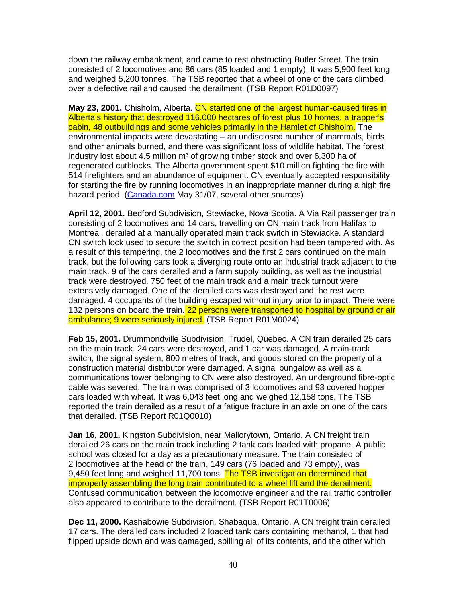down the railway embankment, and came to rest obstructing Butler Street. The train consisted of 2 locomotives and 86 cars (85 loaded and 1 empty). It was 5,900 feet long and weighed 5,200 tonnes. The TSB reported that a wheel of one of the cars climbed over a defective rail and caused the derailment. (TSB Report R01D0097)

**May 23, 2001.** Chisholm, Alberta. CN started one of the largest human-caused fires in Alberta's history that destroyed 116,000 hectares of forest plus 10 homes, a trapper's cabin, 48 outbuildings and some vehicles primarily in the Hamlet of Chisholm. The environmental impacts were devastating – an undisclosed number of mammals, birds and other animals burned, and there was significant loss of wildlife habitat. The forest industry lost about 4.5 million  $m<sup>3</sup>$  of growing timber stock and over 6,300 ha of regenerated cutblocks. The Alberta government spent \$10 million fighting the fire with 514 firefighters and an abundance of equipment. CN eventually accepted responsibility for starting the fire by running locomotives in an inappropriate manner during a high fire hazard period. (Canada.com May 31/07, several other sources)

**April 12, 2001.** Bedford Subdivision, Stewiacke, Nova Scotia. A Via Rail passenger train consisting of 2 locomotives and 14 cars, travelling on CN main track from Halifax to Montreal, derailed at a manually operated main track switch in Stewiacke. A standard CN switch lock used to secure the switch in correct position had been tampered with. As a result of this tampering, the 2 locomotives and the first 2 cars continued on the main track, but the following cars took a diverging route onto an industrial track adjacent to the main track. 9 of the cars derailed and a farm supply building, as well as the industrial track were destroyed. 750 feet of the main track and a main track turnout were extensively damaged. One of the derailed cars was destroyed and the rest were damaged. 4 occupants of the building escaped without injury prior to impact. There were 132 persons on board the train. 22 persons were transported to hospital by ground or air ambulance; 9 were seriously injured. (TSB Report R01M0024)

**Feb 15, 2001.** Drummondville Subdivision, Trudel, Quebec. A CN train derailed 25 cars on the main track. 24 cars were destroyed, and 1 car was damaged. A main-track switch, the signal system, 800 metres of track, and goods stored on the property of a construction material distributor were damaged. A signal bungalow as well as a communications tower belonging to CN were also destroyed. An underground fibre-optic cable was severed. The train was comprised of 3 locomotives and 93 covered hopper cars loaded with wheat. It was 6,043 feet long and weighed 12,158 tons. The TSB reported the train derailed as a result of a fatigue fracture in an axle on one of the cars that derailed. (TSB Report R01Q0010)

**Jan 16, 2001.** Kingston Subdivision, near Mallorytown, Ontario. A CN freight train derailed 26 cars on the main track including 2 tank cars loaded with propane. A public school was closed for a day as a precautionary measure. The train consisted of 2 locomotives at the head of the train, 149 cars (76 loaded and 73 empty), was 9,450 feet long and weighed 11,700 tons. The TSB investigation determined that improperly assembling the long train contributed to a wheel lift and the derailment. Confused communication between the locomotive engineer and the rail traffic controller also appeared to contribute to the derailment. (TSB Report R01T0006)

**Dec 11, 2000.** Kashabowie Subdivision, Shabaqua, Ontario. A CN freight train derailed 17 cars. The derailed cars included 2 loaded tank cars containing methanol, 1 that had flipped upside down and was damaged, spilling all of its contents, and the other which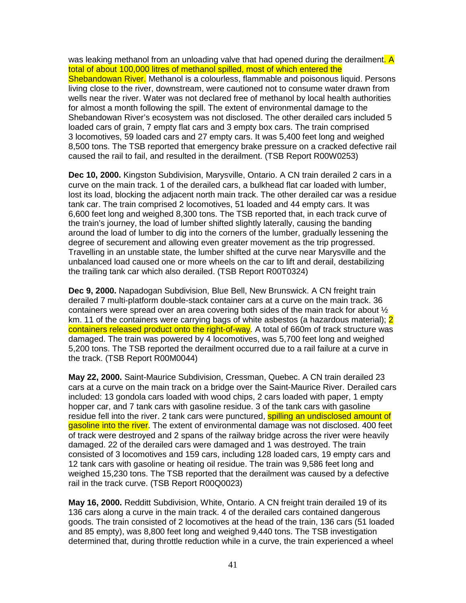was leaking methanol from an unloading valve that had opened during the derailment. A total of about 100,000 litres of methanol spilled, most of which entered the Shebandowan River. Methanol is a colourless, flammable and poisonous liquid. Persons living close to the river, downstream, were cautioned not to consume water drawn from wells near the river. Water was not declared free of methanol by local health authorities for almost a month following the spill. The extent of environmental damage to the Shebandowan River's ecosystem was not disclosed. The other derailed cars included 5 loaded cars of grain, 7 empty flat cars and 3 empty box cars. The train comprised 3 locomotives, 59 loaded cars and 27 empty cars. It was 5,400 feet long and weighed 8,500 tons. The TSB reported that emergency brake pressure on a cracked defective rail caused the rail to fail, and resulted in the derailment. (TSB Report R00W0253)

**Dec 10, 2000.** Kingston Subdivision, Marysville, Ontario. A CN train derailed 2 cars in a curve on the main track. 1 of the derailed cars, a bulkhead flat car loaded with lumber, lost its load, blocking the adjacent north main track. The other derailed car was a residue tank car. The train comprised 2 locomotives, 51 loaded and 44 empty cars. It was 6,600 feet long and weighed 8,300 tons. The TSB reported that, in each track curve of the train's journey, the load of lumber shifted slightly laterally, causing the banding around the load of lumber to dig into the corners of the lumber, gradually lessening the degree of securement and allowing even greater movement as the trip progressed. Travelling in an unstable state, the lumber shifted at the curve near Marysville and the unbalanced load caused one or more wheels on the car to lift and derail, destabilizing the trailing tank car which also derailed. (TSB Report R00T0324)

**Dec 9, 2000.** Napadogan Subdivision, Blue Bell, New Brunswick. A CN freight train derailed 7 multi-platform double-stack container cars at a curve on the main track. 36 containers were spread over an area covering both sides of the main track for about ½ km. 11 of the containers were carrying bags of white asbestos (a hazardous material): 2 containers released product onto the right-of-way. A total of 660m of track structure was damaged. The train was powered by 4 locomotives, was 5,700 feet long and weighed 5,200 tons. The TSB reported the derailment occurred due to a rail failure at a curve in the track. (TSB Report R00M0044)

**May 22, 2000.** Saint-Maurice Subdivision, Cressman, Quebec. A CN train derailed 23 cars at a curve on the main track on a bridge over the Saint-Maurice River. Derailed cars included: 13 gondola cars loaded with wood chips, 2 cars loaded with paper, 1 empty hopper car, and 7 tank cars with gasoline residue. 3 of the tank cars with gasoline residue fell into the river. 2 tank cars were punctured, **spilling an undisclosed amount of** gasoline into the river. The extent of environmental damage was not disclosed. 400 feet of track were destroyed and 2 spans of the railway bridge across the river were heavily damaged. 22 of the derailed cars were damaged and 1 was destroyed. The train consisted of 3 locomotives and 159 cars, including 128 loaded cars, 19 empty cars and 12 tank cars with gasoline or heating oil residue. The train was 9,586 feet long and weighed 15,230 tons. The TSB reported that the derailment was caused by a defective rail in the track curve. (TSB Report R00Q0023)

**May 16, 2000.** Redditt Subdivision, White, Ontario. A CN freight train derailed 19 of its 136 cars along a curve in the main track. 4 of the derailed cars contained dangerous goods. The train consisted of 2 locomotives at the head of the train, 136 cars (51 loaded and 85 empty), was 8,800 feet long and weighed 9,440 tons. The TSB investigation determined that, during throttle reduction while in a curve, the train experienced a wheel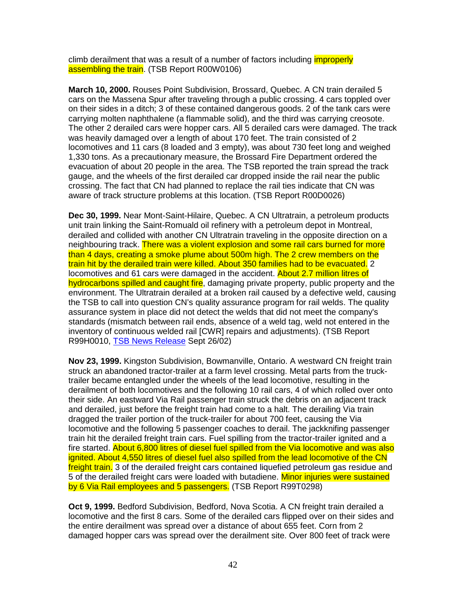climb derailment that was a result of a number of factors including *improperly* assembling the train. (TSB Report R00W0106)

**March 10, 2000.** Rouses Point Subdivision, Brossard, Quebec. A CN train derailed 5 cars on the Massena Spur after traveling through a public crossing. 4 cars toppled over on their sides in a ditch; 3 of these contained dangerous goods. 2 of the tank cars were carrying molten naphthalene (a flammable solid), and the third was carrying creosote. The other 2 derailed cars were hopper cars. All 5 derailed cars were damaged. The track was heavily damaged over a length of about 170 feet. The train consisted of 2 locomotives and 11 cars (8 loaded and 3 empty), was about 730 feet long and weighed 1,330 tons. As a precautionary measure, the Brossard Fire Department ordered the evacuation of about 20 people in the area. The TSB reported the train spread the track gauge, and the wheels of the first derailed car dropped inside the rail near the public crossing. The fact that CN had planned to replace the rail ties indicate that CN was aware of track structure problems at this location. (TSB Report R00D0026)

**Dec 30, 1999.** Near Mont-Saint-Hilaire, Quebec. A CN Ultratrain, a petroleum products unit train linking the Saint-Romuald oil refinery with a petroleum depot in Montreal, derailed and collided with another CN Ultratrain traveling in the opposite direction on a neighbouring track. There was a violent explosion and some rail cars burned for more than 4 days, creating a smoke plume about 500m high. The 2 crew members on the train hit by the derailed train were killed. About 350 families had to be evacuated. 2 locomotives and 61 cars were damaged in the accident. About 2.7 million litres of hydrocarbons spilled and caught fire, damaging private property, public property and the environment. The Ultratrain derailed at a broken rail caused by a defective weld, causing the TSB to call into question CN's quality assurance program for rail welds. The quality assurance system in place did not detect the welds that did not meet the company's standards (mismatch between rail ends, absence of a weld tag, weld not entered in the inventory of continuous welded rail [CWR] repairs and adjustments). (TSB Report R99H0010, TSB News Release Sept 26/02)

**Nov 23, 1999.** Kingston Subdivision, Bowmanville, Ontario. A westward CN freight train struck an abandoned tractor-trailer at a farm level crossing. Metal parts from the trucktrailer became entangled under the wheels of the lead locomotive, resulting in the derailment of both locomotives and the following 10 rail cars, 4 of which rolled over onto their side. An eastward Via Rail passenger train struck the debris on an adjacent track and derailed, just before the freight train had come to a halt. The derailing Via train dragged the trailer portion of the truck-trailer for about 700 feet, causing the Via locomotive and the following 5 passenger coaches to derail. The jackknifing passenger train hit the derailed freight train cars. Fuel spilling from the tractor-trailer ignited and a fire started. About 6,800 litres of diesel fuel spilled from the Via locomotive and was also ignited. About 4,550 litres of diesel fuel also spilled from the lead locomotive of the CN freight train. 3 of the derailed freight cars contained liquefied petroleum gas residue and 5 of the derailed freight cars were loaded with butadiene. Minor injuries were sustained by 6 Via Rail employees and 5 passengers. (TSB Report R99T0298)

**Oct 9, 1999.** Bedford Subdivision, Bedford, Nova Scotia. A CN freight train derailed a locomotive and the first 8 cars. Some of the derailed cars flipped over on their sides and the entire derailment was spread over a distance of about 655 feet. Corn from 2 damaged hopper cars was spread over the derailment site. Over 800 feet of track were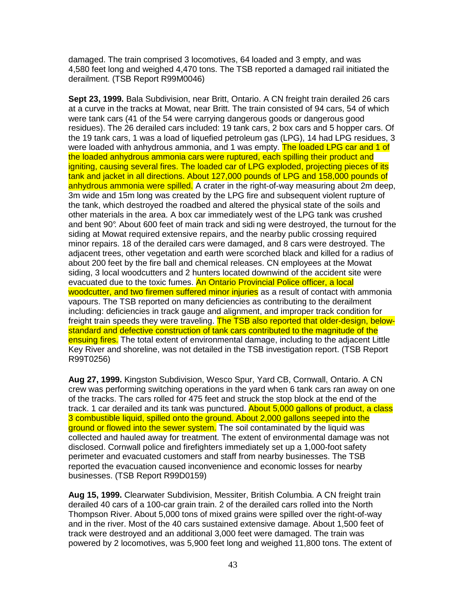damaged. The train comprised 3 locomotives, 64 loaded and 3 empty, and was 4,580 feet long and weighed 4,470 tons. The TSB reported a damaged rail initiated the derailment. (TSB Report R99M0046)

**Sept 23, 1999.** Bala Subdivision, near Britt, Ontario. A CN freight train derailed 26 cars at a curve in the tracks at Mowat, near Britt. The train consisted of 94 cars, 54 of which were tank cars (41 of the 54 were carrying dangerous goods or dangerous good residues). The 26 derailed cars included: 19 tank cars, 2 box cars and 5 hopper cars. Of the 19 tank cars, 1 was a load of liquefied petroleum gas (LPG), 14 had LPG residues, 3 were loaded with anhydrous ammonia, and 1 was empty. The loaded LPG car and 1 of the loaded anhydrous ammonia cars were ruptured, each spilling their product and igniting, causing several fires. The loaded car of LPG exploded, projecting pieces of its tank and jacket in all directions. About 127,000 pounds of LPG and 158,000 pounds of anhydrous ammonia were spilled. A crater in the right-of-way measuring about 2m deep, 3m wide and 15m long was created by the LPG fire and subsequent violent rupture of the tank, which destroyed the roadbed and altered the physical state of the soils and other materials in the area. A box car immediately west of the LPG tank was crushed and bent 90°. About 600 feet of main track and sidi ng were destroyed, the turnout for the siding at Mowat required extensive repairs, and the nearby public crossing required minor repairs. 18 of the derailed cars were damaged, and 8 cars were destroyed. The adjacent trees, other vegetation and earth were scorched black and killed for a radius of about 200 feet by the fire ball and chemical releases. CN employees at the Mowat siding, 3 local woodcutters and 2 hunters located downwind of the accident site were evacuated due to the toxic fumes. An Ontario Provincial Police officer, a local woodcutter, and two firemen suffered minor injuries as a result of contact with ammonia vapours. The TSB reported on many deficiencies as contributing to the derailment including: deficiencies in track gauge and alignment, and improper track condition for freight train speeds they were traveling. The TSB also reported that older-design, belowstandard and defective construction of tank cars contributed to the magnitude of the ensuing fires. The total extent of environmental damage, including to the adjacent Little Key River and shoreline, was not detailed in the TSB investigation report. (TSB Report R99T0256)

**Aug 27, 1999.** Kingston Subdivision, Wesco Spur, Yard CB, Cornwall, Ontario. A CN crew was performing switching operations in the yard when 6 tank cars ran away on one of the tracks. The cars rolled for 475 feet and struck the stop block at the end of the track. 1 car derailed and its tank was punctured. About 5,000 gallons of product, a class 3 combustible liquid, spilled onto the ground. About 2,000 gallons seeped into the ground or flowed into the sewer system. The soil contaminated by the liquid was collected and hauled away for treatment. The extent of environmental damage was not disclosed. Cornwall police and firefighters immediately set up a 1,000-foot safety perimeter and evacuated customers and staff from nearby businesses. The TSB reported the evacuation caused inconvenience and economic losses for nearby businesses. (TSB Report R99D0159)

**Aug 15, 1999.** Clearwater Subdivision, Messiter, British Columbia. A CN freight train derailed 40 cars of a 100-car grain train. 2 of the derailed cars rolled into the North Thompson River. About 5,000 tons of mixed grains were spilled over the right-of-way and in the river. Most of the 40 cars sustained extensive damage. About 1,500 feet of track were destroyed and an additional 3,000 feet were damaged. The train was powered by 2 locomotives, was 5,900 feet long and weighed 11,800 tons. The extent of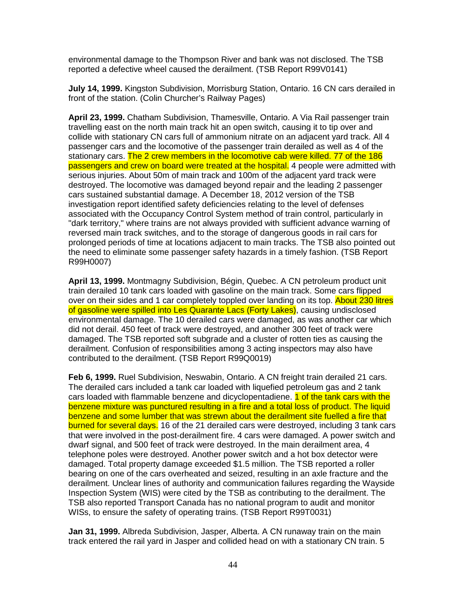environmental damage to the Thompson River and bank was not disclosed. The TSB reported a defective wheel caused the derailment. (TSB Report R99V0141)

**July 14, 1999.** Kingston Subdivision, Morrisburg Station, Ontario. 16 CN cars derailed in front of the station. (Colin Churcher's Railway Pages)

**April 23, 1999.** Chatham Subdivision, Thamesville, Ontario. A Via Rail passenger train travelling east on the north main track hit an open switch, causing it to tip over and collide with stationary CN cars full of ammonium nitrate on an adjacent yard track. All 4 passenger cars and the locomotive of the passenger train derailed as well as 4 of the stationary cars. The 2 crew members in the locomotive cab were killed. 77 of the 186 passengers and crew on board were treated at the hospital. 4 people were admitted with serious injuries. About 50m of main track and 100m of the adjacent yard track were destroyed. The locomotive was damaged beyond repair and the leading 2 passenger cars sustained substantial damage. A December 18, 2012 version of the TSB investigation report identified safety deficiencies relating to the level of defenses associated with the Occupancy Control System method of train control, particularly in "dark territory," where trains are not always provided with sufficient advance warning of reversed main track switches, and to the storage of dangerous goods in rail cars for prolonged periods of time at locations adjacent to main tracks. The TSB also pointed out the need to eliminate some passenger safety hazards in a timely fashion. (TSB Report R99H0007)

**April 13, 1999.** Montmagny Subdivision, Bégin, Quebec. A CN petroleum product unit train derailed 10 tank cars loaded with gasoline on the main track. Some cars flipped over on their sides and 1 car completely toppled over landing on its top. About 230 litres of gasoline were spilled into Les Quarante Lacs (Forty Lakes), causing undisclosed environmental damage. The 10 derailed cars were damaged, as was another car which did not derail. 450 feet of track were destroyed, and another 300 feet of track were damaged. The TSB reported soft subgrade and a cluster of rotten ties as causing the derailment. Confusion of responsibilities among 3 acting inspectors may also have contributed to the derailment. (TSB Report R99Q0019)

**Feb 6, 1999.** Ruel Subdivision, Neswabin, Ontario. A CN freight train derailed 21 cars. The derailed cars included a tank car loaded with liquefied petroleum gas and 2 tank cars loaded with flammable benzene and dicyclopentadiene. **1 of the tank cars with the** benzene mixture was punctured resulting in a fire and a total loss of product. The liquid benzene and some lumber that was strewn about the derailment site fuelled a fire that burned for several days. 16 of the 21 derailed cars were destroyed, including 3 tank cars that were involved in the post-derailment fire. 4 cars were damaged. A power switch and dwarf signal, and 500 feet of track were destroyed. In the main derailment area, 4 telephone poles were destroyed. Another power switch and a hot box detector were damaged. Total property damage exceeded \$1.5 million. The TSB reported a roller bearing on one of the cars overheated and seized, resulting in an axle fracture and the derailment. Unclear lines of authority and communication failures regarding the Wayside Inspection System (WIS) were cited by the TSB as contributing to the derailment. The TSB also reported Transport Canada has no national program to audit and monitor WISs, to ensure the safety of operating trains. (TSB Report R99T0031)

**Jan 31, 1999.** Albreda Subdivision, Jasper, Alberta. A CN runaway train on the main track entered the rail yard in Jasper and collided head on with a stationary CN train. 5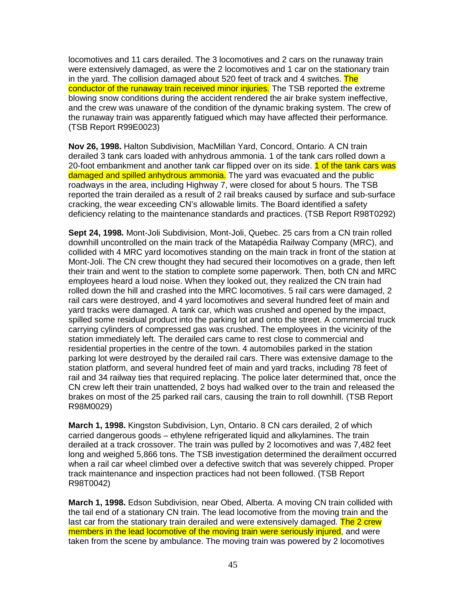locomotives and 11 cars derailed. The 3 locomotives and 2 cars on the runaway train were extensively damaged, as were the 2 locomotives and 1 car on the stationary train in the yard. The collision damaged about 520 feet of track and 4 switches. The conductor of the runaway train received minor injuries. The TSB reported the extreme blowing snow conditions during the accident rendered the air brake system ineffective, and the crew was unaware of the condition of the dynamic braking system. The crew of the runaway train was apparently fatigued which may have affected their performance. (TSB Report R99E0023)

**Nov 26, 1998.** Halton Subdivision, MacMillan Yard, Concord, Ontario. A CN train derailed 3 tank cars loaded with anhydrous ammonia. 1 of the tank cars rolled down a 20-foot embankment and another tank car flipped over on its side. 1 of the tank cars was damaged and spilled anhydrous ammonia. The yard was evacuated and the public roadways in the area, including Highway 7, were closed for about 5 hours. The TSB reported the train derailed as a result of 2 rail breaks caused by surface and sub-surface cracking, the wear exceeding CN's allowable limits. The Board identified a safety deficiency relating to the maintenance standards and practices. (TSB Report R98T0292)

**Sept 24, 1998.** Mont-Joli Subdivision, Mont-Joli, Quebec. 25 cars from a CN train rolled downhill uncontrolled on the main track of the Matapédia Railway Company (MRC), and collided with 4 MRC yard locomotives standing on the main track in front of the station at Mont-Joli. The CN crew thought they had secured their locomotives on a grade, then left their train and went to the station to complete some paperwork. Then, both CN and MRC employees heard a loud noise. When they looked out, they realized the CN train had rolled down the hill and crashed into the MRC locomotives. 5 rail cars were damaged, 2 rail cars were destroyed, and 4 yard locomotives and several hundred feet of main and yard tracks were damaged. A tank car, which was crushed and opened by the impact, spilled some residual product into the parking lot and onto the street. A commercial truck carrying cylinders of compressed gas was crushed. The employees in the vicinity of the station immediately left. The derailed cars came to rest close to commercial and residential properties in the centre of the town. 4 automobiles parked in the station parking lot were destroyed by the derailed rail cars. There was extensive damage to the station platform, and several hundred feet of main and yard tracks, including 78 feet of rail and 34 railway ties that required replacing. The police later determined that, once the CN crew left their train unattended, 2 boys had walked over to the train and released the brakes on most of the 25 parked rail cars, causing the train to roll downhill. (TSB Report R98M0029)

**March 1, 1998.** Kingston Subdivision, Lyn, Ontario. 8 CN cars derailed, 2 of which carried dangerous goods – ethylene refrigerated liquid and alkylamines. The train derailed at a track crossover. The train was pulled by 2 locomotives and was 7,482 feet long and weighed 5,866 tons. The TSB investigation determined the derailment occurred when a rail car wheel climbed over a defective switch that was severely chipped. Proper track maintenance and inspection practices had not been followed. (TSB Report R98T0042)

**March 1, 1998.** Edson Subdivision, near Obed, Alberta. A moving CN train collided with the tail end of a stationary CN train. The lead locomotive from the moving train and the last car from the stationary train derailed and were extensively damaged. The 2 crew members in the lead locomotive of the moving train were seriously injured, and were taken from the scene by ambulance. The moving train was powered by 2 locomotives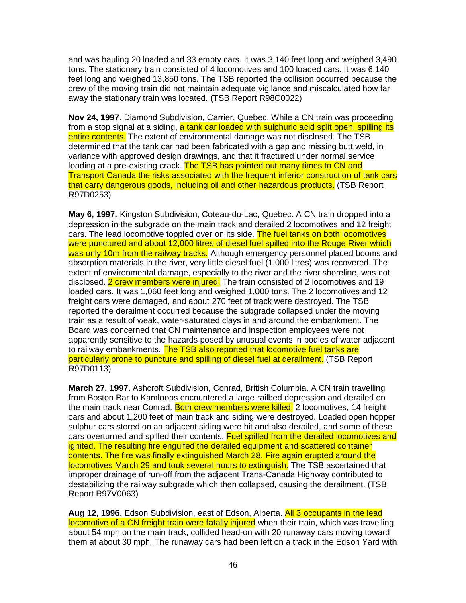and was hauling 20 loaded and 33 empty cars. It was 3,140 feet long and weighed 3,490 tons. The stationary train consisted of 4 locomotives and 100 loaded cars. It was 6,140 feet long and weighed 13,850 tons. The TSB reported the collision occurred because the crew of the moving train did not maintain adequate vigilance and miscalculated how far away the stationary train was located. (TSB Report R98C0022)

**Nov 24, 1997.** Diamond Subdivision, Carrier, Quebec. While a CN train was proceeding from a stop signal at a siding, a tank car loaded with sulphuric acid split open, spilling its entire contents. The extent of environmental damage was not disclosed. The TSB determined that the tank car had been fabricated with a gap and missing butt weld, in variance with approved design drawings, and that it fractured under normal service loading at a pre-existing crack. The TSB has pointed out many times to CN and Transport Canada the risks associated with the frequent inferior construction of tank cars that carry dangerous goods, including oil and other hazardous products. (TSB Report R97D0253)

**May 6, 1997.** Kingston Subdivision, Coteau-du-Lac, Quebec. A CN train dropped into a depression in the subgrade on the main track and derailed 2 locomotives and 12 freight cars. The lead locomotive toppled over on its side. The fuel tanks on both locomotives were punctured and about 12,000 litres of diesel fuel spilled into the Rouge River which was only 10m from the railway tracks. Although emergency personnel placed booms and absorption materials in the river, very little diesel fuel (1,000 litres) was recovered. The extent of environmental damage, especially to the river and the river shoreline, was not disclosed. 2 crew members were injured. The train consisted of 2 locomotives and 19 loaded cars. It was 1,060 feet long and weighed 1,000 tons. The 2 locomotives and 12 freight cars were damaged, and about 270 feet of track were destroyed. The TSB reported the derailment occurred because the subgrade collapsed under the moving train as a result of weak, water-saturated clays in and around the embankment. The Board was concerned that CN maintenance and inspection employees were not apparently sensitive to the hazards posed by unusual events in bodies of water adjacent to railway embankments. The TSB also reported that locomotive fuel tanks are particularly prone to puncture and spilling of diesel fuel at derailment. (TSB Report R97D0113)

**March 27, 1997.** Ashcroft Subdivision, Conrad, British Columbia. A CN train travelling from Boston Bar to Kamloops encountered a large railbed depression and derailed on the main track near Conrad. Both crew members were killed. 2 locomotives, 14 freight cars and about 1,200 feet of main track and siding were destroyed. Loaded open hopper sulphur cars stored on an adjacent siding were hit and also derailed, and some of these cars overturned and spilled their contents. Fuel spilled from the derailed locomotives and ignited. The resulting fire engulfed the derailed equipment and scattered container contents. The fire was finally extinguished March 28. Fire again erupted around the locomotives March 29 and took several hours to extinguish. The TSB ascertained that improper drainage of run-off from the adjacent Trans-Canada Highway contributed to destabilizing the railway subgrade which then collapsed, causing the derailment. (TSB Report R97V0063)

**Aug 12, 1996.** Edson Subdivision, east of Edson, Alberta. All 3 occupants in the lead locomotive of a CN freight train were fatally injured when their train, which was travelling about 54 mph on the main track, collided head-on with 20 runaway cars moving toward them at about 30 mph. The runaway cars had been left on a track in the Edson Yard with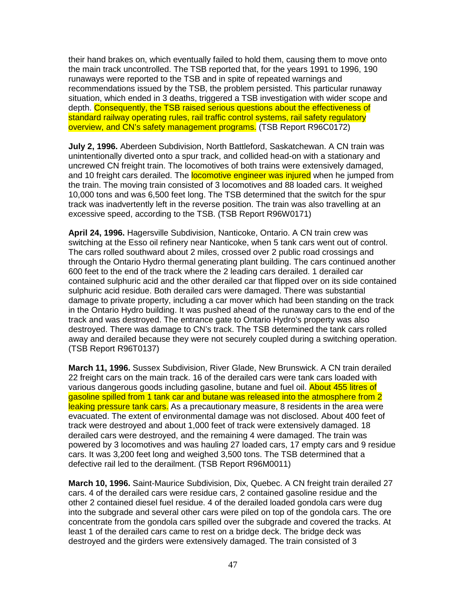their hand brakes on, which eventually failed to hold them, causing them to move onto the main track uncontrolled. The TSB reported that, for the years 1991 to 1996, 190 runaways were reported to the TSB and in spite of repeated warnings and recommendations issued by the TSB, the problem persisted. This particular runaway situation, which ended in 3 deaths, triggered a TSB investigation with wider scope and depth. Consequently, the TSB raised serious questions about the effectiveness of standard railway operating rules, rail traffic control systems, rail safety regulatory overview, and CN's safety management programs. (TSB Report R96C0172)

**July 2, 1996.** Aberdeen Subdivision, North Battleford, Saskatchewan. A CN train was unintentionally diverted onto a spur track, and collided head-on with a stationary and uncrewed CN freight train. The locomotives of both trains were extensively damaged, and 10 freight cars derailed. The **locomotive engineer was injured** when he jumped from the train. The moving train consisted of 3 locomotives and 88 loaded cars. It weighed 10,000 tons and was 6,500 feet long. The TSB determined that the switch for the spur track was inadvertently left in the reverse position. The train was also travelling at an excessive speed, according to the TSB. (TSB Report R96W0171)

**April 24, 1996.** Hagersville Subdivision, Nanticoke, Ontario. A CN train crew was switching at the Esso oil refinery near Nanticoke, when 5 tank cars went out of control. The cars rolled southward about 2 miles, crossed over 2 public road crossings and through the Ontario Hydro thermal generating plant building. The cars continued another 600 feet to the end of the track where the 2 leading cars derailed. 1 derailed car contained sulphuric acid and the other derailed car that flipped over on its side contained sulphuric acid residue. Both derailed cars were damaged. There was substantial damage to private property, including a car mover which had been standing on the track in the Ontario Hydro building. It was pushed ahead of the runaway cars to the end of the track and was destroyed. The entrance gate to Ontario Hydro's property was also destroyed. There was damage to CN's track. The TSB determined the tank cars rolled away and derailed because they were not securely coupled during a switching operation. (TSB Report R96T0137)

**March 11, 1996.** Sussex Subdivision, River Glade, New Brunswick. A CN train derailed 22 freight cars on the main track. 16 of the derailed cars were tank cars loaded with various dangerous goods including gasoline, butane and fuel oil. About 455 litres of gasoline spilled from 1 tank car and butane was released into the atmosphere from 2 leaking pressure tank cars. As a precautionary measure, 8 residents in the area were evacuated. The extent of environmental damage was not disclosed. About 400 feet of track were destroyed and about 1,000 feet of track were extensively damaged. 18 derailed cars were destroyed, and the remaining 4 were damaged. The train was powered by 3 locomotives and was hauling 27 loaded cars, 17 empty cars and 9 residue cars. It was 3,200 feet long and weighed 3,500 tons. The TSB determined that a defective rail led to the derailment. (TSB Report R96M0011)

**March 10, 1996.** Saint-Maurice Subdivision, Dix, Quebec. A CN freight train derailed 27 cars. 4 of the derailed cars were residue cars, 2 contained gasoline residue and the other 2 contained diesel fuel residue. 4 of the derailed loaded gondola cars were dug into the subgrade and several other cars were piled on top of the gondola cars. The ore concentrate from the gondola cars spilled over the subgrade and covered the tracks. At least 1 of the derailed cars came to rest on a bridge deck. The bridge deck was destroyed and the girders were extensively damaged. The train consisted of 3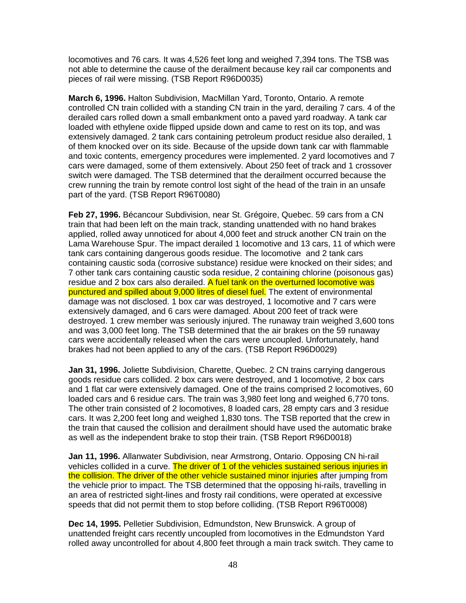locomotives and 76 cars. It was 4,526 feet long and weighed 7,394 tons. The TSB was not able to determine the cause of the derailment because key rail car components and pieces of rail were missing. (TSB Report R96D0035)

**March 6, 1996.** Halton Subdivision, MacMillan Yard, Toronto, Ontario. A remote controlled CN train collided with a standing CN train in the yard, derailing 7 cars. 4 of the derailed cars rolled down a small embankment onto a paved yard roadway. A tank car loaded with ethylene oxide flipped upside down and came to rest on its top, and was extensively damaged. 2 tank cars containing petroleum product residue also derailed, 1 of them knocked over on its side. Because of the upside down tank car with flammable and toxic contents, emergency procedures were implemented. 2 yard locomotives and 7 cars were damaged, some of them extensively. About 250 feet of track and 1 crossover switch were damaged. The TSB determined that the derailment occurred because the crew running the train by remote control lost sight of the head of the train in an unsafe part of the yard. (TSB Report R96T0080)

**Feb 27, 1996.** Bécancour Subdivision, near St. Grégoire, Quebec. 59 cars from a CN train that had been left on the main track, standing unattended with no hand brakes applied, rolled away unnoticed for about 4,000 feet and struck another CN train on the Lama Warehouse Spur. The impact derailed 1 locomotive and 13 cars, 11 of which were tank cars containing dangerous goods residue. The locomotive and 2 tank cars containing caustic soda (corrosive substance) residue were knocked on their sides; and 7 other tank cars containing caustic soda residue, 2 containing chlorine (poisonous gas) residue and 2 box cars also derailed. A fuel tank on the overturned locomotive was punctured and spilled about 9,000 litres of diesel fuel. The extent of environmental damage was not disclosed. 1 box car was destroyed, 1 locomotive and 7 cars were extensively damaged, and 6 cars were damaged. About 200 feet of track were destroyed. 1 crew member was seriously injured. The runaway train weighed 3,600 tons and was 3,000 feet long. The TSB determined that the air brakes on the 59 runaway cars were accidentally released when the cars were uncoupled. Unfortunately, hand brakes had not been applied to any of the cars. (TSB Report R96D0029)

**Jan 31, 1996.** Joliette Subdivision, Charette, Quebec. 2 CN trains carrying dangerous goods residue cars collided. 2 box cars were destroyed, and 1 locomotive, 2 box cars and 1 flat car were extensively damaged. One of the trains comprised 2 locomotives, 60 loaded cars and 6 residue cars. The train was 3,980 feet long and weighed 6,770 tons. The other train consisted of 2 locomotives, 8 loaded cars, 28 empty cars and 3 residue cars. It was 2,200 feet long and weighed 1,830 tons. The TSB reported that the crew in the train that caused the collision and derailment should have used the automatic brake as well as the independent brake to stop their train. (TSB Report R96D0018)

**Jan 11, 1996.** Allanwater Subdivision, near Armstrong, Ontario. Opposing CN hi-rail vehicles collided in a curve. The driver of 1 of the vehicles sustained serious injuries in the collision. The driver of the other vehicle sustained minor injuries after jumping from the vehicle prior to impact. The TSB determined that the opposing hi-rails, travelling in an area of restricted sight-lines and frosty rail conditions, were operated at excessive speeds that did not permit them to stop before colliding. (TSB Report R96T0008)

**Dec 14, 1995.** Pelletier Subdivision, Edmundston, New Brunswick. A group of unattended freight cars recently uncoupled from locomotives in the Edmundston Yard rolled away uncontrolled for about 4,800 feet through a main track switch. They came to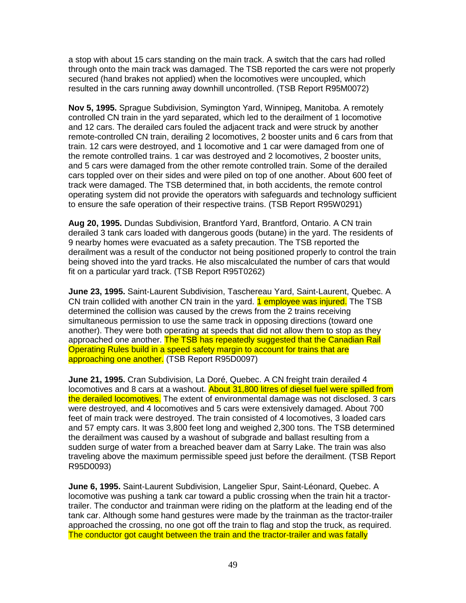a stop with about 15 cars standing on the main track. A switch that the cars had rolled through onto the main track was damaged. The TSB reported the cars were not properly secured (hand brakes not applied) when the locomotives were uncoupled, which resulted in the cars running away downhill uncontrolled. (TSB Report R95M0072)

**Nov 5, 1995.** Sprague Subdivision, Symington Yard, Winnipeg, Manitoba. A remotely controlled CN train in the yard separated, which led to the derailment of 1 locomotive and 12 cars. The derailed cars fouled the adjacent track and were struck by another remote-controlled CN train, derailing 2 locomotives, 2 booster units and 6 cars from that train. 12 cars were destroyed, and 1 locomotive and 1 car were damaged from one of the remote controlled trains. 1 car was destroyed and 2 locomotives, 2 booster units, and 5 cars were damaged from the other remote controlled train. Some of the derailed cars toppled over on their sides and were piled on top of one another. About 600 feet of track were damaged. The TSB determined that, in both accidents, the remote control operating system did not provide the operators with safeguards and technology sufficient to ensure the safe operation of their respective trains. (TSB Report R95W0291)

**Aug 20, 1995.** Dundas Subdivision, Brantford Yard, Brantford, Ontario. A CN train derailed 3 tank cars loaded with dangerous goods (butane) in the yard. The residents of 9 nearby homes were evacuated as a safety precaution. The TSB reported the derailment was a result of the conductor not being positioned properly to control the train being shoved into the yard tracks. He also miscalculated the number of cars that would fit on a particular yard track. (TSB Report R95T0262)

**June 23, 1995.** Saint-Laurent Subdivision, Taschereau Yard, Saint-Laurent, Quebec. A CN train collided with another CN train in the yard. **1 employee was injured.** The TSB determined the collision was caused by the crews from the 2 trains receiving simultaneous permission to use the same track in opposing directions (toward one another). They were both operating at speeds that did not allow them to stop as they approached one another. The TSB has repeatedly suggested that the Canadian Rail Operating Rules build in a speed safety margin to account for trains that are approaching one another. (TSB Report R95D0097)

**June 21, 1995.** Cran Subdivision, La Doré, Quebec. A CN freight train derailed 4 locomotives and 8 cars at a washout. About 31,800 litres of diesel fuel were spilled from the derailed locomotives. The extent of environmental damage was not disclosed. 3 cars were destroyed, and 4 locomotives and 5 cars were extensively damaged. About 700 feet of main track were destroyed. The train consisted of 4 locomotives, 3 loaded cars and 57 empty cars. It was 3,800 feet long and weighed 2,300 tons. The TSB determined the derailment was caused by a washout of subgrade and ballast resulting from a sudden surge of water from a breached beaver dam at Sarry Lake. The train was also traveling above the maximum permissible speed just before the derailment. (TSB Report R95D0093)

**June 6, 1995.** Saint-Laurent Subdivision, Langelier Spur, Saint-Léonard, Quebec. A locomotive was pushing a tank car toward a public crossing when the train hit a tractortrailer. The conductor and trainman were riding on the platform at the leading end of the tank car. Although some hand gestures were made by the trainman as the tractor-trailer approached the crossing, no one got off the train to flag and stop the truck, as required. The conductor got caught between the train and the tractor-trailer and was fatally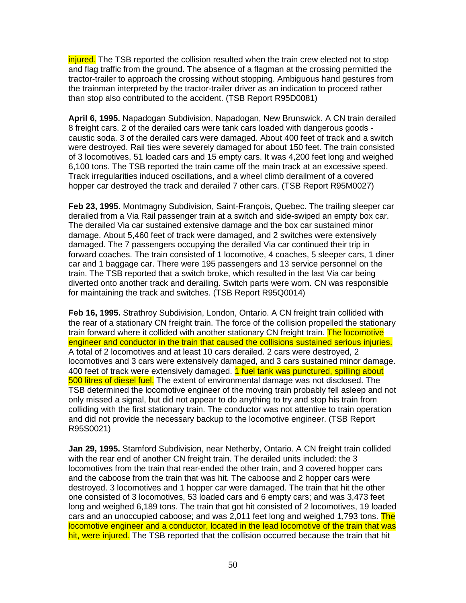injured. The TSB reported the collision resulted when the train crew elected not to stop and flag traffic from the ground. The absence of a flagman at the crossing permitted the tractor-trailer to approach the crossing without stopping. Ambiguous hand gestures from the trainman interpreted by the tractor-trailer driver as an indication to proceed rather than stop also contributed to the accident. (TSB Report R95D0081)

**April 6, 1995.** Napadogan Subdivision, Napadogan, New Brunswick. A CN train derailed 8 freight cars. 2 of the derailed cars were tank cars loaded with dangerous goods caustic soda. 3 of the derailed cars were damaged. About 400 feet of track and a switch were destroyed. Rail ties were severely damaged for about 150 feet. The train consisted of 3 locomotives, 51 loaded cars and 15 empty cars. It was 4,200 feet long and weighed 6,100 tons. The TSB reported the train came off the main track at an excessive speed. Track irregularities induced oscillations, and a wheel climb derailment of a covered hopper car destroyed the track and derailed 7 other cars. (TSB Report R95M0027)

**Feb 23, 1995.** Montmagny Subdivision, Saint-François, Quebec. The trailing sleeper car derailed from a Via Rail passenger train at a switch and side-swiped an empty box car. The derailed Via car sustained extensive damage and the box car sustained minor damage. About 5,460 feet of track were damaged, and 2 switches were extensively damaged. The 7 passengers occupying the derailed Via car continued their trip in forward coaches. The train consisted of 1 locomotive, 4 coaches, 5 sleeper cars, 1 diner car and 1 baggage car. There were 195 passengers and 13 service personnel on the train. The TSB reported that a switch broke, which resulted in the last Via car being diverted onto another track and derailing. Switch parts were worn. CN was responsible for maintaining the track and switches. (TSB Report R95Q0014)

**Feb 16, 1995.** Strathroy Subdivision, London, Ontario. A CN freight train collided with the rear of a stationary CN freight train. The force of the collision propelled the stationary train forward where it collided with another stationary CN freight train. The locomotive engineer and conductor in the train that caused the collisions sustained serious injuries. A total of 2 locomotives and at least 10 cars derailed. 2 cars were destroyed, 2 locomotives and 3 cars were extensively damaged, and 3 cars sustained minor damage. 400 feet of track were extensively damaged. 1 fuel tank was punctured, spilling about 500 litres of diesel fuel. The extent of environmental damage was not disclosed. The TSB determined the locomotive engineer of the moving train probably fell asleep and not only missed a signal, but did not appear to do anything to try and stop his train from colliding with the first stationary train. The conductor was not attentive to train operation and did not provide the necessary backup to the locomotive engineer. (TSB Report R95S0021)

**Jan 29, 1995.** Stamford Subdivision, near Netherby, Ontario. A CN freight train collided with the rear end of another CN freight train. The derailed units included: the 3 locomotives from the train that rear-ended the other train, and 3 covered hopper cars and the caboose from the train that was hit. The caboose and 2 hopper cars were destroyed. 3 locomotives and 1 hopper car were damaged. The train that hit the other one consisted of 3 locomotives, 53 loaded cars and 6 empty cars; and was 3,473 feet long and weighed 6,189 tons. The train that got hit consisted of 2 locomotives, 19 loaded cars and an unoccupied caboose; and was 2,011 feet long and weighed 1,793 tons. The locomotive engineer and a conductor, located in the lead locomotive of the train that was hit, were injured. The TSB reported that the collision occurred because the train that hit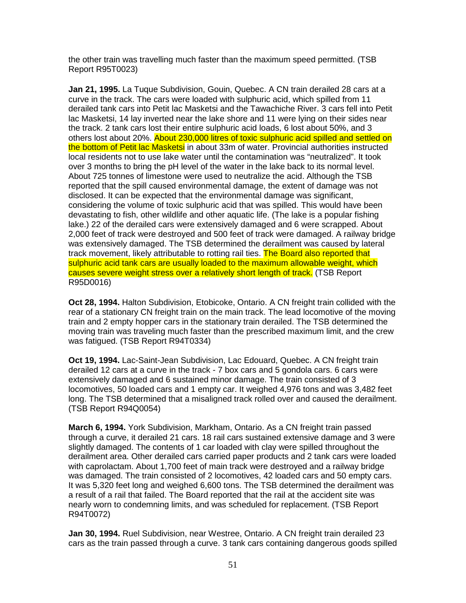the other train was travelling much faster than the maximum speed permitted. (TSB Report R95T0023)

**Jan 21, 1995.** La Tuque Subdivision, Gouin, Quebec. A CN train derailed 28 cars at a curve in the track. The cars were loaded with sulphuric acid, which spilled from 11 derailed tank cars into Petit lac Masketsi and the Tawachiche River. 3 cars fell into Petit lac Masketsi, 14 lay inverted near the lake shore and 11 were lying on their sides near the track. 2 tank cars lost their entire sulphuric acid loads, 6 lost about 50%, and 3 others lost about 20%. About 230,000 litres of toxic sulphuric acid spilled and settled on the bottom of Petit lac Masketsi in about 33m of water. Provincial authorities instructed local residents not to use lake water until the contamination was "neutralized". It took over 3 months to bring the pH level of the water in the lake back to its normal level. About 725 tonnes of limestone were used to neutralize the acid. Although the TSB reported that the spill caused environmental damage, the extent of damage was not disclosed. It can be expected that the environmental damage was significant, considering the volume of toxic sulphuric acid that was spilled. This would have been devastating to fish, other wildlife and other aquatic life. (The lake is a popular fishing lake.) 22 of the derailed cars were extensively damaged and 6 were scrapped. About 2,000 feet of track were destroyed and 500 feet of track were damaged. A railway bridge was extensively damaged. The TSB determined the derailment was caused by lateral track movement, likely attributable to rotting rail ties. The Board also reported that sulphuric acid tank cars are usually loaded to the maximum allowable weight, which causes severe weight stress over a relatively short length of track. (TSB Report R95D0016)

**Oct 28, 1994.** Halton Subdivision, Etobicoke, Ontario. A CN freight train collided with the rear of a stationary CN freight train on the main track. The lead locomotive of the moving train and 2 empty hopper cars in the stationary train derailed. The TSB determined the moving train was traveling much faster than the prescribed maximum limit, and the crew was fatigued. (TSB Report R94T0334)

**Oct 19, 1994.** Lac-Saint-Jean Subdivision, Lac Edouard, Quebec. A CN freight train derailed 12 cars at a curve in the track - 7 box cars and 5 gondola cars. 6 cars were extensively damaged and 6 sustained minor damage. The train consisted of 3 locomotives, 50 loaded cars and 1 empty car. It weighed 4,976 tons and was 3,482 feet long. The TSB determined that a misaligned track rolled over and caused the derailment. (TSB Report R94Q0054)

**March 6, 1994.** York Subdivision, Markham, Ontario. As a CN freight train passed through a curve, it derailed 21 cars. 18 rail cars sustained extensive damage and 3 were slightly damaged. The contents of 1 car loaded with clay were spilled throughout the derailment area. Other derailed cars carried paper products and 2 tank cars were loaded with caprolactam. About 1,700 feet of main track were destroyed and a railway bridge was damaged. The train consisted of 2 locomotives, 42 loaded cars and 50 empty cars. It was 5,320 feet long and weighed 6,600 tons. The TSB determined the derailment was a result of a rail that failed. The Board reported that the rail at the accident site was nearly worn to condemning limits, and was scheduled for replacement. (TSB Report R94T0072)

**Jan 30, 1994.** Ruel Subdivision, near Westree, Ontario. A CN freight train derailed 23 cars as the train passed through a curve. 3 tank cars containing dangerous goods spilled